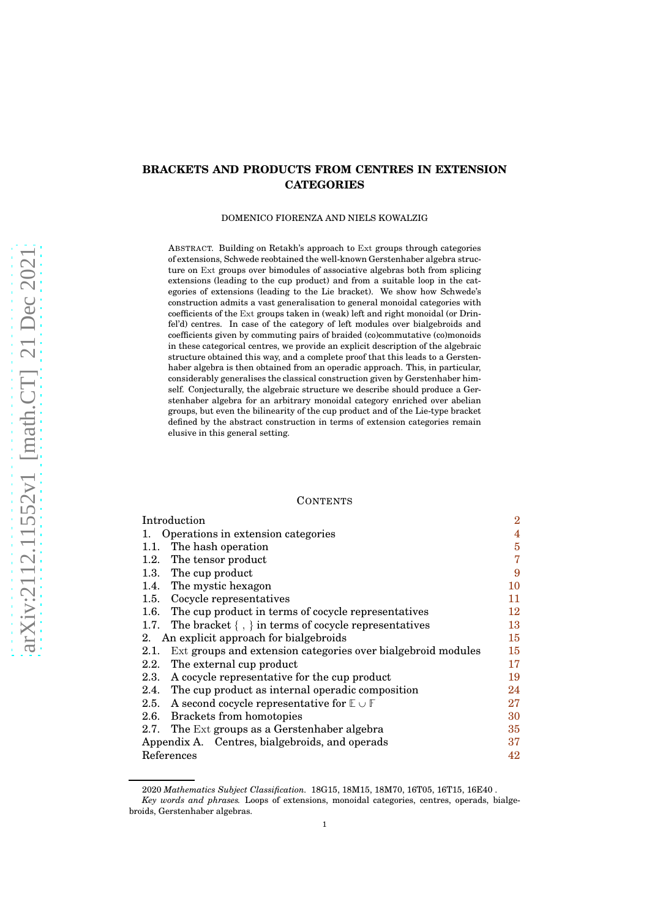# **BRACKETS AND PRODUCTS FROM CENTRES IN EXTENSION CATEGORIES**

## DOMENICO FIORENZA AND NIELS KOWALZIG

ABSTRACT. Building on Retakh's approach to Ext groups through categories of extensions, Schwede reobtained the well-known Gerstenhaber algebra structure on Ext groups over bimodules of associative algebras both from splicing extensions (leading to the cup product) and from a suitable loop in the categories of extensions (leading to the Lie bracket). We show how Schwede's construction admits a vast generalisation to general monoidal categories with coefficients of the Ext groups taken in (weak) left and right monoidal (or Drinfel'd) centres. In case of the category of left modules over bialgebroids and coefficients given by commuting pairs of braided (co)commutative (co)monoids in these categorical centres, we provide an explicit description of the algebraic structure obtained this way, and a complete proof that this leads to a Gerstenhaber algebra is then obtained from an operadic approach. This, in particular, considerably generalises the classical construction given by Gerstenhaber himself. Conjecturally, the algebraic structure we describe should produce a Gerstenhaber algebra for an arbitrary monoidal category enriched over abelian groups, but even the bilinearity of the cup product and of the Lie-type bracket defined by the abstract construction in terms of extension categories remain elusive in this general setting.

#### **CONTENTS**

| Introduction                                   |                                                                  | $\bf{2}$ |
|------------------------------------------------|------------------------------------------------------------------|----------|
| 1.                                             | Operations in extension categories                               | 4        |
| 1.1.                                           | The hash operation                                               | 5        |
| 1.2.                                           | The tensor product                                               | 7        |
| 1.3.                                           | The cup product                                                  | 9        |
|                                                | 1.4. The mystic hexagon                                          | 10       |
|                                                | 1.5. Cocycle representatives                                     | 11       |
| 1.6.                                           | The cup product in terms of cocycle representatives              | 12       |
| 1.7.                                           | The bracket $\{ , \}$ in terms of cocycle representatives        | 13       |
| An explicit approach for bialgebroids<br>2.    |                                                                  | 15       |
| 2.1.                                           | Ext groups and extension categories over bialgebroid modules     | 15       |
| 2.2.                                           | The external cup product                                         | 17       |
| 2.3.                                           | A cocycle representative for the cup product                     | 19       |
| 2.4.                                           | The cup product as internal operadic composition                 | 24       |
| 2.5.                                           | A second cocycle representative for $\mathbb{E} \cup \mathbb{F}$ | 27       |
| 2.6.                                           | Brackets from homotopies                                         | 30       |
| 2.7.                                           | The Ext groups as a Gerstenhaber algebra                         | 35       |
| Appendix A. Centres, bialgebroids, and operads |                                                                  | 37       |
| References                                     |                                                                  | 42       |

<sup>2020</sup> *Mathematics Subject Classification.* 18G15, 18M15, 18M70, 16T05, 16T15, 16E40 .

*Key words and phrases.* Loops of extensions, monoidal categories, centres, operads, bialgebroids, Gerstenhaber algebras.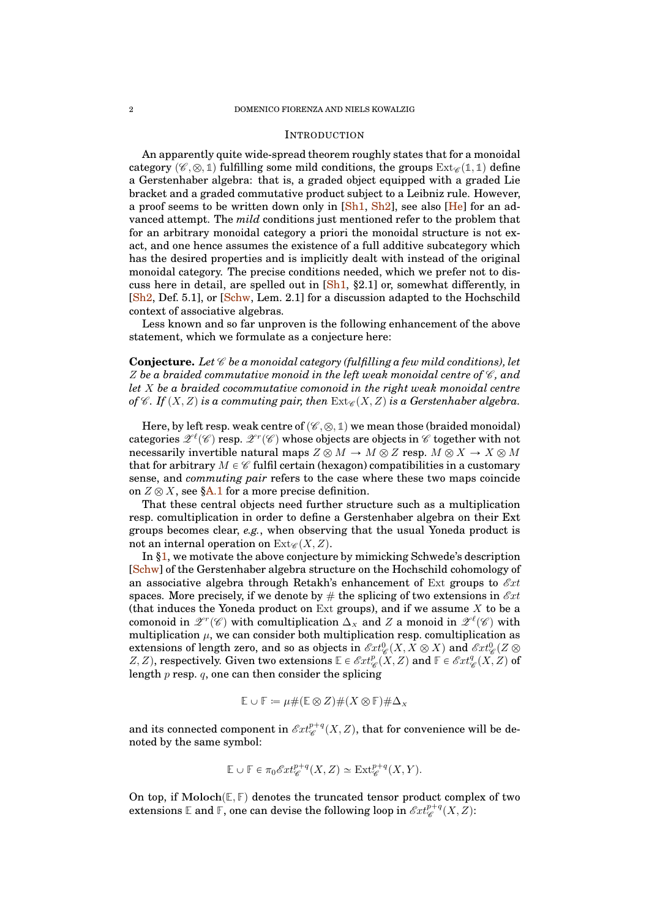#### <span id="page-1-0"></span>INTRODUCTION

An apparently quite wide-spread theorem roughly states that for a monoidal category  $(\mathscr{C}, \otimes, \mathbb{1})$  fulfilling some mild conditions, the groups  $Ext_{\mathscr{C}}(\mathbb{1}, \mathbb{1})$  define a Gerstenhaber algebra: that is, a graded object equipped with a graded Lie bracket and a graded commutative product subject to a Leibniz rule. However, a proof seems to be written down only in [\[Sh1,](#page-41-1) [Sh2\]](#page-41-2), see also [\[He\]](#page-41-3) for an advanced attempt. The *mild* conditions just mentioned refer to the problem that for an arbitrary monoidal category a priori the monoidal structure is not exact, and one hence assumes the existence of a full additive subcategory which has the desired properties and is implicitly dealt with instead of the original monoidal category. The precise conditions needed, which we prefer not to discuss here in detail, are spelled out in  $[Sh1, §2.1]$  $[Sh1, §2.1]$  or, somewhat differently, in [\[Sh2,](#page-41-2) Def. 5.1], or [\[Schw,](#page-41-4) Lem. 2.1] for a discussion adapted to the Hochschild context of associative algebras.

Less known and so far unproven is the following enhancement of the above statement, which we formulate as a conjecture here:

**Conjecture.** Let  $\mathscr C$  be a monoidal category (fulfilling a few mild conditions), let  $Z$  be a braided commutative monoid in the left weak monoidal centre of  $\mathscr{C}$ , and *let* X *be a braided cocommutative comonoid in the right weak monoidal centre of*  $\mathscr{C}$ *. If*  $(X, Z)$  *is a commuting pair, then*  $\text{Ext}_{\mathscr{C}}(X, Z)$  *is a Gerstenhaber algebra.* 

Here, by left resp. weak centre of  $(\mathscr{C}, \otimes, \mathbb{1})$  we mean those (braided monoidal) categories  $\mathscr{Z}^{\ell}(\mathscr{C})$  resp.  $\mathscr{Z}^{r}(\mathscr{C})$  whose objects are objects in  $\mathscr{C}$  together with not necessarily invertible natural maps  $Z \otimes M \to M \otimes Z$  resp.  $M \otimes X \to X \otimes M$ that for arbitrary  $M \in \mathscr{C}$  fulfil certain (hexagon) compatibilities in a customary sense, and *commuting pair* refers to the case where these two maps coincide on  $Z \otimes X$ , see [§A.1](#page-37-0) for a more precise definition.

That these central objects need further structure such as a multiplication resp. comultiplication in order to define a Gerstenhaber algebra on their Ext groups becomes clear, *e.g.*, when observing that the usual Yoneda product is not an internal operation on  $Ext_{\mathscr{C}}(X, Z)$ .

In [§1,](#page-3-0) we motivate the above conjecture by mimicking Schwede's description [\[Schw\]](#page-41-4) of the Gerstenhaber algebra structure on the Hochschild cohomology of an associative algebra through Retakh's enhancement of Ext groups to  $\mathscr{E}xt$ spaces. More precisely, if we denote by  $\#$  the splicing of two extensions in  $\mathscr{E}xt$ (that induces the Yoneda product on Ext groups), and if we assume  $X$  to be a comonoid in  $\mathscr{Z}^r(\mathscr{C})$  with comultiplication  $\Delta_X$  and Z a monoid in  $\mathscr{Z}^{\ell}(\mathscr{C})$  with multiplication  $\mu$ , we can consider both multiplication resp. comultiplication as extensions of length zero, and so as objects in  $\mathscr{E}xt_{\mathscr{C}}^0(X,X\otimes X)$  and  $\mathscr{E}xt_{\mathscr{C}}^0(Z\otimes X)$ Z, Z), respectively. Given two extensions  $\mathbb{E} \in \mathscr{E}xt_{\mathscr{C}}^p(\mathring{X},\mathring{Z})$  and  $\mathbb{F} \in \mathscr{E}xt_{\mathscr{C}}^q(X,\mathring{Z})$  of length  $p$  resp.  $q$ , one can then consider the splicing

$$
\mathbb{E} \cup \mathbb{F} \coloneqq \mu \# (\mathbb{E} \otimes Z) \# (X \otimes \mathbb{F}) \# \Delta_X
$$

and its connected component in  $\mathscr{E}xt^{p+q}_{\mathscr{C}}(X,Z),$  that for convenience will be denoted by the same symbol:

$$
\mathbb{E} \cup \mathbb{F} \in \pi_0 \mathscr{E}xt_{\mathscr{C}}^{p+q}(X,Z) \simeq \text{Ext}_{\mathscr{C}}^{p+q}(X,Y).
$$

On top, if  $\text{Moloch}(\mathbb{E}, \mathbb{F})$  denotes the truncated tensor product complex of two extensions  $\mathbb E$  and  $\mathbb F,$  one can devise the following loop in  $\mathscr Ext^{p+q}_\mathscr{C}(X,Z)$ :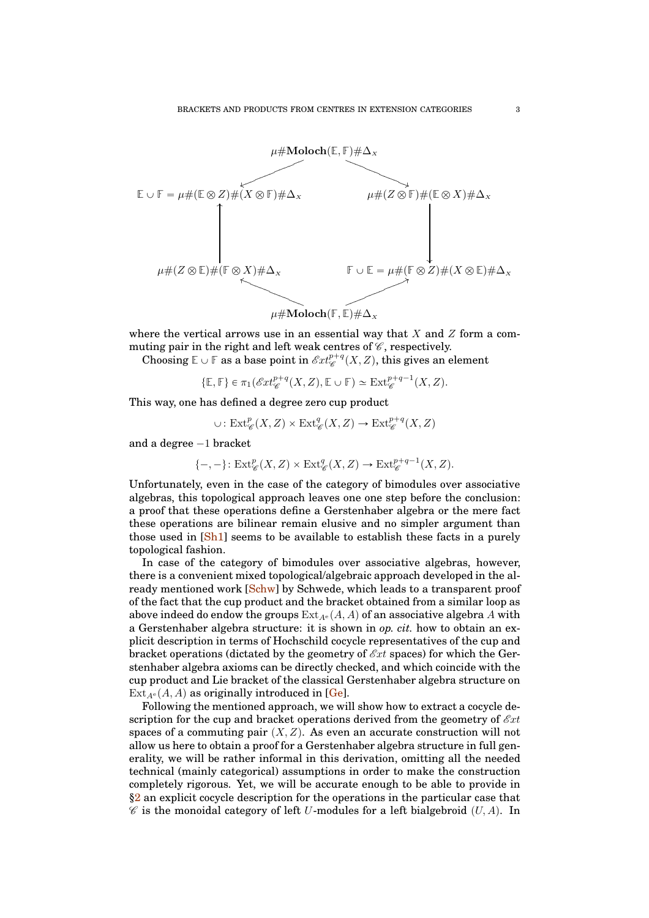

where the vertical arrows use in an essential way that X and Z form a commuting pair in the right and left weak centres of  $\mathscr{C}$ , respectively.

Choosing  $\mathbb{E} \cup \mathbb{F}$  as a base point in  $\mathscr{E}xt^{p+q}_{\mathscr{C}}(X,Z)$ , this gives an element

$$
\{\mathbb{E},\mathbb{F}\}\in \pi_1(\mathscr{E}xt^{p+q}_{\mathscr{C}}(X,Z),\mathbb{E}\cup\mathbb{F})\simeq \operatorname{Ext}^{p+q-1}_{\mathscr{C}}(X,Z).
$$

This way, one has defined a degree zero cup product

$$
\cup: \text{Ext}^p_{\mathscr{C}}(X, Z) \times \text{Ext}^q_{\mathscr{C}}(X, Z) \to \text{Ext}^{p+q}_{\mathscr{C}}(X, Z)
$$

and a degree  $-1$  bracket

$$
\{-,-\} \colon \mathrm{Ext}^p_{\mathscr{C}}(X,Z) \times \mathrm{Ext}^q_{\mathscr{C}}(X,Z) \to \mathrm{Ext}^{p+q-1}_{\mathscr{C}}(X,Z).
$$

Unfortunately, even in the case of the category of bimodules over associative algebras, this topological approach leaves one one step before the conclusion: a proof that these operations define a Gerstenhaber algebra or the mere fact these operations are bilinear remain elusive and no simpler argument than those used in [\[Sh1\]](#page-41-1) seems to be available to establish these facts in a purely topological fashion.

In case of the category of bimodules over associative algebras, however, there is a convenient mixed topological/algebraic approach developed in the al-ready mentioned work [\[Schw\]](#page-41-4) by Schwede, which leads to a transparent proof of the fact that the cup product and the bracket obtained from a similar loop as above indeed do endow the groups  $Ext_{A^e}(A, A)$  of an associative algebra A with a Gerstenhaber algebra structure: it is shown in *op. cit.* how to obtain an explicit description in terms of Hochschild cocycle representatives of the cup and bracket operations (dictated by the geometry of  $\mathcal{E}xt$  spaces) for which the Gerstenhaber algebra axioms can be directly checked, and which coincide with the cup product and Lie bracket of the classical Gerstenhaber algebra structure on  $\text{Ext}_{A^e}(A, A)$  as originally introduced in [\[Ge\]](#page-41-5).

Following the mentioned approach, we will show how to extract a cocycle description for the cup and bracket operations derived from the geometry of  $\mathscr{E}xt$ spaces of a commuting pair  $(X, Z)$ . As even an accurate construction will not allow us here to obtain a proof for a Gerstenhaber algebra structure in full generality, we will be rather informal in this derivation, omitting all the needed technical (mainly categorical) assumptions in order to make the construction completely rigorous. Yet, we will be accurate enough to be able to provide in [§2](#page-14-0) an explicit cocycle description for the operations in the particular case that  $\mathscr C$  is the monoidal category of left U-modules for a left bialgebroid  $(U, A)$ . In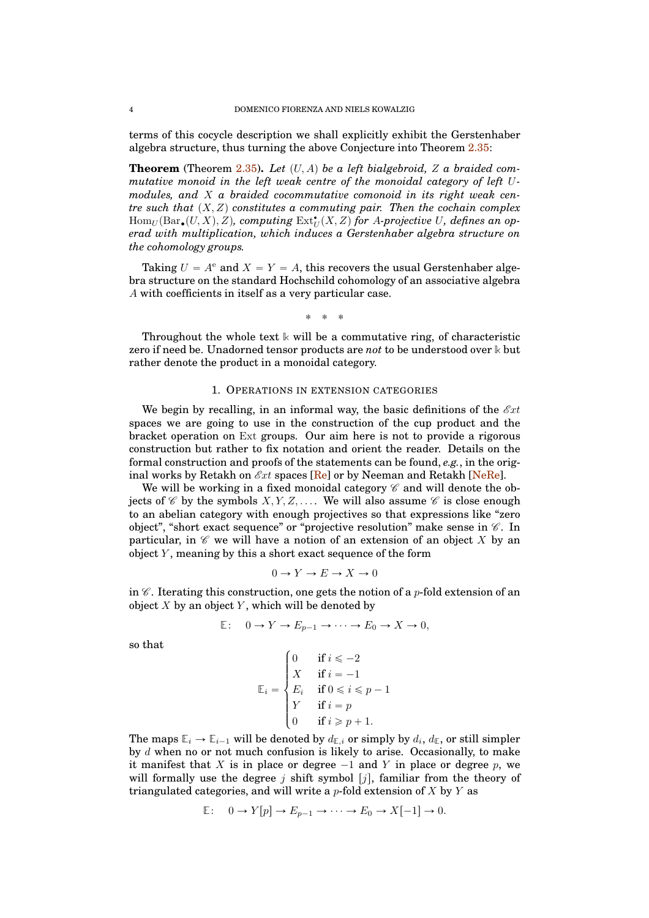terms of this cocycle description we shall explicitly exhibit the Gerstenhaber algebra structure, thus turning the above Conjecture into Theorem [2.35:](#page-34-1)

**Theorem** (Theorem  $2.35$ ). Let  $(U, A)$  be a left bialgebroid, Z a braided com*mutative monoid in the left weak centre of the monoidal category of left* U*modules, and* X *a braided cocommutative comonoid in its right weak centre such that*  $(X, Z)$  *constitutes a commuting pair. Then the cochain complex*  $\operatorname{Hom}_U(\operatorname{Bar}_{\bullet}(U,X), Z)$ , computing  $\operatorname{Ext}^{\bullet}_U(X, Z)$  for A-projective U, defines an op*erad with multiplication, which induces a Gerstenhaber algebra structure on the cohomology groups.*

Taking  $U = A^e$  and  $X = Y = A$ , this recovers the usual Gerstenhaber algebra structure on the standard Hochschild cohomology of an associative algebra A with coefficients in itself as a very particular case.

$$
\ast\ \ *\ \ *
$$

Throughout the whole text **k** will be a commutative ring, of characteristic zero if need be. Unadorned tensor products are *not* to be understood over **k** but rather denote the product in a monoidal category.

## 1. OPERATIONS IN EXTENSION CATEGORIES

<span id="page-3-0"></span>We begin by recalling, in an informal way, the basic definitions of the  $\mathscr{E}xt$ spaces we are going to use in the construction of the cup product and the bracket operation on Ext groups. Our aim here is not to provide a rigorous construction but rather to fix notation and orient the reader. Details on the formal construction and proofs of the statements can be found, *e.g.*, in the original works by Retakh on  $\mathcal{E}xt$  spaces [\[Re\]](#page-41-6) or by Neeman and Retakh [\[NeRe\]](#page-41-7).

We will be working in a fixed monoidal category  $\mathscr C$  and will denote the objects of  $\mathscr C$  by the symbols  $X, Y, Z, \ldots$ . We will also assume  $\mathscr C$  is close enough to an abelian category with enough projectives so that expressions like "zero object", "short exact sequence" or "projective resolution" make sense in  $\mathscr C$ . In particular, in  $\mathscr C$  we will have a notion of an extension of an object X by an object  $Y$ , meaning by this a short exact sequence of the form

$$
0 \to Y \to E \to X \to 0
$$

in  $\mathscr C$ . Iterating this construction, one gets the notion of a p-fold extension of an object  $X$  by an object  $Y$ , which will be denoted by

$$
\mathbb{E}: \quad 0 \to Y \to E_{p-1} \to \cdots \to E_0 \to X \to 0,
$$

so that

$$
\mathbb{E}_{i} = \begin{cases} 0 & \text{if } i \leq -2 \\ X & \text{if } i = -1 \\ E_{i} & \text{if } 0 \leq i \leq p - 1 \\ Y & \text{if } i = p \\ 0 & \text{if } i \geq p + 1. \end{cases}
$$

The maps  $\mathbb{E}_i \to \mathbb{E}_{i-1}$  will be denoted by  $d_{\mathbb{E},i}$  or simply by  $d_i, d_{\mathbb{E}}$ , or still simpler by d when no or not much confusion is likely to arise. Occasionally, to make it manifest that X is in place or degree  $-1$  and Y in place or degree p, we will formally use the degree j shift symbol  $[j]$ , familiar from the theory of triangulated categories, and will write a  $p$ -fold extension of X by Y as

$$
\mathbb{E}: \quad 0 \to Y[p] \to E_{p-1} \to \cdots \to E_0 \to X[-1] \to 0.
$$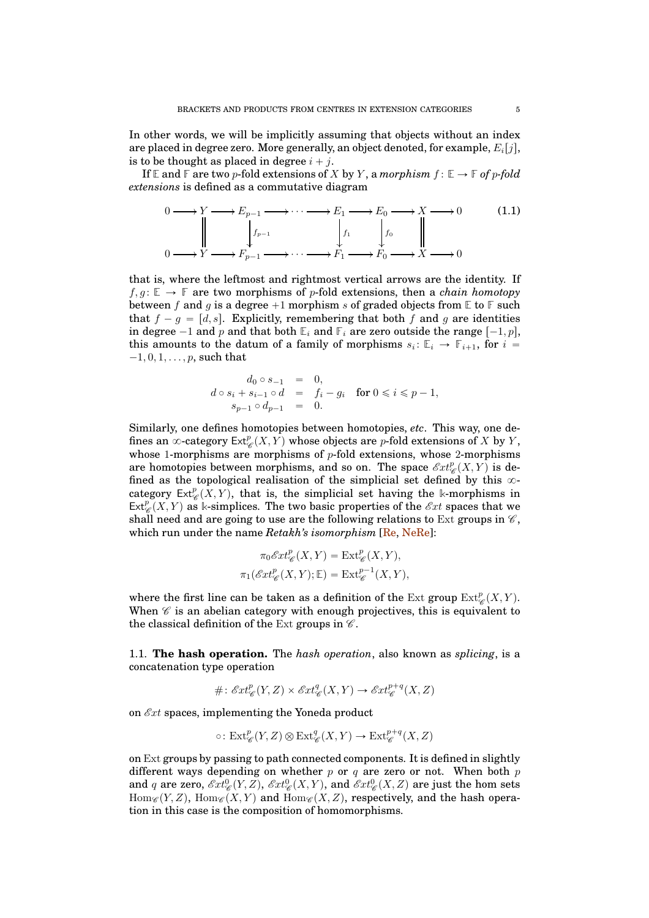In other words, we will be implicitly assuming that objects without an index are placed in degree zero. More generally, an object denoted, for example,  $E_i[j],$ is to be thought as placed in degree  $i + j$ .

If  $\mathbb{E}$  and  $\mathbb{F}$  are two p-fold extensions of X by Y, a *morphism*  $f: \mathbb{E} \to \mathbb{F}$  of p-fold *extensions* is defined as a commutative diagram

<span id="page-4-1"></span>
$$
0 \longrightarrow Y \longrightarrow E_{p-1} \longrightarrow \cdots \longrightarrow E_1 \longrightarrow E_0 \longrightarrow X \longrightarrow 0 \tag{1.1}
$$
  
\n
$$
\downarrow \qquad \qquad f_1 \qquad \qquad f_0 \qquad \qquad \downarrow
$$
  
\n
$$
0 \longrightarrow Y \longrightarrow F_{p-1} \longrightarrow \cdots \longrightarrow F_1 \longrightarrow F_0 \longrightarrow X \longrightarrow 0
$$

that is, where the leftmost and rightmost vertical arrows are the identity. If  $f, g: \mathbb{E} \to \mathbb{F}$  are two morphisms of p-fold extensions, then a *chain homotopy* between f and g is a degree  $+1$  morphism s of graded objects from  $\mathbb{E}$  to  $\mathbb{F}$  such that  $f - g = [d, s]$ . Explicitly, remembering that both f and g are identities in degree  $-1$  and p and that both  $\mathbb{E}_i$  and  $\mathbb{F}_i$  are zero outside the range  $[-1, p]$ , this amounts to the datum of a family of morphisms  $s_i: \mathbb{E}_i \to \mathbb{F}_{i+1}$ , for  $i =$  $-1, 0, 1, \ldots, p$ , such that

$$
d_0 \circ s_{-1} = 0,
$$
  
\n
$$
d \circ s_i + s_{i-1} \circ d = f_i - g_i \text{ for } 0 \le i \le p-1,
$$
  
\n
$$
s_{p-1} \circ d_{p-1} = 0.
$$

Similarly, one defines homotopies between homotopies, *etc*. This way, one defines an  $\infty$ -category Ext $^p_{\mathscr{C}}(X,Y)$  whose objects are  $p$ -fold extensions of  $X$  by  $Y,$ whose 1-morphisms are morphisms of  $p$ -fold extensions, whose 2-morphisms are homotopies between morphisms, and so on. The space  $\mathscr{E}xt_{\mathscr{C}}^p(X,Y)$  is defined as the topological realisation of the simplicial set defined by this  $\infty$ category  $\text{Ext}_{\mathscr{C}}^p(X, Y)$ , that is, the simplicial set having the k-morphisms in  $\text{Ext}_{\mathscr{C}}^p(X, Y)$  as k-simplices. The two basic properties of the  $\mathscr{E}xt$  spaces that we shall need and are going to use are the following relations to Ext groups in  $\mathscr{C}$ . which run under the name *Retakh's isomorphism* [\[Re,](#page-41-6) [NeRe\]](#page-41-7):

$$
\pi_0 \mathcal{E}xt^p_{\mathscr{C}}(X,Y) = \text{Ext}^p_{\mathscr{C}}(X,Y),
$$
  

$$
\pi_1(\mathcal{E}xt^p_{\mathscr{C}}(X,Y); \mathbb{E}) = \text{Ext}^{p-1}_{\mathscr{C}}(X,Y),
$$

where the first line can be taken as a definition of the Ext group  $\text{Ext}^p_{\mathscr{C}}(X, Y)$ . When  $\mathscr C$  is an abelian category with enough projectives, this is equivalent to the classical definition of the Ext groups in  $\mathscr{C}$ .

<span id="page-4-0"></span>1.1. **The hash operation.** The *hash operation*, also known as *splicing*, is a concatenation type operation

$$
\# \colon \mathscr{E}xt^p_{\mathscr{C}}(Y,Z) \times \mathscr{E}xt^q_{\mathscr{C}}(X,Y) \to \mathscr{E}xt^{p+q}_{\mathscr{C}}(X,Z)
$$

on  $\mathscr{E}xt$  spaces, implementing the Yoneda product

$$
\circ: \mathrm{Ext}^p_{\mathscr{C}}(Y,Z) \otimes \mathrm{Ext}^q_{\mathscr{C}}(X,Y) \to \mathrm{Ext}^{p+q}_{\mathscr{C}}(X,Z)
$$

on Ext groups by passing to path connected components. It is defined in slightly different ways depending on whether  $p$  or  $q$  are zero or not. When both  $p$ and q are zero,  $\mathscr{E}xt_{\mathscr{C}}^0(Y,Z)$ ,  $\mathscr{E}xt_{\mathscr{C}}^0(X,Y)$ , and  $\mathscr{E}xt_{\mathscr{C}}^0(X,Z)$  are just the hom sets  $\text{Hom}_{\mathscr{C}}(Y, Z)$ ,  $\text{Hom}_{\mathscr{C}}(X, Y)$  and  $\text{Hom}_{\mathscr{C}}(X, Z)$ , respectively, and the hash operation in this case is the composition of homomorphisms.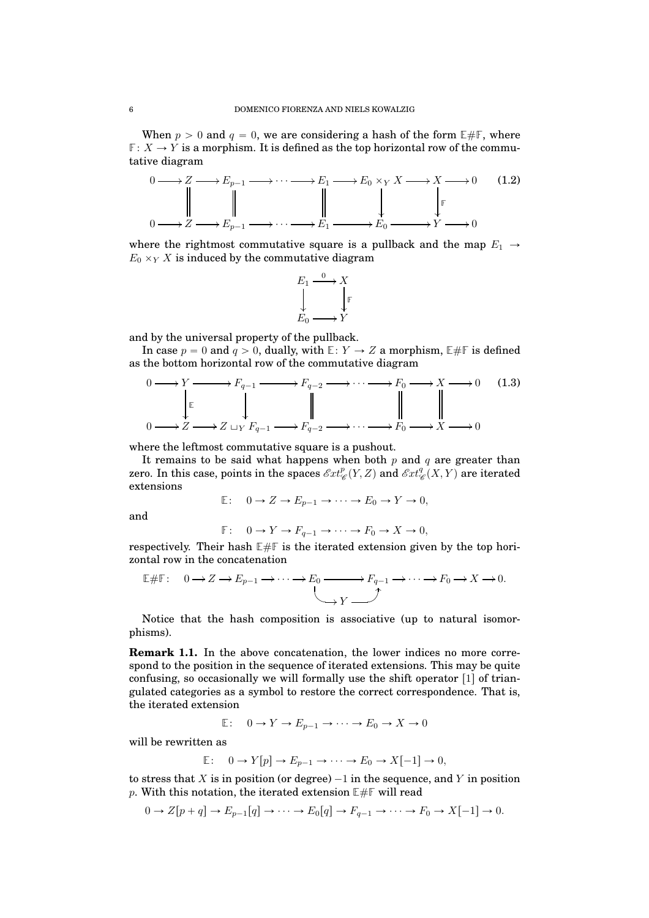When  $p > 0$  and  $q = 0$ , we are considering a hash of the form  $E \# F$ , where  $\mathbb{F}: X \to Y$  is a morphism. It is defined as the top horizontal row of the commutative diagram

<span id="page-5-2"></span>

where the rightmost commutative square is a pullback and the map  $E_1 \rightarrow$  $E_0 \times_Y X$  is induced by the commutative diagram

$$
E_1 \xrightarrow{0} X
$$
  
\n
$$
\downarrow \qquad \qquad \downarrow \qquad \qquad F
$$
  
\n
$$
E_0 \longrightarrow Y
$$

and by the universal property of the pullback.

In case  $p = 0$  and  $q > 0$ , dually, with  $E: Y \to Z$  a morphism,  $E \# F$  is defined as the bottom horizontal row of the commutative diagram

<span id="page-5-1"></span>
$$
0 \longrightarrow Y \longrightarrow F_{q-1} \longrightarrow F_{q-2} \longrightarrow \cdots \longrightarrow F_0 \longrightarrow X \longrightarrow 0 \quad (1.3)
$$
  
\n
$$
\downarrow \qquad \qquad \downarrow \qquad \qquad \downarrow \qquad \qquad \downarrow
$$
  
\n
$$
0 \longrightarrow Z \longrightarrow Z \sqcup_Y F_{q-1} \longrightarrow F_{q-2} \longrightarrow \cdots \longrightarrow F_0 \longrightarrow X \longrightarrow 0
$$

where the leftmost commutative square is a pushout.

It remains to be said what happens when both  $p$  and  $q$  are greater than zero. In this case, points in the spaces  $\mathscr{E}xt_{\mathscr{C}}^p(Y,Z)$  and  $\mathscr{E}xt_{\mathscr{C}}^q(X,Y)$  are iterated extensions

$$
\mathbb{E}: \quad 0 \to Z \to E_{p-1} \to \cdots \to E_0 \to Y \to 0,
$$

and

$$
\mathbb{F}: \quad 0 \to Y \to F_{q-1} \to \cdots \to F_0 \to X \to 0,
$$

respectively. Their hash  $E \# F$  is the iterated extension given by the top horizontal row in the concatenation

$$
\mathbb{E} \# \mathbb{F}: \quad 0 \to Z \to E_{p-1} \to \cdots \to E_0 \xrightarrow{\qquad} F_{q-1} \to \cdots \to F_0 \to X \to 0.
$$

Notice that the hash composition is associative (up to natural isomorphisms).

<span id="page-5-0"></span>**Remark 1.1.** In the above concatenation, the lower indices no more correspond to the position in the sequence of iterated extensions. This may be quite confusing, so occasionally we will formally use the shift operator  $\lceil 1 \rceil$  of triangulated categories as a symbol to restore the correct correspondence. That is, the iterated extension

$$
\mathbb{E}: \quad 0 \to Y \to E_{p-1} \to \cdots \to E_0 \to X \to 0
$$

will be rewritten as

$$
\mathbb{E}: \quad 0 \to Y[p] \to E_{p-1} \to \cdots \to E_0 \to X[-1] \to 0,
$$

to stress that  $X$  is in position (or degree)  $-1$  in the sequence, and  $Y$  in position p. With this notation, the iterated extension  $E \# F$  will read

$$
0 \to Z[p+q] \to E_{p-1}[q] \to \cdots \to E_0[q] \to F_{q-1} \to \cdots \to F_0 \to X[-1] \to 0.
$$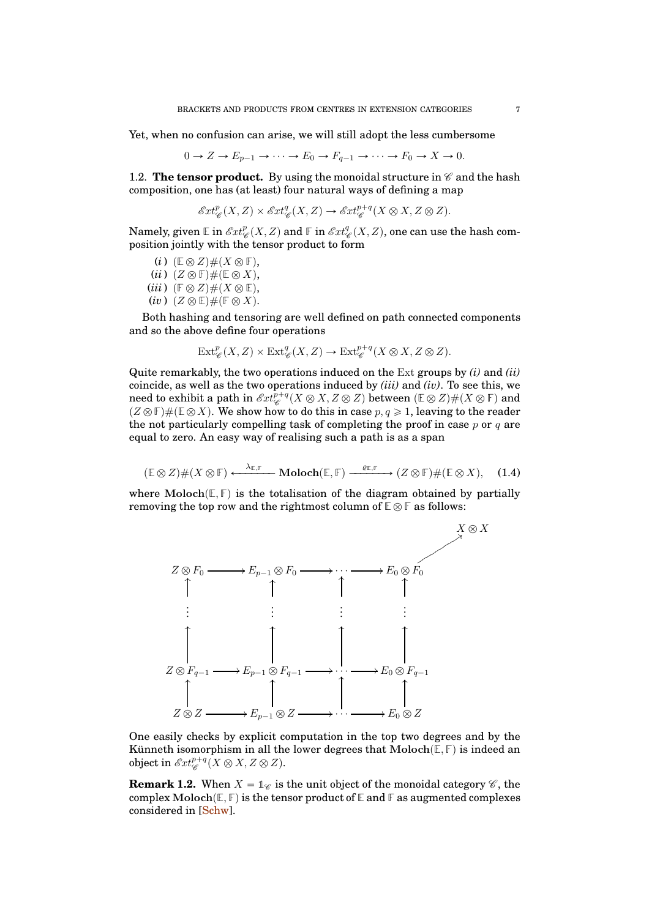Yet, when no confusion can arise, we will still adopt the less cumbersome

$$
0 \to Z \to E_{p-1} \to \cdots \to E_0 \to F_{q-1} \to \cdots \to F_0 \to X \to 0.
$$

<span id="page-6-0"></span>1.2. **The tensor product.** By using the monoidal structure in  $\mathscr{C}$  and the hash composition, one has (at least) four natural ways of defining a map

$$
\mathcal{E}xt_{\mathscr{C}}^p(X,Z)\times\mathcal{E}xt_{\mathscr{C}}^q(X,Z)\to\mathcal{E}xt_{\mathscr{C}}^{p+q}(X\otimes X,Z\otimes Z).
$$

Namely, given  $\mathbb E$  in  $\mathscr{E}xt^p_{\mathscr{C}}(X,Z)$  and  $\mathbb F$  in  $\mathscr{E}xt^q_{\mathscr{C}}(X,Z),$  one can use the hash composition jointly with the tensor product to form

 $(i)$   $(\mathbb{E} \otimes Z) \# (X \otimes \mathbb{F}),$  $(ii)$   $(Z \otimes \mathbb{F}) \# (\mathbb{E} \otimes X),$  $(iii)$   $(\mathbb{F} \otimes Z) \# (X \otimes \mathbb{E}),$  $(iv)$   $(Z \otimes \mathbb{E}) \# (\mathbb{F} \otimes X).$ 

Both hashing and tensoring are well defined on path connected components and so the above define four operations

$$
\text{Ext}^p_{\mathscr{C}}(X,Z) \times \text{Ext}^q_{\mathscr{C}}(X,Z) \to \text{Ext}^{p+q}_{\mathscr{C}}(X \otimes X, Z \otimes Z).
$$

Quite remarkably, the two operations induced on the Ext groups by *(i)* and *(ii)* coincide, as well as the two operations induced by *(iii)* and *(iv)*. To see this, we need to exhibit a path in  $\mathscr{E}xt^{p+q}_{\mathscr{C}}(X\otimes X, Z\otimes Z)$  between  $(\mathbb{E}\otimes Z)\#(X\otimes \mathbb{F})$  and  $(Z \otimes \mathbb{F}) \#(\mathbb{E} \otimes X)$ . We show how to do this in case  $p, q \geq 1$ , leaving to the reader the not particularly compelling task of completing the proof in case  $p$  or  $q$  are equal to zero. An easy way of realising such a path is as a span

<span id="page-6-1"></span>
$$
(\mathbb{E}\otimes Z)\#(X\otimes\mathbb{F})\xleftarrow{\lambda_{\mathbb{E},\mathbb{F}}} \mathbf{Moloch}(\mathbb{E},\mathbb{F})\xrightarrow{\varrho_{\mathbb{E},\mathbb{F}}} (Z\otimes\mathbb{F})\#(\mathbb{E}\otimes X),\quad (1.4)
$$

where  $\text{Moloch}(\mathbb{E}, \mathbb{F})$  is the totalisation of the diagram obtained by partially removing the top row and the rightmost column of  $\mathbb{E} \otimes \mathbb{F}$  as follows:



One easily checks by explicit computation in the top two degrees and by the Künneth isomorphism in all the lower degrees that  $\text{Moloch}(\mathbb{E}, \mathbb{F})$  is indeed an object in  $\mathscr{E}xt^{p+q}_{\mathscr{C}}(X\otimes X,Z\otimes Z).$ 

**Remark 1.2.** When  $X = \mathbb{1}_{\mathscr{C}}$  is the unit object of the monoidal category  $\mathscr{C}$ , the complex  $\text{Moloch}(\mathbb{E}, \mathbb{F})$  is the tensor product of  $\mathbb{E}$  and  $\mathbb{F}$  as augmented complexes considered in [\[Schw\]](#page-41-4).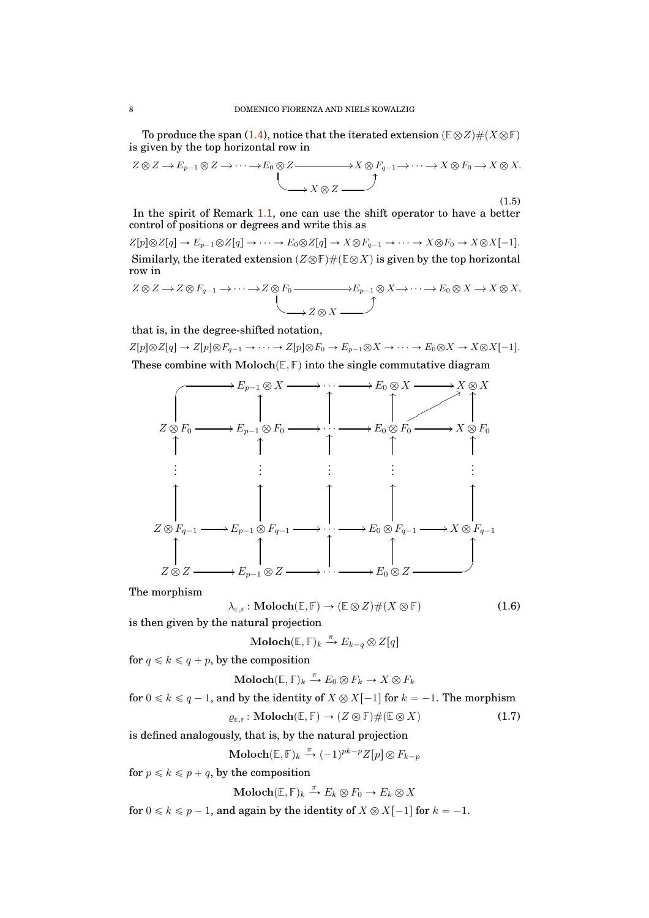To produce the span [\(1.4\)](#page-6-1), notice that the iterated extension  $(\mathbb{E} \otimes Z) \# (X \otimes \mathbb{F})$ is given by the top horizontal row in

<span id="page-7-2"></span>
$$
Z \otimes Z \to E_{p-1} \otimes Z \to \cdots \to E_0 \otimes Z \xrightarrow{\qquad} X \otimes F_{q-1} \to \cdots \to X \otimes F_0 \to X \otimes X.
$$
\n
$$
\xrightarrow{\qquad} X \otimes Z \xrightarrow{\qquad} (1.5)
$$

In the spirit of Remark [1.1,](#page-5-0) one can use the shift operator to have a better control of positions or degrees and write this as

 $Z[p] \otimes Z[q] \to E_{p-1} \otimes Z[q] \to \cdots \to E_0 \otimes Z[q] \to X \otimes F_{q-1} \to \cdots \to X \otimes F_0 \to X \otimes X[-1].$ Similarly, the iterated extension  $(Z \otimes \mathbb{F}) \#(\mathbb{E} \otimes X)$  is given by the top horizontal row in

$$
Z \otimes Z \to Z \otimes F_{q-1} \to \cdots \to Z \otimes F_0 \xrightarrow{\qquad} E_{p-1} \otimes X \to \cdots \to E_0 \otimes X \to X \otimes X,
$$
  

$$
Z \otimes X \xrightarrow{\qquad} Z \otimes X \xrightarrow{\qquad}
$$

that is, in the degree-shifted notation,

 $Z[p] \otimes Z[q] \to Z[p] \otimes F_{q-1} \to \cdots \to Z[p] \otimes F_0 \to E_{p-1} \otimes X \to \cdots \to E_0 \otimes X \to X \otimes X[-1].$ These combine with  $\text{Moloch}(\mathbb{E}, \mathbb{F})$  into the single commutative diagram



The morphism

<span id="page-7-0"></span>
$$
\lambda_{\mathbb{E},\mathbb{F}}\colon \mathbf{Modch}(\mathbb{E},\mathbb{F}) \to (\mathbb{E} \otimes Z) \# (X \otimes \mathbb{F}) \tag{1.6}
$$

is then given by the natural projection

$$
\mathbf{Moloch}(\mathbb{E}, \mathbb{F})_k \xrightarrow{\pi} E_{k-q} \otimes Z[q]
$$

for  $q \leq k \leq q + p$ , by the composition

$$
\mathbf{Moloch}(\mathbb{E}, \mathbb{F})_k \xrightarrow{\pi} E_0 \otimes F_k \to X \otimes F_k
$$

for  $0 \le k \le q-1$ , and by the identity of  $X \otimes X[-1]$  for  $k = -1$ . The morphism  $\rho_{\text{F.F}}$ : Moloch $(\mathbb{E}, \mathbb{F}) \to (Z \otimes \mathbb{F}) \# (\mathbb{E} \otimes X)$  (1.7)

is defined analogously, that is, by the natural projection

<span id="page-7-1"></span>
$$
\mathbf{Moloch}(\mathbb{E}, \mathbb{F})_k \xrightarrow{\pi} (-1)^{pk-p} Z[p] \otimes F_{k-p}
$$

for  $p \leq k \leq p + q$ , by the composition

 $\textbf{Moloch}(\mathbb{E}, \mathbb{F})_k \stackrel{\pi}{\to} E_k \otimes F_0 \to E_k \otimes X$ 

for  $0 \le k \le p - 1$ , and again by the identity of  $X \otimes X[-1]$  for  $k = -1$ .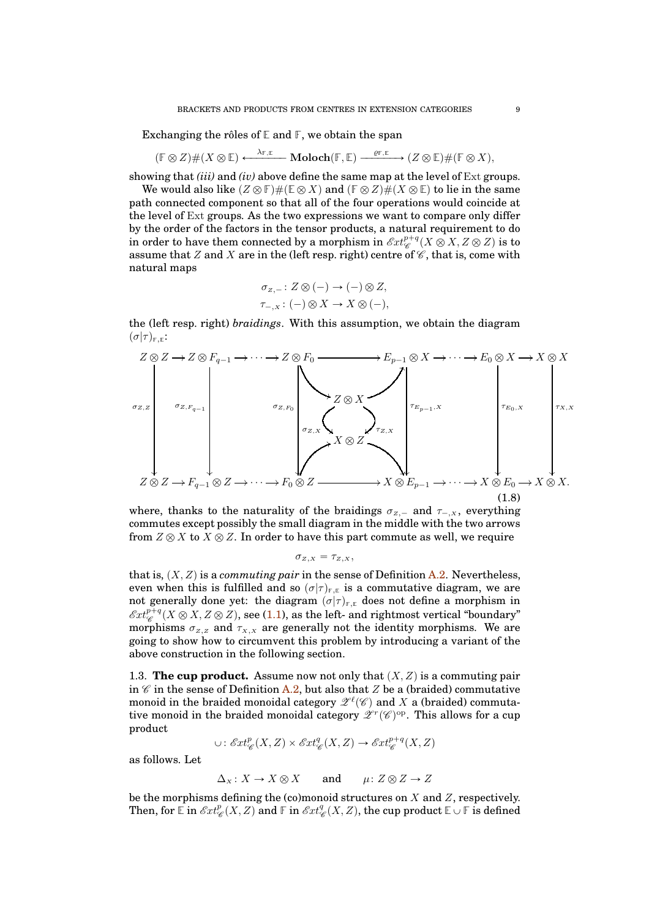Exchanging the rôles of **E** and **F**, we obtain the span

 $(F \otimes Z) \#(X \otimes \mathbb{E}) \longleftrightarrow \lambda_{\mathbb{F}, \mathbb{E}}$  **Moloch** $(\mathbb{F}, \mathbb{E}) \longrightarrow \ell_{\mathbb{F}, \mathbb{E}}$   $(Z \otimes \mathbb{E}) \#(\mathbb{F} \otimes X),$ 

showing that *(iii)* and *(iv)* above define the same map at the level of Ext groups.

We would also like  $(Z \otimes \mathbb{F}) \# (\mathbb{E} \otimes X)$  and  $(\mathbb{F} \otimes Z) \# (X \otimes \mathbb{E})$  to lie in the same path connected component so that all of the four operations would coincide at the level of Ext groups. As the two expressions we want to compare only differ by the order of the factors in the tensor products, a natural requirement to do in order to have them connected by a morphism in  $\mathscr{E}\!xt^{p+q}_{\mathscr{C}}(X\otimes X,Z\otimes Z)$  is to assume that Z and X are in the (left resp. right) centre of  $\mathscr{C}$ , that is, come with natural maps

$$
\sigma_{Z,-}: Z \otimes (-) \to (-) \otimes Z,
$$
  

$$
\tau_{-,X}: (-) \otimes X \to X \otimes (-),
$$

the (left resp. right) *braidings*. With this assumption, we obtain the diagram  $(\sigma|\tau)_{\text{F.F}}$ :

<span id="page-8-1"></span>

where, thanks to the naturality of the braidings  $\sigma_{Z,-}$  and  $\tau_{-,X}$ , everything commutes except possibly the small diagram in the middle with the two arrows from  $Z \otimes X$  to  $X \otimes Z$ . In order to have this part commute as well, we require

$$
\sigma_{z,x} = \tau_{z,x},
$$

that is,  $(X, Z)$  is a *commuting pair* in the sense of Definition [A.2.](#page-37-1) Nevertheless, even when this is fulfilled and so  $(\sigma|\tau)_{F,E}$  is a commutative diagram, we are not generally done yet: the diagram  $(\sigma|\tau)_{F,E}$  does not define a morphism in  $\mathscr{E}\hspace{-0.01cm}xt^{p+q}_{\mathscr{C}}(X\otimes X, Z\otimes Z),$  see [\(1.1\)](#page-4-1), as the left- and rightmost vertical "boundary" morphisms  $\sigma_{Z,Z}$  and  $\tau_{X,X}$  are generally not the identity morphisms. We are going to show how to circumvent this problem by introducing a variant of the above construction in the following section.

<span id="page-8-0"></span>1.3. **The cup product.** Assume now not only that  $(X, Z)$  is a commuting pair in  $\mathscr C$  in the sense of Definition [A.2,](#page-37-1) but also that  $Z$  be a (braided) commutative monoid in the braided monoidal category  $\mathscr{Z}^{\ell}(\mathscr{C})$  and  $X$  a (braided) commutative monoid in the braided monoidal category  $\mathscr{Z}^r(\mathscr{C})^{\mathrm{op}}$ . This allows for a cup product

$$
\cup: \mathscr{E}xt^p_{\mathscr{C}}(X,Z)\times \mathscr{E}xt^q_{\mathscr{C}}(X,Z)\rightarrow \mathscr{E}xt^{p+q}_{\mathscr{C}}(X,Z)
$$

as follows. Let

 $\Delta_X: X \to X \otimes X$  and  $\mu: Z \otimes Z \to Z$ 

be the morphisms defining the (co)monoid structures on  $X$  and  $Z$ , respectively. Then, for  $\mathbb{E}$  in  $\mathscr{E}xt_{\mathscr{C}}^p(X,Z)$  and  $\mathbb{F}$  in  $\mathscr{E}xt_{\mathscr{C}}^q(X,Z),$  the cup product  $\mathbb{E}\cup\mathbb{F}$  is defined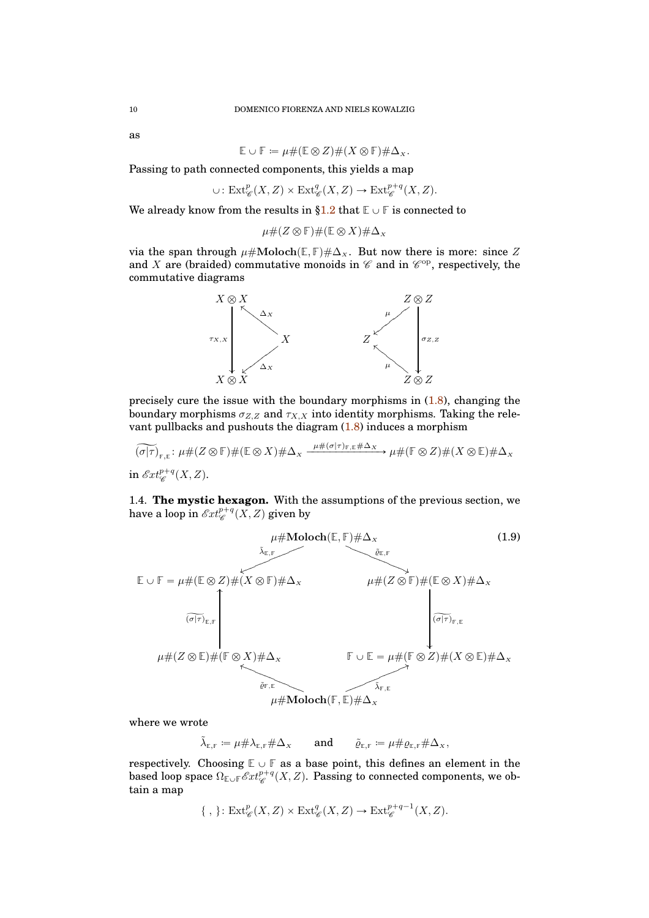as

$$
\mathbb{E} \cup \mathbb{F} \coloneqq \mu \# (\mathbb{E} \otimes Z) \# (X \otimes \mathbb{F}) \# \Delta_X.
$$

Passing to path connected components, this yields a map

$$
\cup: \mathrm{Ext}^p_{\mathscr{C}}(X,Z) \times \mathrm{Ext}^q_{\mathscr{C}}(X,Z) \to \mathrm{Ext}^{p+q}_{\mathscr{C}}(X,Z).
$$

We already know from the results in  $\S1.2$  that  $E \cup F$  is connected to

$$
\mu\#(Z\otimes\mathbb{F})\#(\mathbb{E}\otimes X)\#\Delta_x
$$

via the span through  $\mu \# \text{Moloch}(\mathbb{E}, \mathbb{F}) \# \Delta_x$ . But now there is more: since Z and X are (braided) commutative monoids in  $\mathscr C$  and in  $\mathscr C^{\mathrm{op}}$ , respectively, the commutative diagrams



precisely cure the issue with the boundary morphisms in  $(1.8)$ , changing the boundary morphisms  $\sigma_{Z,Z}$  and  $\tau_{X,X}$  into identity morphisms. Taking the relevant pullbacks and pushouts the diagram  $(1.8)$  induces a morphism

$$
\widetilde{(\sigma|\tau)}_{\mathbb{F},\mathbb{E}}: \mu\#(Z\otimes\mathbb{F})\#(\mathbb{E}\otimes X)\#\Delta_{X} \xrightarrow{\mu\#(\sigma|\tau)\mathbb{F},\mathbb{E}\#\Delta_{X}} \mu\#(\mathbb{F}\otimes Z)\#(X\otimes\mathbb{E})\#\Delta_{X}
$$
  
in  $\mathscr{E}xt_{\mathscr{C}}^{p+q}(X,Z).$ 

<span id="page-9-0"></span>1.4. **The mystic hexagon.** With the assumptions of the previous section, we have a loop in  $\mathscr{E}\hspace{-1pt}xt^{p+q}_{\mathscr{C}}(X,Z)$  given by

<span id="page-9-1"></span>

where we wrote

 $\tilde{\lambda}_{\varepsilon,\mathbf{F}} \coloneqq \mu \# \lambda_{\varepsilon,\mathbf{F}} \# \Delta_x$  and  $\tilde{\varrho}_{\varepsilon,\mathbf{F}} \coloneqq \mu \# \varrho_{\varepsilon,\mathbf{F}} \# \Delta_x,$ 

respectively. Choosing  $\mathbb{E} \cup \mathbb{F}$  as a base point, this defines an element in the based loop space  $\Omega_{\mathbb{E} \cup \mathbb{F}} \mathscr{E}xt^{p+q}_{\mathscr{C}}(X,Z)$ . Passing to connected components, we obtain a map

$$
\{ , \} \colon \mathrm{Ext}^p_{\mathscr{C}}(X, Z) \times \mathrm{Ext}^q_{\mathscr{C}}(X, Z) \to \mathrm{Ext}^{p+q-1}_{\mathscr{C}}(X, Z).
$$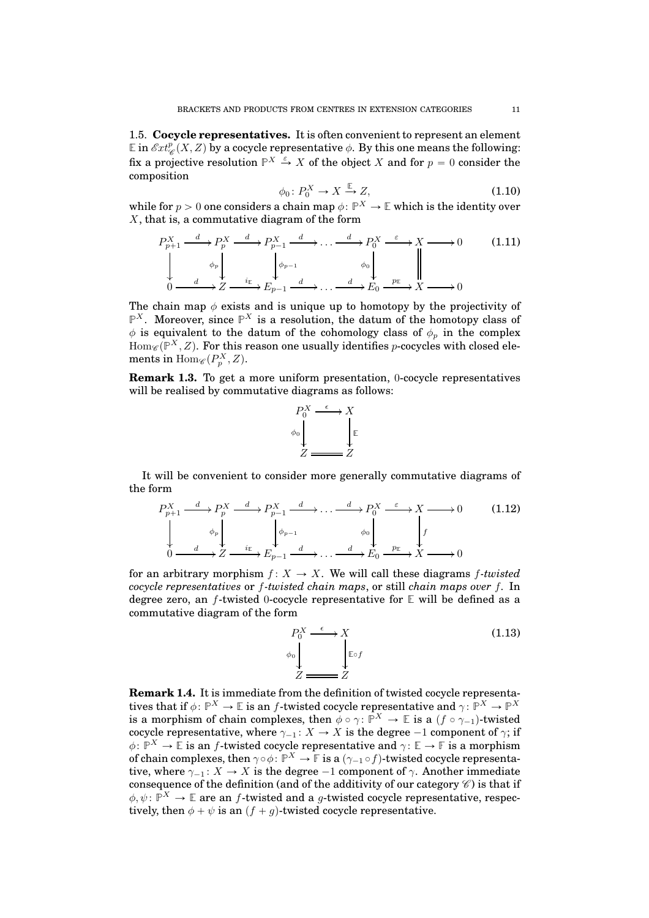<span id="page-10-0"></span>1.5. **Cocycle representatives.** It is often convenient to represent an element  $\mathbb{E}$  in  $\mathscr{E}xt_{\mathscr{C}}^p(X,Z)$  by a cocycle representative  $\phi$ . By this one means the following: fix a projective resolution  $\mathbb{P}^X \stackrel{\varepsilon}{\to} X$  of the object X and for  $p = 0$  consider the composition

<span id="page-10-2"></span>
$$
\phi_0 \colon P_0^X \to X \xrightarrow{\mathbb{E}} Z,\tag{1.10}
$$

while for  $p > 0$  one considers a chain map  $\phi \colon \mathbb{P}^X \to \mathbb{E}$  which is the identity over X, that is, a commutative diagram of the form

<span id="page-10-1"></span>
$$
P_{p+1}^X \xrightarrow{d} P_p^X \xrightarrow{d} P_{p-1}^X \xrightarrow{d} \dots \xrightarrow{d} P_0^X \xrightarrow{\varepsilon} X \longrightarrow 0 \tag{1.11}
$$
\n
$$
\downarrow \qquad \downarrow \qquad \downarrow \qquad \downarrow \qquad \downarrow \qquad \downarrow \qquad \downarrow \qquad \downarrow \qquad \downarrow \qquad \downarrow \qquad \downarrow \qquad \downarrow \qquad \downarrow \qquad \downarrow \qquad \downarrow \qquad \downarrow \qquad \downarrow \qquad \downarrow \qquad \downarrow \qquad \downarrow \qquad \downarrow \qquad \downarrow \qquad \downarrow \qquad \downarrow \qquad \downarrow \qquad \downarrow \qquad \downarrow \qquad \downarrow \qquad \downarrow \qquad \downarrow \qquad \downarrow \qquad \downarrow \qquad \downarrow \qquad \downarrow \qquad \downarrow \qquad \downarrow \qquad \downarrow \qquad \downarrow \qquad \downarrow \qquad \downarrow \qquad \downarrow \qquad \downarrow \qquad \downarrow \qquad \downarrow \qquad \downarrow \qquad \downarrow \qquad \downarrow \qquad \downarrow \qquad \downarrow \qquad \downarrow \qquad \downarrow \qquad \downarrow \qquad \downarrow \qquad \downarrow \qquad \downarrow \qquad \downarrow \qquad \downarrow \qquad \downarrow \qquad \downarrow \qquad \downarrow \qquad \downarrow \qquad \downarrow \qquad \downarrow \qquad \downarrow \qquad \downarrow \qquad \downarrow \qquad \downarrow \qquad \downarrow \qquad \downarrow \qquad \downarrow \qquad \downarrow \qquad \downarrow \qquad \downarrow \qquad \downarrow \qquad \downarrow \qquad \downarrow \qquad \downarrow \qquad \downarrow \qquad \downarrow \qquad \downarrow \qquad \downarrow \qquad \downarrow \qquad \downarrow \qquad \downarrow \qquad \downarrow \qquad \downarrow \qquad \downarrow \qquad \downarrow \qquad \downarrow \qquad \downarrow \qquad \downarrow \qquad \downarrow \qquad \downarrow \qquad \downarrow \qquad \downarrow \qquad \downarrow \qquad \downarrow \qquad \downarrow \qquad \downarrow \qquad \downarrow \qquad \downarrow \qquad \downarrow \qquad \downarrow \qquad \downarrow \qquad \downarrow \qquad \downarrow \qquad \downarrow \qquad \downarrow \qquad \downarrow \qquad \downarrow \qquad \downarrow \qquad \downarrow \qquad \downarrow \qquad \
$$

The chain map  $\phi$  exists and is unique up to homotopy by the projectivity of  $\mathbb{P}^{X}$ . Moreover, since  $\mathbb{P}^{X}$  is a resolution, the datum of the homotopy class of  $\phi$  is equivalent to the datum of the cohomology class of  $\phi_p$  in the complex  $\text{Hom}_{\mathscr{C}}(\mathbb{P}^X,Z)$ . For this reason one usually identifies p-cocycles with closed elements in  $\mathrm{Hom}_{\mathscr{C}}(P^X_p,Z).$ 

**Remark 1.3.** To get a more uniform presentation, 0-cocycle representatives will be realised by commutative diagrams as follows:



It will be convenient to consider more generally commutative diagrams of the form

$$
P_{p+1}^{X} \xrightarrow{d} P_{p}^{X} \xrightarrow{d} P_{p-1}^{X} \xrightarrow{d} \dots \xrightarrow{d} P_{0}^{X} \xrightarrow{\varepsilon} X \longrightarrow 0 \qquad (1.12)
$$
  

$$
\downarrow \qquad \downarrow \qquad \downarrow \qquad \downarrow \qquad \downarrow \qquad \downarrow \qquad \downarrow \qquad \downarrow \qquad \downarrow \qquad \downarrow
$$
  

$$
0 \xrightarrow{d} Z \xrightarrow{i_{\mathbb{E}}} E_{p-1} \xrightarrow{d} \dots \xrightarrow{d} E_{0} \xrightarrow{p_{\mathbb{E}}} X \longrightarrow 0
$$

for an arbitrary morphism  $f: X \to X$ . We will call these diagrams f-twisted *cocycle representatives* or f*-twisted chain maps*, or still *chain maps over* f*.* In degree zero, an f-twisted 0-cocycle representative for **E** will be defined as a commutative diagram of the form

<span id="page-10-3"></span>
$$
P_0^X \xrightarrow{\epsilon} X
$$
  
\n
$$
\downarrow^{\phi_0}
$$
  
\n
$$
Z \xrightarrow{\epsilon} Z
$$
  
\n
$$
(1.13)
$$
  
\n
$$
\downarrow^{\phi_0}
$$
  
\n
$$
Z \xrightarrow{\epsilon}
$$

<span id="page-10-4"></span>**Remark 1.4.** It is immediate from the definition of twisted cocycle representatives that if  $\phi\colon\mathbb{P}^X\to\mathbb{E}$  is an  $f$ -twisted cocycle representative and  $\gamma\colon\mathbb{P}^X\to\mathbb{P}^X$ is a morphism of chain complexes, then  $\phi \circ \gamma: \mathbb{P}^X \to \mathbb{E}$  is a  $(f \circ \gamma_{-1})$ -twisted cocycle representative, where  $\gamma_{-1} : X \to X$  is the degree  $-1$  component of  $\gamma$ ; if  $\phi \colon \mathbb{P}^X \to \mathbb{E}$  is an *f*-twisted cocycle representative and  $\gamma \colon \mathbb{E} \to \mathbb{F}$  is a morphism of chain complexes, then  $\gamma \circ \phi \colon \mathbb{P}^X \to \mathbb{F}$  is a  $(\gamma_{-1} \circ f)$ -twisted cocycle representative, where  $\gamma_{-1} : X \to X$  is the degree  $-1$  component of  $\gamma$ . Another immediate consequence of the definition (and of the additivity of our category  $\mathscr C$ ) is that if  $\phi, \psi \colon \mathbb{P}^X \to \mathbb{E}$  are an f-twisted and a g-twisted cocycle representative, respectively, then  $\phi + \psi$  is an  $(f + g)$ -twisted cocycle representative.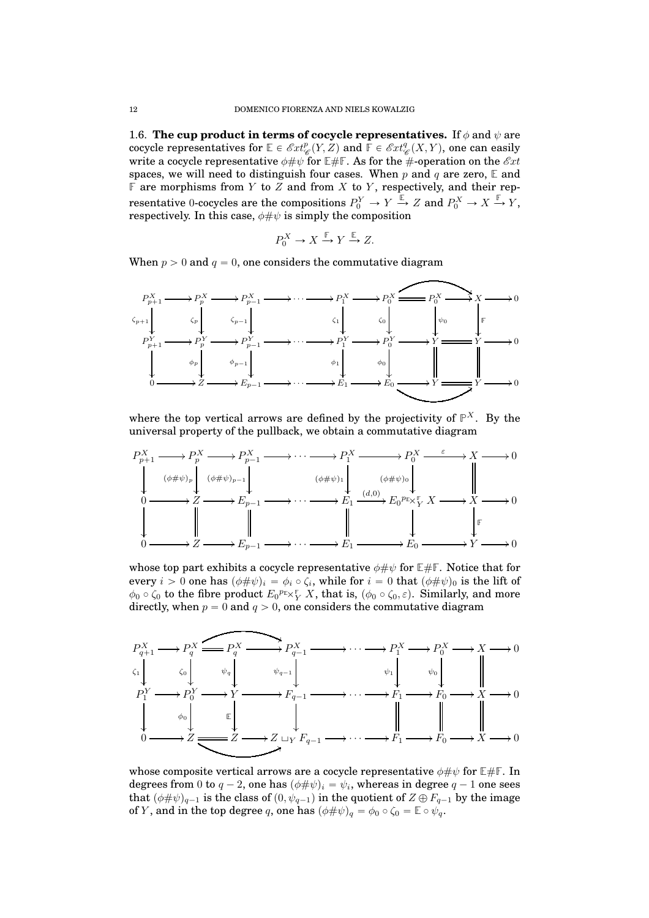<span id="page-11-0"></span>1.6. **The cup product in terms of cocycle representatives.** If  $\phi$  and  $\psi$  are cocycle representatives for  $\mathbb{E} \in \mathcal{E}xt_{\mathscr{C}}^p(Y,Z)$  and  $\overline{\mathbb{F}} \in \mathcal{E}xt_{\mathscr{C}}^q(X,Y)$ , one can easily write a cocycle representative  $\phi \# \psi$  for  $E \# F$ . As for the  $\#$ -operation on the  $\mathscr{E}xt$ spaces, we will need to distinguish four cases. When p and q are zero,  $\mathbb{E}$  and  $\mathbb F$  are morphisms from Y to Z and from X to Y, respectively, and their representative 0-cocycles are the compositions  $P_0^Y \to Y \xrightarrow{\mathbb{E}} Z$  and  $P_0^X \to X \xrightarrow{\mathbb{F}} Y$ , respectively. In this case,  $\phi \# \psi$  is simply the composition

$$
P_0^X \to X \xrightarrow{\mathbb{F}} Y \xrightarrow{\mathbb{E}} Z.
$$

When  $p > 0$  and  $q = 0$ , one considers the commutative diagram



where the top vertical arrows are defined by the projectivity of  $\mathbb{P}^{X}$ . By the universal property of the pullback, we obtain a commutative diagram



whose top part exhibits a cocycle representative  $\phi \# \psi$  for  $E \# F$ . Notice that for every  $i > 0$  one has  $(\phi \# \psi)_i = \phi_i \circ \zeta_i,$  while for  $i = 0$  that  $(\phi \# \psi)_0$  is the lift of  $\phi_0 \circ \zeta_0$  to the fibre product  $E_0^{p_{\mathbb{E}} \times \frac{\mathbb{F}}{Y}} X$ , that is,  $(\phi_0 \circ \zeta_0, \varepsilon)$ . Similarly, and more directly, when  $p = 0$  and  $q > 0$ , one considers the commutative diagram



whose composite vertical arrows are a cocycle representative  $\phi \# \psi$  for  $E \# F$ . In degrees from  $0$  to  $q-2$ , one has  $(\phi\#\psi)_i = \psi_i$ , whereas in degree  $q-1$  one sees that  $(\phi \# \psi)_{q-1}$  is the class of  $(0, \psi_{q-1})$  in the quotient of  $Z \oplus F_{q-1}$  by the image of *Y*, and in the top degree q, one has  $(\phi \# \psi)_q = \phi_0 \circ \zeta_0 = \mathbb{E} \circ \psi_q$ .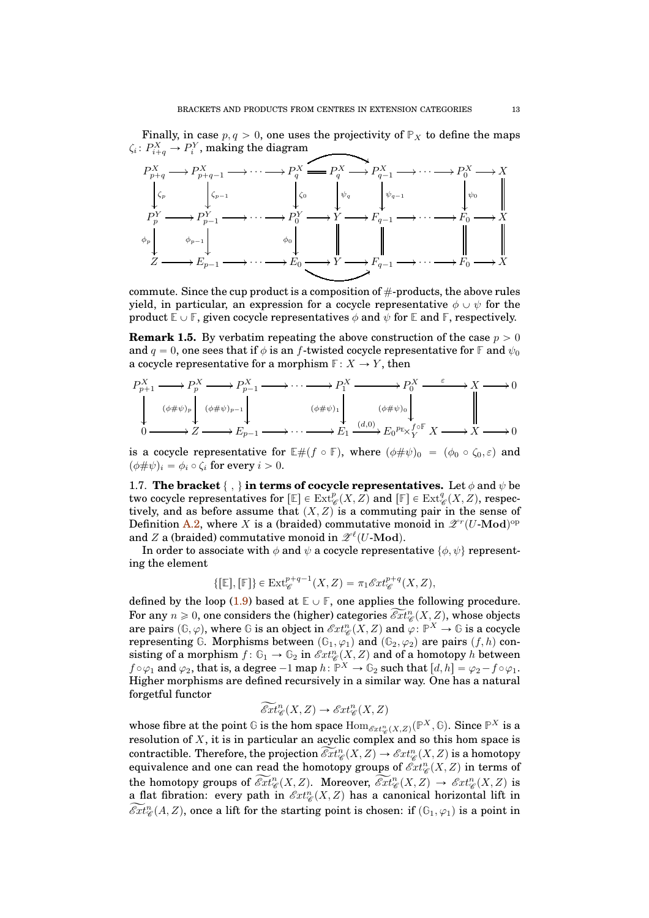Finally, in case  $p, q > 0$ , one uses the projectivity of  $\mathbb{P}_X$  to define the maps  $\zeta_i\colon P^X_{i+q}\to P^Y_i,$  making the diagram



commute. Since the cup product is a composition of  $#$ -products, the above rules yield, in particular, an expression for a cocycle representative  $\phi \cup \psi$  for the product  $\mathbb{E} \cup \mathbb{F}$ , given cocycle representatives  $\phi$  and  $\psi$  for  $\mathbb{E}$  and  $\mathbb{F}$ , respectively.

<span id="page-12-1"></span>**Remark 1.5.** By verbatim repeating the above construction of the case  $p > 0$ and  $q = 0$ , one sees that if  $\phi$  is an f-twisted cocycle representative for **F** and  $\psi_0$ a cocycle representative for a morphism  $\mathbb{F}: X \to Y$ , then

$$
P_{p+1}^X \longrightarrow P_p^X \longrightarrow P_{p-1}^X \longrightarrow \cdots \longrightarrow P_1^X \longrightarrow P_0^X \longrightarrow X \longrightarrow 0
$$
  
\n
$$
\downarrow \qquad (\phi \# \psi)_p \qquad (\phi \# \psi)_{p-1} \qquad (\phi \# \psi)_1 \qquad (\phi \# \psi)_0 \qquad \qquad \downarrow
$$
  
\n
$$
0 \longrightarrow Z \longrightarrow E_{p-1} \longrightarrow \cdots \longrightarrow E_1 \xrightarrow{(d,0)} E_0^{p_E} \chi_Y^{f \circ F} X \longrightarrow X \longrightarrow 0
$$

is a cocycle representative for  $E\#(f \circ F)$ , where  $(\phi\# \psi)_0 = (\phi_0 \circ \zeta_0, \varepsilon)$  and  $(\phi \# \psi)_i = \phi_i \circ \zeta_i$  for every  $i > 0$ .

<span id="page-12-0"></span>1.7. **The bracket**  $\{\cdot, \cdot\}$  in terms of cocycle representatives. Let  $\phi$  and  $\psi$  be two cocycle representatives for  $[\mathbb{E}] \in \mathrm{Ext}^p_\mathscr{C}(X,Z)$  and  $[\mathbb{F}] \in \mathrm{Ext}^q_\mathscr{C}(X,Z)$ , respectively, and as before assume that  $(X, Z)$  is a commuting pair in the sense of Definition [A.2,](#page-37-1) where X is a (braided) commutative monoid in  $\mathscr{Z}^r(U\text{-}\mathrm{Mod})^{\mathrm{op}}$ and Z a (braided) commutative monoid in  $\mathscr{Z}^{\ell}(U\text{-}\mathrm{Mod}).$ 

In order to associate with  $\phi$  and  $\psi$  a cocycle representative  $\{\phi, \psi\}$  representing the element

$$
\{[\mathbb{E}], [\mathbb{F}]\} \in \text{Ext}_{\mathscr{C}}^{p+q-1}(X, Z) = \pi_1 \mathscr{E}xt_{\mathscr{C}}^{p+q}(X, Z),
$$

defined by the loop [\(1.9\)](#page-9-1) based at  $E \cup F$ , one applies the following procedure. For any  $n \geqslant 0,$  one considers the (higher) categories  $\widetilde{\mathscr{E}xt}^{n}_{\mathscr{C}}(X, Z),$  whose objects are pairs  $(\mathbb{G}, \varphi)$ , where  $\mathbb{G}$  is an object in  $\mathscr{E}xt_{\mathscr{C}}^n(X, Z)$  and  $\varphi \colon \mathbb{P}^X \to \mathbb{G}$  is a cocycle representing  $G$ . Morphisms between  $(G_1, \varphi_1)$  and  $(G_2, \varphi_2)$  are pairs  $(f, h)$  consisting of a morphism  $f: \mathbb{G}_1 \to \mathbb{G}_2$  in  $\mathscr{E}xt_{\mathscr{C}}^n(X, Z)$  and of a homotopy h between  $f\circ \varphi_1$  and  $\varphi_2$ , that is, a degree  $-1$  map  $h\colon \mathbb{P}^X\to \mathbb{G}_2$  such that  $[d,h]=\varphi_2-f\circ \varphi_1.$ Higher morphisms are defined recursively in a similar way. One has a natural forgetful functor

$$
\widetilde{\mathcal{E}xt}_{\mathscr{C}}^n(X,Z)\to \mathcal{E}xt_{\mathscr{C}}^n(X,Z)
$$

whose fibre at the point  $\mathbb G$  is the hom space  $\mathrm{Hom}_{\mathscr{E}\mathrm{xt}_\mathscr{C}^n(X,Z)}(\mathbb P^X,\mathbb G).$  Since  $\mathbb P^X$  is a resolution of  $X$ , it is in particular an acyclic complex and so this hom space is contractible. Therefore, the projection  $\widetilde{\mathscr{E}xt}^n_{\mathscr{C}}(X,Z)\to\mathscr{E}xt^n_{\mathscr{C}}(X,Z)$  is a homotopy equivalence and one can read the homotopy groups of  $\mathscr{E}\mathscr{E}\mathscr{E}(X, Z)$  in terms of the homotopy groups of  $\widetilde{\mathcal{E}xt}^n_{\mathscr{C}}(X,Z)$ . Moreover,  $\widetilde{\mathcal{E}xt}^n_{\mathscr{C}}(X,Z)\to \mathcal{E}xt^n_{\mathscr{C}}(X,Z)$  is a flat fibration: every path in  $\mathscr{E}xt_{\mathscr{C}}^n(X,Z)$  has a canonical horizontal lift in  $\widetilde{ext}^n_{\mathscr{C}}(A,Z)$ , once a lift for the starting point is chosen: if  $(\mathbb{G}_1, \varphi_1)$  is a point in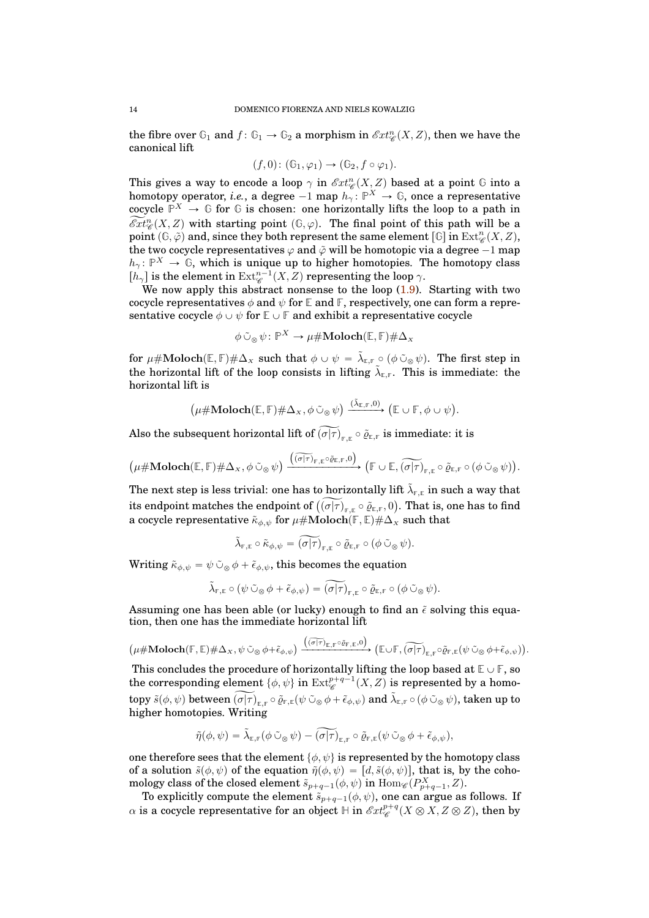the fibre over  $\mathbb{G}_1$  and  $f: \mathbb{G}_1 \to \mathbb{G}_2$  a morphism in  $\mathscr{E}xt_{\mathscr{C}}^n(X, Z)$ , then we have the canonical lift

$$
(f,0): (\mathbb{G}_1, \varphi_1) \to (\mathbb{G}_2, f \circ \varphi_1).
$$

This gives a way to encode a loop  $\gamma$  in  $\mathscr{E}xt_{\mathscr{C}}^n(X,Z)$  based at a point  $\mathbb G$  into a homotopy operator, *i.e.*, a degree  $-1$  map  $h_\gamma \colon \mathbb{P}^X \to \mathbb{G}$ , once a representative cocycle  $\mathbb{P}^X \to \mathbb{G}$  for  $\mathbb{G}$  is chosen: one horizontally lifts the loop to a path in  $\widetilde{Ext}_{\mathscr{C}}^n(X, Z)$  with starting point  $(\mathbb{G}, \varphi)$ . The final point of this path will be a point  $(\mathbb{G}, \tilde{\varphi})$  and, since they both represent the same element  $[\mathbb{G}]$  in  $\mathrm{Ext}^n_{\mathscr{C}}(X, Z)$ , the two cocycle representatives  $\varphi$  and  $\tilde{\varphi}$  will be homotopic via a degree  $-1$  map  $h_{\gamma} \colon \mathbb{P}^{X} \to \mathbb{G}$ , which is unique up to higher homotopies. The homotopy class  $[h_\gamma]$  is the element in  $\operatorname{Ext}^{n-1}_{\mathscr{C}}(X,Z)$  representing the loop  $\gamma$ .

We now apply this abstract nonsense to the loop  $(1.9)$ . Starting with two cocycle representatives  $\phi$  and  $\psi$  for **E** and **F**, respectively, one can form a representative cocycle  $\phi \cup \psi$  for  $\mathbb{E} \cup \mathbb{F}$  and exhibit a representative cocycle

$$
\phi \,\tilde{\cup}_\otimes\, \psi\colon \mathbb{P}^X \to \mu \# \mathbf{Moloch}(\mathbb{E}, \mathbb{F}) \# \Delta_X
$$

 $\textbf{for } \mu\#\textbf{Moloch}(\mathbb{E},\mathbb{F})\#\Delta_{X} \textbf{ such that } \phi\cup\psi = \tilde{\lambda}_{\mathbb{E},\mathbb{F}}\circ(\phi\,\tilde{\cup}_{\otimes}\,\psi).$  The first step in the horizontal lift of the loop consists in lifting  $\tilde{\lambda}_{\text{\tiny E,F}}$ . This is immediate: the horizontal lift is

$$
\left(\mu\#\mathbf{Moloch}(\mathbb{E},\mathbb{F})\#\Delta_{x},\phi\circlearrowright_{\otimes}\psi\right)\xrightarrow{(\tilde{\lambda}_{\mathbb{E},\mathbb{F}},0)}\left(\mathbb{E}\cup\mathbb{F},\phi\cup\psi\right).
$$

 $\Delta$ lso the subsequent horizontal lift of  $(\sigma|\tau)_{\text{\tiny F,E}} \circ \tilde{\varrho}_{\text{\tiny E,F}}$  is immediate: it is

$$
\left(\mu\#\mathbf{Moloch}(\mathbb{E},\mathbb{F})\#\Delta_{x},\phi\,\tilde{\cup}_{\otimes}\,\psi\right)\xrightarrow{\left(\widetilde{(\sigma|\tau)}_{\mathbb{F},\mathbb{E}}\circ\tilde{\varrho}_{\mathbb{E},\mathbb{F}},0\right)}\left(\mathbb{F}\cup\mathbb{E},\widetilde{(\sigma|\tau)}_{\mathbb{F},\mathbb{E}}\circ\tilde{\varrho}_{\mathbb{E},\mathbb{F}}\circ\left(\phi\,\tilde{\cup}_{\otimes}\,\psi\right)\right).
$$

The next step is less trivial: one has to horizontally lift  $\tilde{\lambda}_{\mathbb{F},\mathbb{E}}$  in such a way that its endpoint matches the endpoint of  $\widetilde{(\sigma|\tau)}_{\mathbb{F},\mathbb{E}}\circ\widetilde{\varrho}_{\mathbb{E},\mathbb{F}},0).$  That is, one has to find a cocycle representative  $\tilde{\kappa}_{\phi, \psi}$  for  $\mu \# \text{Moloch}(\mathbb{F}, \mathbb{E}) \# \Delta_x$  such that

$$
\tilde{\lambda}_{\mathbb{F},\mathbb{E}}\circ\tilde{\kappa}_{\phi,\psi}=\widetilde{(\sigma|\tau)}_{\mathbb{F},\mathbb{E}}\circ\tilde{\varrho}_{\mathbb{E},\mathbb{F}}\circ(\phi\,\tilde{\cup}_\otimes\,\psi).
$$

Writing  $\tilde{\kappa}_{\phi,\psi} = \psi \tilde{\cup}_{\infty} \phi + \tilde{\epsilon}_{\phi,\psi}$ , this becomes the equation

$$
\tilde{\lambda}_{\mathbb{F},\mathbb{E}} \circ (\psi \circ \tilde{\circ} \otimes \phi + \tilde{\epsilon}_{\phi,\psi}) = \widetilde{(\sigma|\tau)}_{\mathbb{F},\mathbb{E}} \circ \tilde{\varrho}_{\mathbb{E},\mathbb{F}} \circ (\phi \circ \tilde{\circ} \otimes \psi).
$$

Assuming one has been able (or lucky) enough to find an  $\tilde{\epsilon}$  solving this equation, then one has the immediate horizontal lift

 $\textbf{(}\mu\#\textbf{Moloch}(\mathbb{F},\mathbb{E})\#\Delta_{\scriptscriptstyle{X}},\psi\,\tilde{\cup}_\otimes\,\phi+\tilde{\epsilon}_{\phi,\psi}\textbf{)}\xrightarrow{\textbf{(}\sigma|\tau)_{\scriptscriptstyle{\mathbb{E}},\mathbb{F}}\circ\tilde{\varrho}_{\scriptscriptstyle{\mathbb{F}},\mathbb{E}},0)}}\textbf{(}\mathbb{E}\cup\mathbb{F},\widetilde{(\sigma|\tau)}_{\scriptscriptstyle{\mathbb{E}},\mathbb{F}}\circ\tilde{\varrho}_{\scriptscriptstyle{\mathbb{F}},\mathbb{E}}(\psi\,\tilde{\cup}_\otimes\,\phi+\tilde{\epsilon}_{\phi,\psi}\text$ 

This concludes the procedure of horizontally lifting the loop based at  $\mathbb{E} \cup \mathbb{F}$ , so the corresponding element  $\{\phi, \psi\}$  in  $\operatorname{Ext}^{p+q-1}_{\mathscr{C}}(X, Z)$  is represented by a homo- $\mathfrak{topy}~\tilde{s}(\phi,\psi)~\text{between}~\widetilde{(\sigma|\tau)}_{\mathbb{E},\mathbb{F}}\circ\tilde{\varrho}_{\mathbb{F},\mathbb{E}}(\psi\,\tilde{\cup}_\otimes\phi+\tilde{\epsilon}_{\phi,\psi})~\text{and}~\tilde{\lambda}_{\mathbb{E},\mathbb{F}}\circ(\phi\,\tilde{\cup}_\otimes\psi),~\text{taken up to}$ higher homotopies. Writing

$$
\tilde{\eta}(\phi,\psi)=\tilde{\lambda}_{\mathbb{E},\mathbb{F}}(\phi\,\tilde{\cup}_{\,\otimes\,}\psi)-\widetilde{(\sigma|\tau)}_{\mathbb{E},\mathbb{F}}\circ\tilde{\varrho}_{\mathbb{F},\mathbb{E}}(\psi\,\tilde{\cup}_{\,\otimes\,}\phi+\tilde{\epsilon}_{\phi,\psi}),
$$

one therefore sees that the element  $\{\phi, \psi\}$  is represented by the homotopy class of a solution  $\tilde{s}(\phi, \psi)$  of the equation  $\tilde{\eta}(\phi, \psi) = [d, \tilde{s}(\phi, \psi)]$ , that is, by the cohomology class of the closed element  $\tilde s_{p+q-1}(\phi, \psi)$  in  $\mathrm{Hom}_{\mathscr{C}}(P^X_{p+q-1}, Z).$ 

To explicitly compute the element  $\tilde{s}_{p+q-1}(\phi, \psi)$ , one can argue as follows. If  $\alpha$  is a cocycle representative for an object  $\mathbb H$  in  $\mathscr{E}xt^{p+q}_\mathscr{C}(X\otimes X,Z\otimes Z),$  then by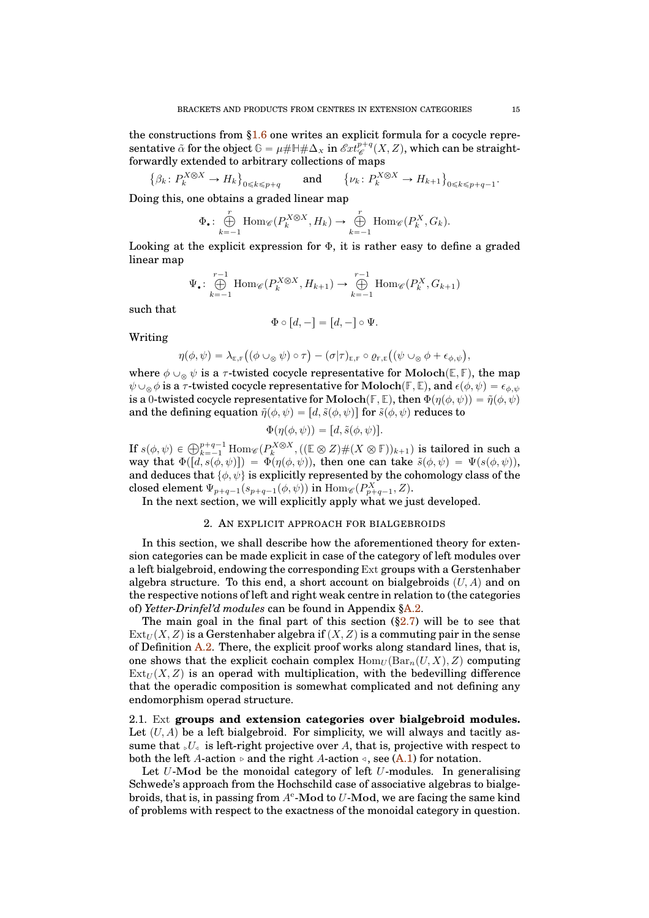the constructions from [§1.6](#page-11-0) one writes an explicit formula for a cocycle repre- $\text{sentative } \tilde{\alpha} \text{ for the object } \mathbb{G} = \mu \# \mathbb{H} \# \Delta_X \text{ in } \mathscr{E}xt^{p+q}_\mathscr{C}(X,Z), \text{ which can be straight-}$ forwardly extended to arbitrary collections of maps

 $\{\beta_k: P_k^{X \otimes X} \to H_k\}_{0 \le k \le p+q}$  and  $\{\nu_k: P_k^{X \otimes X} \to H_{k+1}\}_{0 \le k \le p+q-1}$ .

Doing this, one obtains a graded linear map

$$
\Phi_{\bullet}: \bigoplus_{k=-1}^{r} \text{Hom}_{\mathscr{C}}(P_{k}^{X \otimes X}, H_{k}) \to \bigoplus_{k=-1}^{r} \text{Hom}_{\mathscr{C}}(P_{k}^{X}, G_{k}).
$$

Looking at the explicit expression for  $\Phi$ , it is rather easy to define a graded linear map

$$
\Psi_{\bullet}: \bigoplus_{k=-1}^{r-1} \text{Hom}_{\mathscr{C}}(P_k^{X \otimes X}, H_{k+1}) \to \bigoplus_{k=-1}^{r-1} \text{Hom}_{\mathscr{C}}(P_k^X, G_{k+1})
$$

such that

$$
\Phi \circ [d, -] = [d, -] \circ \Psi.
$$

Writing

$$
\eta(\phi,\psi)=\lambda_{\mathbb{E},\mathbb{F}}\big((\phi\cup_{\otimes}\psi)\circ\tau\big)-(\sigma|\tau)_{\mathbb{E},\mathbb{F}}\circ\varrho_{\mathbb{F},\mathbb{E}}\big((\psi\cup_{\otimes}\phi+\epsilon_{\phi,\psi}\big),
$$

where  $\phi \cup_{\otimes} \psi$  is a  $\tau$ -twisted cocycle representative for Moloch $(\mathbb{E}, \mathbb{F})$ , the map  $\psi\cup_{\otimes}\phi$  is a  $\tau$ -twisted cocycle representative for Moloch $(\mathbb{F}, \mathbb{E})$ , and  $\epsilon(\phi, \psi) = \epsilon_{\phi, \psi}$ is a 0-twisted cocycle representative for Moloch $(F, \mathbb{E})$ , then  $\Phi(\eta(\phi, \psi)) = \tilde{\eta}(\phi, \psi)$ and the defining equation  $\tilde{\eta}(\phi, \psi) = [d, \tilde{s}(\phi, \psi)]$  for  $\tilde{s}(\phi, \psi)$  reduces to

$$
\Phi(\eta(\phi,\psi)) = [d, \tilde{s}(\phi,\psi)].
$$

If  $s(\phi, \psi) \in \bigoplus_{k=-1}^{p+q-1} \text{Hom}_{\mathscr{C}}(P_k^{X \otimes X}, ((\mathbb{E} \otimes Z) \# (X \otimes \mathbb{F}))_{k+1})$  is tailored in such a way that  $\Phi([d, s(\phi, \psi)]) = \Phi(\eta(\phi, \psi))$ , then one can take  $\tilde{s}(\phi, \psi) = \Psi(s(\phi, \psi))$ , and deduces that  $\{\phi, \psi\}$  is explicitly represented by the cohomology class of the closed element  $\Psi_{p+q-1}(s_{p+q-1}(\phi, \psi))$  in  $\mathrm{Hom}_{\mathscr{C}}(P^X_{p+q-1}, Z)$ .

<span id="page-14-0"></span>In the next section, we will explicitly apply what we just developed.

## 2. AN EXPLICIT APPROACH FOR BIALGEBROIDS

In this section, we shall describe how the aforementioned theory for extension categories can be made explicit in case of the category of left modules over a left bialgebroid, endowing the corresponding Ext groups with a Gerstenhaber algebra structure. To this end, a short account on bialgebroids  $(U, A)$  and on the respective notions of left and right weak centre in relation to (the categories of) *Yetter-Drinfel'd modules* can be found in Appendix [§A.2.](#page-37-2)

The main goal in the final part of this section  $(\S2.7)$  will be to see that  $Ext_U(X, Z)$  is a Gerstenhaber algebra if  $(X, Z)$  is a commuting pair in the sense of Definition  $A.2$ . There, the explicit proof works along standard lines, that is, one shows that the explicit cochain complex  $\text{Hom}_U(\text{Bar}_n(U, X), Z)$  computing  $Ext_U(X, Z)$  is an operad with multiplication, with the bedevilling difference that the operadic composition is somewhat complicated and not defining any endomorphism operad structure.

<span id="page-14-1"></span>2.1. Ext **groups and extension categories over bialgebroid modules.** Let  $(U, A)$  be a left bialgebroid. For simplicity, we will always and tacitly assume that  $\mathcal{U}_s$  is left-right projective over A, that is, projective with respect to both the left A-action  $\triangleright$  and the right A-action  $\triangleleft$ , see [\(A.1\)](#page-37-3) for notation.

Let  $U$ -Mod be the monoidal category of left  $U$ -modules. In generalising Schwede's approach from the Hochschild case of associative algebras to bialgebroids, that is, in passing from  $A^e$ -Mod to  $U$ -Mod, we are facing the same kind of problems with respect to the exactness of the monoidal category in question.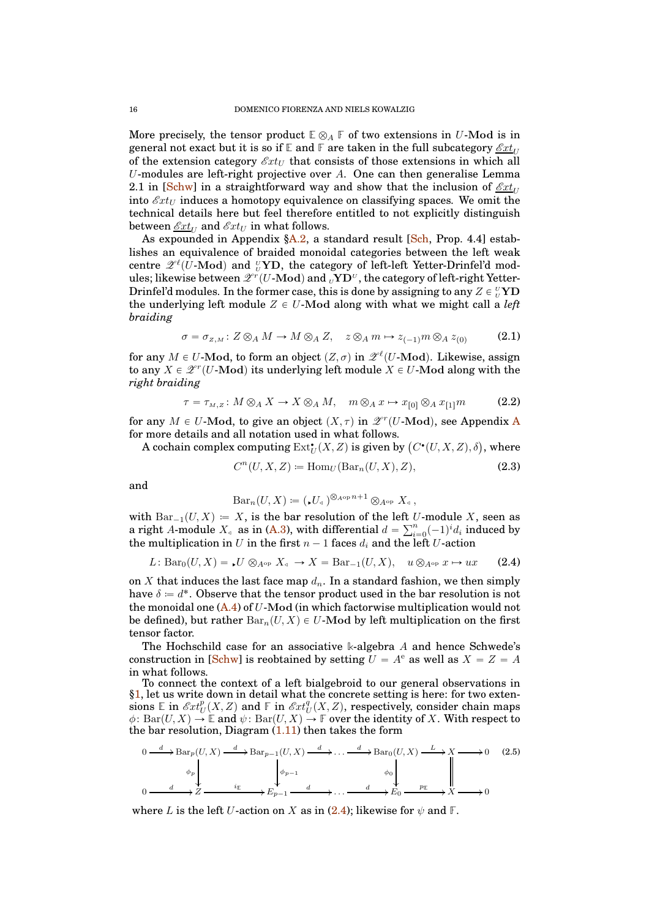More precisely, the tensor product  $\mathbb{E} \otimes_A \mathbb{F}$  of two extensions in U-Mod is in general not exact but it is so if  $\mathbb{E}$  and  $\mathbb{F}$  are taken in the full subcategory  $\mathscr{E}xt_{U}$ of the extension category  $\mathscr{E}xt_U$  that consists of those extensions in which all U-modules are left-right projective over A. One can then generalise Lemma 2.1 in [\[Schw\]](#page-41-4) in a straightforward way and show that the inclusion of  $\mathscr{E}xt_U$ into  $\mathscr{E}xt_U$  induces a homotopy equivalence on classifying spaces. We omit the technical details here but feel therefore entitled to not explicitly distinguish between  $\mathcal{E}xt_U$  and  $\mathcal{E}xt_U$  in what follows.

As expounded in Appendix  $\AA$ . a standard result [\[Sch,](#page-41-8) Prop. 4.4] establishes an equivalence of braided monoidal categories between the left weak centre  $\mathscr{Z}^{\ell}(\bar{U}\text{-}\mathrm{Mod})$  and  ${^U_V}\mathbf{YD},$  the category of left-left Yetter-Drinfel'd modules; likewise between  $\mathscr{Z}^r(U\text{-}\mathrm{Mod})$  and  ${}_U\mathbf{Y}\mathbf{D}^{\scriptscriptstyle U}$  , the category of left-right Yetter-Drinfel'd modules. In the former case, this is done by assigning to any  $Z \in {}_U^{\nu}{\bf YD}$ the underlying left module  $Z \in U$ -Mod along with what we might call a *left braiding*

<span id="page-15-4"></span>
$$
\sigma = \sigma_{z,M} : Z \otimes_A M \to M \otimes_A Z, \quad z \otimes_A m \mapsto z_{(-1)}m \otimes_A z_{(0)} \tag{2.1}
$$

for any  $M \in U$ -Mod, to form an object  $(Z, \sigma)$  in  $\mathscr{Z}^{\ell}(U\text{-}\mathrm{Mod})$ . Likewise, assign to any  $X \in \mathscr{Z}^r(U\text{-}\mathrm{Mod})$  its underlying left module  $X \in U\text{-}\mathrm{Mod}$  along with the *right braiding*

<span id="page-15-3"></span>
$$
\tau = \tau_{M,Z} : M \otimes_A X \to X \otimes_A M, \quad m \otimes_A x \mapsto x_{[0]} \otimes_A x_{[1]}m \tag{2.2}
$$

for any  $M \in U$ -Mod, to give an object  $(X, \tau)$  in  $\mathscr{Z}^r(U\text{-}\mathbf{Mod})$ , see [A](#page-36-0)ppendix A for more details and all notation used in what follows.

A cochain complex computing  $\mathrm{Ext}^{\bullet}_U(X,Z)$  is given by  $\big(C^{\bullet}(U,X,Z),\delta\big)$ , where

<span id="page-15-1"></span>
$$
C^n(U, X, Z) := \text{Hom}_U(\text{Bar}_n(U, X), Z), \tag{2.3}
$$

and

$$
\mathrm{Bar}_n(U, X) \coloneqq (\mathcal{A}U_{\mathcal{A}})^{\otimes_{A^{\mathrm{op}}} n+1} \otimes_{A^{\mathrm{op}}} X_{\mathcal{A}} ,
$$

with  $Bar_{-1}(U, X) = X$ , is the bar resolution of the left U-module X, seen as a right A-module  $X_4$  as in [\(A.3\)](#page-38-0), with differential  $d = \sum_{i=0}^{n} (-1)^i d_i$  induced by the multiplication in U in the first  $n-1$  faces  $d_i$  and the left U-action

<span id="page-15-0"></span>
$$
L: \text{Bar}_0(U, X) = \mathcal{L}U \otimes_{A^{\text{op}}} X_{\text{d}} \to X = \text{Bar}_{-1}(U, X), \quad u \otimes_{A^{\text{op}}} x \mapsto ux \tag{2.4}
$$

on X that induces the last face map  $d_n$ . In a standard fashion, we then simply have  $\delta = d^*$ . Observe that the tensor product used in the bar resolution is not the monoidal one  $(A, 4)$  of U-Mod (in which factorwise multiplication would not be defined), but rather  $Bar_n(U, X) \in U$ -Mod by left multiplication on the first tensor factor.

The Hochschild case for an associative **k**-algebra A and hence Schwede's construction in [\[Schw\]](#page-41-4) is reobtained by setting  $U = A^e$  as well as  $X = Z = A$ in what follows.

To connect the context of a left bialgebroid to our general observations in [§1,](#page-3-0) let us write down in detail what the concrete setting is here: for two exten- $\sinh \mathbb{E} \text{ in } \mathscr{E}xt_U^p(X,Z) \text{ and } \mathbb{E} \text{ in } \mathscr{E}xt_U^q(X,Z) \text{, respectively, consider chain maps}$  $\phi: \text{Bar}(U, X) \to \mathbb{E}$  and  $\psi: \text{Bar}(U, X) \to \mathbb{F}$  over the identity of X. With respect to the bar resolution, Diagram  $(1.11)$  then takes the form

<span id="page-15-2"></span>
$$
0 \xrightarrow{d} \operatorname{Bar}_p(U, X) \xrightarrow{d} \operatorname{Bar}_{p-1}(U, X) \xrightarrow{d} \dots \xrightarrow{d} \operatorname{Bar}_0(U, X) \xrightarrow{L} X \longrightarrow 0 \quad (2.5)
$$
  
\n
$$
\phi_p \downarrow \qquad \qquad \phi_{p-1} \downarrow \qquad \qquad \phi_0 \downarrow \qquad \qquad \phi_1 \downarrow \qquad \qquad \phi_2 \downarrow \qquad \qquad \phi_3 \downarrow \qquad \qquad \phi_4 \downarrow \qquad \qquad \phi_5 \downarrow \qquad \qquad \phi_6 \downarrow \qquad \qquad \phi_7 \downarrow \qquad \qquad \phi_8 \downarrow \qquad \qquad \phi_9 \downarrow \qquad \qquad \phi_9 \downarrow \qquad \qquad \phi_9 \downarrow \qquad \qquad \phi_9 \downarrow \qquad \qquad \phi_9 \downarrow \qquad \qquad \phi_9 \downarrow \qquad \qquad \phi_9 \downarrow \qquad \qquad \phi_9 \downarrow \qquad \qquad \phi_9 \downarrow \qquad \qquad \phi_9 \downarrow \qquad \qquad \phi_9 \downarrow \qquad \qquad \phi_9 \downarrow \qquad \qquad \phi_9 \downarrow \qquad \qquad \phi_9 \downarrow \qquad \qquad \phi_9 \downarrow \qquad \qquad \phi_9 \downarrow \qquad \qquad \phi_9 \downarrow \qquad \qquad \phi_9 \downarrow \qquad \qquad \phi_9 \downarrow \qquad \qquad \phi_9 \downarrow \qquad \qquad \phi_9 \downarrow \qquad \qquad \phi_9 \downarrow \qquad \qquad \phi_9 \downarrow \qquad \qquad \phi_9 \downarrow \qquad \qquad \phi_9 \downarrow \qquad \qquad \phi_9 \downarrow \qquad \qquad \phi_9 \downarrow \qquad \qquad \phi_9 \downarrow \qquad \qquad \phi_9 \downarrow \qquad \qquad \phi_9 \downarrow \qquad \qquad \phi_9 \downarrow \qquad \qquad \phi_9 \downarrow \qquad \qquad \phi_9 \downarrow \qquad \qquad \phi_9 \downarrow \qquad \qquad \phi_9 \downarrow \qquad \qquad \phi_9 \downarrow \qquad \qquad \phi_9 \downarrow \qquad \qquad \phi_9 \downarrow \qquad \qquad \phi_9 \downarrow \qquad \qquad \phi_9 \downarrow \qquad \qquad \phi_
$$

where L is the left U-action on X as in  $(2.4)$ ; likewise for  $\psi$  and  $\mathbb{F}$ .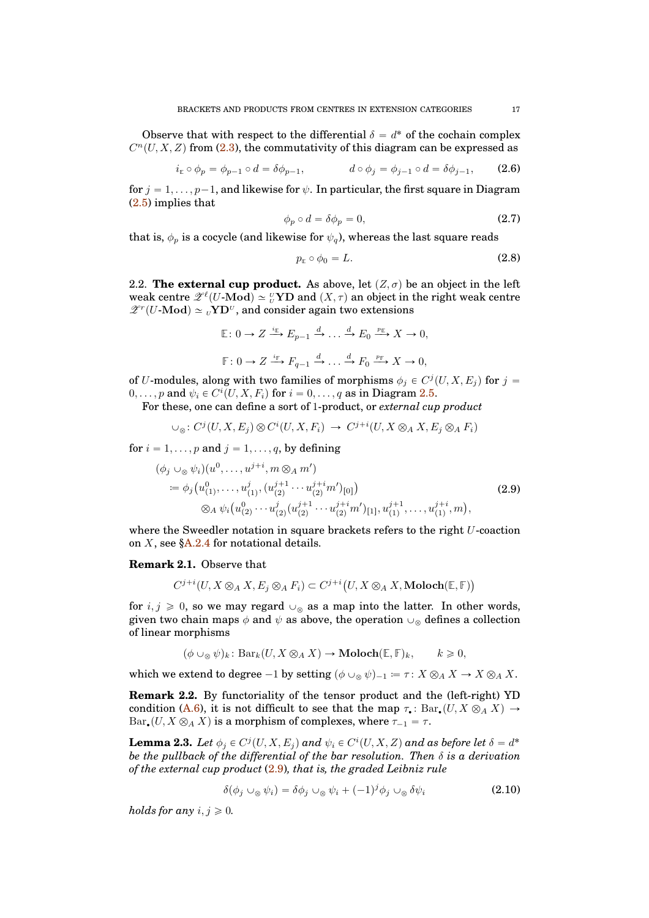Observe that with respect to the differential  $\delta = d^*$  of the cochain complex  $C<sup>n</sup>(U, X, Z)$  from [\(2.3\)](#page-15-1), the commutativity of this diagram can be expressed as

<span id="page-16-5"></span>
$$
i_{\mathbb{E}} \circ \phi_p = \phi_{p-1} \circ d = \delta \phi_{p-1}, \qquad d \circ \phi_j = \phi_{j-1} \circ d = \delta \phi_{j-1}, \qquad (2.6)
$$

for  $j = 1, \ldots, p-1$ , and likewise for  $\psi$ . In particular, the first square in Diagram [\(2.5\)](#page-15-2) implies that

<span id="page-16-6"></span>
$$
\phi_p \circ d = \delta \phi_p = 0,\tag{2.7}
$$

that is,  $\phi_p$  is a cocycle (and likewise for  $\psi_q$ ), whereas the last square reads

<span id="page-16-7"></span>
$$
p_{\mathbb{E}} \circ \phi_0 = L. \tag{2.8}
$$

<span id="page-16-0"></span>2.2. **The external cup product.** As above, let  $(Z, \sigma)$  be an object in the left weak centre  $\mathscr{Z}^{\ell}(U\text{-}\mathrm{Mod}) \simeq {}_{U}^{U}\mathrm{YD}$  and  $(X,\tau)$  an object in the right weak centre  $\mathscr{Z}^r(U\text{-Mod}) \simeq {}_v{\mathbf{Y}}{\mathbf{D}^v}$ , and consider again two extensions

$$
\mathbb{E}: 0 \to Z \xrightarrow{i_{\mathbb{E}}} E_{p-1} \xrightarrow{d} \dots \xrightarrow{d} E_0 \xrightarrow{p_{\mathbb{E}}} X \to 0,
$$
  

$$
\mathbb{F}: 0 \to Z \xrightarrow{i_{\mathbb{F}}} F_{q-1} \xrightarrow{d} \dots \xrightarrow{d} F_0 \xrightarrow{p_{\mathbb{F}}} X \to 0,
$$

of U-modules, along with two families of morphisms  $\phi_j \in C^j(U, X, E_j)$  for  $j =$  $0, \ldots, p$  and  $\psi_i \in C^i(U, X, F_i)$  for  $i = 0, \ldots, q$  as in Diagram [2.5.](#page-15-2)

For these, one can define a sort of 1-product, or *external cup product*

$$
\cup_{\otimes} : C^j(U, X, E_j) \otimes C^i(U, X, F_i) \to C^{j+i}(U, X \otimes_A X, E_j \otimes_A F_i)
$$

for  $i = 1, \ldots, p$  and  $j = 1, \ldots, q$ , by defining

<span id="page-16-1"></span>
$$
(\phi_j \cup_{\otimes} \psi_i)(u^0, \dots, u^{j+i}, m \otimes_A m')
$$
  
\n
$$
\coloneqq \phi_j(u^0_{(1)}, \dots, u^j_{(1)}, (u^{j+1}_{(2)} \cdots u^{j+i}_{(2)} m')_{[0]})
$$
  
\n
$$
\otimes_A \psi_i(u^0_{(2)} \cdots u^{j}_{(2)} (u^{j+1}_{(2)} \cdots u^{j+i}_{(2)} m')_{[1]}, u^{j+1}_{(1)}, \dots, u^{j+i}_{(1)}, m),
$$
\n(2.9)

where the Sweedler notation in square brackets refers to the right  $U$ -coaction on  $X$ , see  $A.2.4$  for notational details.

#### <span id="page-16-3"></span>**Remark 2.1.** Observe that

$$
C^{j+i}(U, X \otimes_A X, E_j \otimes_A F_i) \subset C^{j+i}(U, X \otimes_A X, \text{Moloch}(\mathbb{E}, \mathbb{F}))
$$

for  $i, j \geq 0$ , so we may regard  $\cup_{\otimes}$  as a map into the latter. In other words, given two chain maps  $\phi$  and  $\psi$  as above, the operation  $\cup_{\infty}$  defines a collection of linear morphisms

$$
(\phi \cup_{\otimes} \psi)_k \colon \text{Bar}_k(U, X \otimes_A X) \to \text{Moloch}(\mathbb{E}, \mathbb{F})_k, \qquad k \geqslant 0,
$$

which we extend to degree  $-1$  by setting  $(\phi \cup_{\alpha} \psi)_{-1} = \tau : X \otimes_A X \to X \otimes_A X$ .

**Remark 2.2.** By functoriality of the tensor product and the (left-right) YD condition [\(A.6\)](#page-38-3), it is not difficult to see that the map  $\tau_{\bullet}$ : Bar,  $(U, X \otimes_A X) \to$  $Bar_{\bullet}(U, X \otimes_A X)$  is a morphism of complexes, where  $\tau_{-1} = \tau$ .

<span id="page-16-4"></span>**Lemma 2.3.** Let  $\phi_j \in C^j(U, X, E_j)$  and  $\psi_i \in C^i(U, X, Z)$  and as before let  $\delta = d^*$ *be the pullback of the differential of the bar resolution. Then* δ *is a derivation of the external cup product* [\(2.9\)](#page-16-1)*, that is, the graded Leibniz rule*

<span id="page-16-2"></span>
$$
\delta(\phi_j \cup_{\otimes} \psi_i) = \delta\phi_j \cup_{\otimes} \psi_i + (-1)^j \phi_j \cup_{\otimes} \delta\psi_i \tag{2.10}
$$

*holds for any*  $i, j \geq 0$ .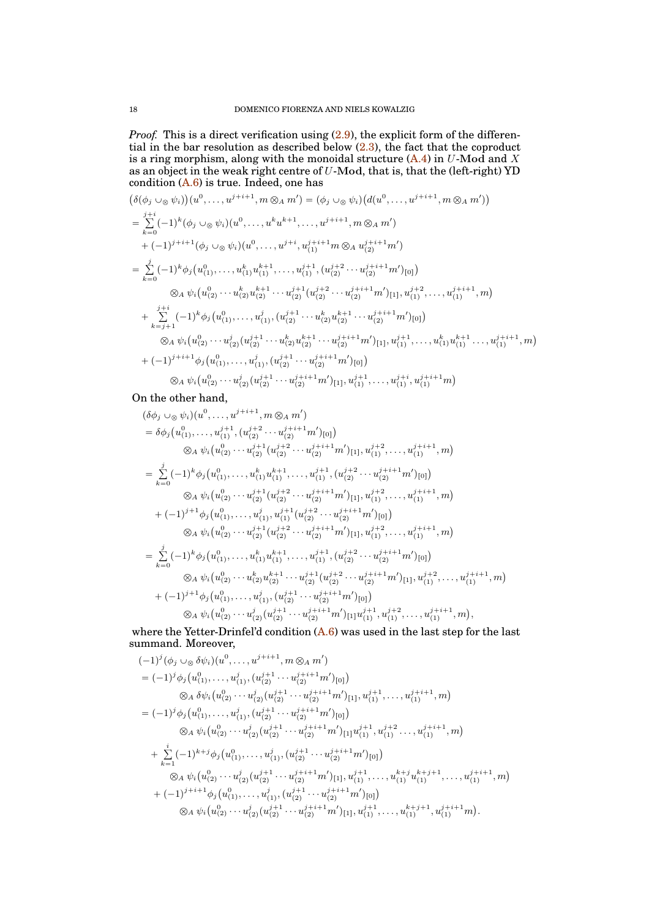*Proof.* This is a direct verification using  $(2.9)$ , the explicit form of the differential in the bar resolution as described below [\(2.3\)](#page-15-1), the fact that the coproduct is a ring morphism, along with the monoidal structure  $(A.4)$  in U-Mod and X as an object in the weak right centre of  $U$ -Mod, that is, that the (left-right) YD condition  $(A.6)$  is true. Indeed, one has

$$
(\delta(\phi_j \cup_{\otimes} \psi_i))(u^0, \ldots, u^{j+i+1}, m \otimes_A m') = (\phi_j \cup_{\otimes} \psi_i) (d(u^0, \ldots, u^{j+i+1}, m \otimes_A m'))
$$
  
\n
$$
= \sum_{k=0}^{j+i} (-1)^k (\phi_j \cup_{\otimes} \psi_i)(u^0, \ldots, u^k u^{k+1}, \ldots, u^{j+i+1}, m \otimes_A m')
$$
  
\n
$$
+ (-1)^{j+i+1} (\phi_j \cup_{\otimes} \psi_i)(u^0, \ldots, u^{j+i}, u_{(1)}^{j+i+1} m \otimes_A u_{(2)}^{j+i+1} m')
$$
  
\n
$$
= \sum_{k=0}^j (-1)^k \phi_j (u_{(1)}^0, \ldots, u_{(1)}^k u_{(1)}^{k+1}, \ldots, u_{(1)}^{j+1}, (u_{(2)}^{j+2} \cdots u_{(2)}^{j+i+1} m')_{[0]})
$$
  
\n
$$
\otimes_A \psi_i (u_{(2)}^0 \cdots u_{(2)}^k u_{(2)}^{k+1} \cdots u_{(2)}^{j+1} (u_{(2)}^{j+2} \cdots u_{(2)}^{j+i+1} m')_{[1]}, u_{(1)}^{j+2}, \ldots, u_{(1)}^{j+i+1}, m)
$$
  
\n
$$
+ \sum_{k=j+1}^{j+i} (-1)^k \phi_j (u_{(1)}^0, \ldots, u_{(1)}^j, (u_{(2)}^{j+1} \cdots u_{(2)}^k u_{(2)}^{k+1} \cdots u_{(2)}^{j+i+1} m')_{[0]})
$$
  
\n
$$
\otimes_A \psi_i (u_{(2)}^0 \cdots u_{(2)}^j (u_{(2)}^{j+1} \cdots u_{(2)}^k u_{(2)}^{k+1} \cdots u_{(2)}^{j+i+1} m')_{[0]})
$$
  
\n
$$
+ (-1)^{j+i+1} \phi_j (u_{(1)}^0, \ldots, u_{(1)}^j, (u_{(2)}^{j+1} \cdots u_{(2)}^{j+i+1} m')_{[1]}, u_{(1)}^{j+1}, \ldots, u_{(1)}^{j+i+1} m)
$$
  
\n+ (-1)^{j

On the other hand,

$$
(\delta\phi_j \cup_{\otimes} \psi_i)(u^0, \ldots, u^{j+i+1}, m \otimes_A m')
$$
\n
$$
= \delta\phi_j(u^0_{(1)}, \ldots, u^{j+1}_{(1)}, (u^{j+2}_{(2)} \cdots u^{j+i+1}_{(2)})[0])
$$
\n
$$
\otimes_A \psi_i(u^0_{(2)} \cdots u^{j+1}_{(2)}(u^{j+2}_{(2)} \cdots u^{j+i+1}_{(2)})[1], u^{j+2}_{(1)}, \ldots, u^{j+i+1}_{(1)}, m)
$$
\n
$$
= \sum_{k=0}^j (-1)^k \phi_j(u^0_{(1)}, \ldots, u^k_{(1)} u^{k+1}_{(1)}, \ldots, u^{j+1}_{(1)}, (u^{j+2}_{(2)} \cdots u^{j+i+1}_{(2)})[0])
$$
\n
$$
\otimes_A \psi_i(u^0_{(2)} \cdots u^{j+1}_{(2)}(u^{j+2}_{(2)} \cdots u^{j+i+1}_{(2)})[1], u^{j+2}_{(1)}, \ldots, u^{j+i+1}_{(1)}, m)
$$
\n
$$
+ (-1)^{j+1} \phi_j(u^0_{(1)}, \ldots, u^j_{(1)}, u^{j+1}_{(1)}) (u^{j+2}_{(2)} \cdots u^{j+i+1}_{(2)})[0])
$$
\n
$$
\otimes_A \psi_i(u^0_{(2)} \cdots u^{j+1}_{(2)}(u^{j+2}_{(2)} \cdots u^{j+i+1}_{(2)})[1], u^{j+2}_{(1)}, \ldots, u^{j+i+1}_{(1)}, m)
$$
\n
$$
= \sum_{k=0}^j (-1)^k \phi_j(u^0_{(1)}, \ldots, u^k_{(1)} u^{k+1}_{(1)}, \ldots, u^{j+1}_{(1)}, (u^{j+2}_{(2)} \cdots u^{j+i+1}_{(2)})[0])
$$
\n
$$
\otimes_A \psi_i(u^0_{(2)} \cdots u^k_{(2)} u^{k+1}_{(2)} \cdots u^{j+1}_{(2)}(u^{j+2}_{(2)} \cdots u^{j+i+1}_{(2)})[1], u^{j+2}_{(1)}, \ldots, u^{j+i+1}_{(1)}, m)
$$
\n
$$
+ (-1)^{j+1} \phi_j(u^0_{(1)}, \ldots, u^j_{(1)},
$$

where the Yetter-Drinfel'd condition  $(A.6)$  was used in the last step for the last summand. Moreover,

$$
(-1)^{j}(\phi_{j} \cup_{\otimes} \delta\psi_{i})(u^{0}, \ldots, u^{j+i+1}, m \otimes_{A} m') = (-1)^{j}\phi_{j}(u^{0}_{(1)}, \ldots, u^{j}_{(1)}, (u^{j+1}_{(2)} \cdots u^{j+i+1}_{(2)})_{[0]}) \otimes_{A} \delta\psi_{i}(u^{0}_{(2)} \cdots u^{j}_{(2)}(u^{j+1}_{(2)} \cdots u^{j+i+1}_{(2)})_{[1]}, u^{j+1}_{(1)}, \ldots, u^{j+i+1}_{(1)}, m) = (-1)^{j}\phi_{j}(u^{0}_{(1)}, \ldots, u^{j}_{(1)}, (u^{j+1}_{(2)} \cdots u^{j+i+1}_{(2)})_{[0]}) \otimes_{A} \psi_{i}(u^{0}_{(2)} \cdots u^{j}_{(2)}(u^{j+1}_{(2)} \cdots u^{j+i+1}_{(2)})_{[1]}u^{j+1}_{(1)}, u^{j+2}_{(1)} \cdots, u^{j+i+1}_{(1)}, m) + \sum_{k=1}^{i} (-1)^{k+j}\phi_{j}(u^{0}_{(1)}, \ldots, u^{j}_{(1)}, (u^{j+1}_{(2)} \cdots u^{j+i+1}_{(2)})_{[0]}) \otimes_{A} \psi_{i}(u^{0}_{(2)} \cdots u^{j}_{(2)}(u^{j+1}_{(2)} \cdots u^{j+i+1}_{(2)})_{[1]}, u^{j+1}_{(1)}, \ldots, u^{k+j}_{(1)}u^{k+j+1}_{(1)}, \ldots, u^{j+i+1}_{(1)}, m) + (-1)^{j+i+1}\phi_{j}(u^{0}_{(1)}, \ldots, u^{j}_{(1)}, (u^{j+1}_{(2)} \cdots u^{j+i+1}_{(2)})_{[0]}) \otimes_{A} \psi_{i}(u^{0}_{(2)} \cdots u^{j}_{(2)}(u^{j+1}_{(2)} \cdots u^{j+i+1}_{(2)})_{[1]}, u^{j+1}_{(1)}, \ldots, u^{k+j+1}_{(1)}, u^{j+i+1}_{(1)})
$$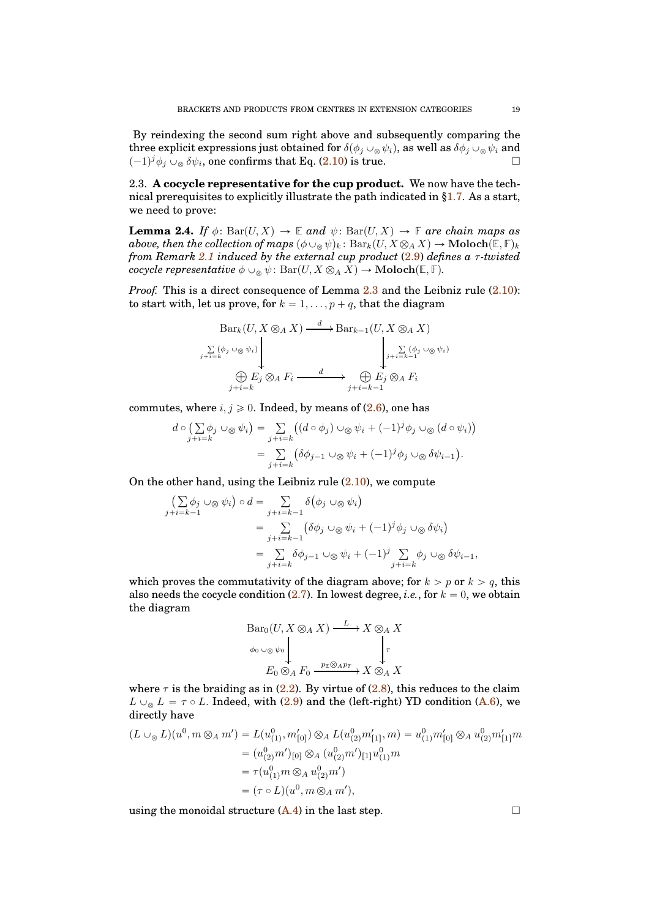By reindexing the second sum right above and subsequently comparing the three explicit expressions just obtained for  $\delta(\phi_j \cup_{\otimes} \psi_i)$ , as well as  $\delta \phi_j \cup_{\otimes} \psi_i$  and  $(-1)^j \phi_j \cup_{\otimes} \delta \psi_i$ , one confirms that Eq. [\(2.10\)](#page-16-2) is true.

<span id="page-18-0"></span>2.3. **A cocycle representative for the cup product.** We now have the technical prerequisites to explicitly illustrate the path indicated in [§1.7.](#page-12-0) As a start, we need to prove:

<span id="page-18-1"></span>**Lemma 2.4.** *If*  $\phi$ : Bar $(U, X) \to \mathbb{E}$  *and*  $\psi$ : Bar $(U, X) \to \mathbb{F}$  *are chain maps as above, then the collection of maps*  $(\phi \cup_{\otimes} \psi)_k$ :  $Bar_k(U, X \otimes_A X) \to \text{Moloch}(\mathbb{E}, \mathbb{F})_k$ *from Remark [2.1](#page-16-3) induced by the external cup product* [\(2.9\)](#page-16-1) *defines a* τ*-twisted cocycle representative*  $\phi \cup_{\otimes} \psi$ : Bar $(U, X \otimes_A X) \to \textbf{Moloch}(\mathbb{E}, \mathbb{F})$ *.* 

*Proof.* This is a direct consequence of Lemma [2.3](#page-16-4) and the Leibniz rule  $(2.10)$ : to start with, let us prove, for  $k = 1, \ldots, p + q$ , that the diagram

$$
\operatorname{Bar}_k(U, X \otimes_A X) \xrightarrow{d} \operatorname{Bar}_{k-1}(U, X \otimes_A X)
$$
\n
$$
\sum_{j+i=k} (\phi_j \circ \otimes \psi_i)
$$
\n
$$
\bigoplus_{j+i=k} \mathcal{E}_j \otimes_A F_i \xrightarrow{d} \bigoplus_{j+i=k-1} \mathcal{E}_j \otimes_A F_i
$$

commutes, where  $i, j \geq 0$ . Indeed, by means of [\(2.6\)](#page-16-5), one has

$$
d \circ \left( \sum_{j+i=k} \phi_j \cup_{\otimes} \psi_i \right) = \sum_{j+i=k} \left( (d \circ \phi_j) \cup_{\otimes} \psi_i + (-1)^j \phi_j \cup_{\otimes} (d \circ \psi_i) \right)
$$
  
= 
$$
\sum_{j+i=k} \left( \delta \phi_{j-1} \cup_{\otimes} \psi_i + (-1)^j \phi_j \cup_{\otimes} \delta \psi_{i-1} \right).
$$

On the other hand, using the Leibniz rule  $(2.10)$ , we compute

$$
\begin{aligned}\n&\left(\sum_{j+i=k-1} \phi_j \cup \otimes \psi_i\right) \circ d = \sum_{j+i=k-1} \delta\left(\phi_j \cup \otimes \psi_i\right) \\
&= \sum_{j+i=k-1} \left(\delta\phi_j \cup \otimes \psi_i + (-1)^j \phi_j \cup \otimes \delta\psi_i\right) \\
&= \sum_{j+i=k} \delta\phi_{j-1} \cup \otimes \psi_i + (-1)^j \sum_{j+i=k} \phi_j \cup \otimes \delta\psi_{i-1},\n\end{aligned}
$$

which proves the commutativity of the diagram above; for  $k > p$  or  $k > q$ , this also needs the cocycle condition  $(2.7)$ . In lowest degree, *i.e.*, for  $k = 0$ , we obtain the diagram

$$
\begin{array}{ccc}\n\text{Bar}_0(U, X \otimes_A X) & \xrightarrow{L} X \otimes_A X \\
\downarrow^{\phi_0} \cup \otimes \psi_0 & \downarrow^{\tau} \\
E_0 \otimes_A F_0 & \xrightarrow{p_{\mathbb{E}} \otimes_A p_{\mathbb{F}}} X \otimes_A X\n\end{array}
$$

where  $\tau$  is the braiding as in [\(2.2\)](#page-15-3). By virtue of [\(2.8\)](#page-16-7), this reduces to the claim  $L \cup_{\infty} L = \tau \circ L$ . Indeed, with [\(2.9\)](#page-16-1) and the (left-right) YD condition [\(A.6\)](#page-38-3), we directly have

$$
(L \cup_{\otimes} L)(u^0, m \otimes_A m') = L(u^0_{(1)}, m'_{[0]}) \otimes_A L(u^0_{(2)}m'_{[1]}, m) = u^0_{(1)}m'_{[0]} \otimes_A u^0_{(2)}m'_{[1]}m
$$
  

$$
= (u^0_{(2)}m')_{[0]} \otimes_A (u^0_{(2)}m')_{[1]}u^0_{(1)}m
$$
  

$$
= \tau(u^0_{(1)}m \otimes_A u^0_{(2)}m')
$$
  

$$
= (\tau \circ L)(u^0, m \otimes_A m'),
$$

using the monoidal structure  $(A.4)$  in the last step.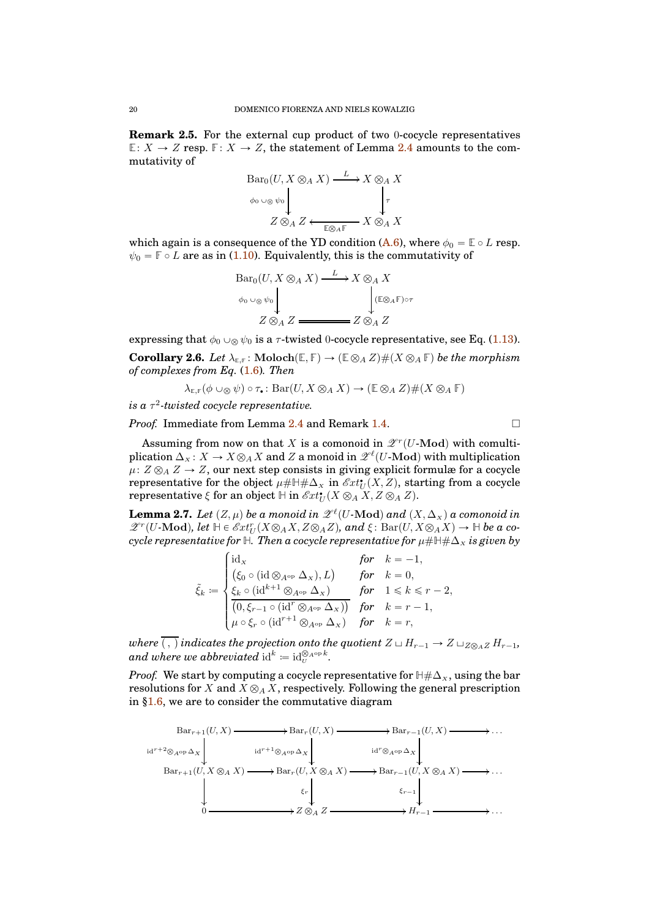**Remark 2.5.** For the external cup product of two 0-cocycle representatives  $E: X \to Z$  resp.  $F: X \to Z$ , the statement of Lemma [2.4](#page-18-1) amounts to the commutativity of

$$
\begin{array}{c}\n\text{Bar}_0(U, X \otimes_A X) \xrightarrow{L} X \otimes_A X \\
\downarrow^{\phi_0} \cup \otimes \psi_0 \downarrow^{\phi_0} \downarrow^{\phi_0} \downarrow^{\phi_0} \\
Z \otimes_A Z \xleftarrow{\text{ES}_{AF}} X \otimes_A X\n\end{array}
$$

which again is a consequence of the YD condition [\(A.6\)](#page-38-3), where  $\phi_0 = \mathbb{E} \circ L$  resp.  $\psi_0 = \mathbb{F} \circ L$  are as in [\(1.10\)](#page-10-2). Equivalently, this is the commutativity of

$$
\begin{array}{ccc}\n\text{Bar}_0(U, X \otimes_A X) & \xrightarrow{L} X \otimes_A X \\
\downarrow^{(E \otimes_A F) \circ \tau} & & \downarrow^{(E \otimes_A F) \circ \tau} \\
Z \otimes_A Z & \xrightarrow{Z \otimes_A Z} Z\n\end{array}
$$

expressing that  $\phi_0 \cup_{\mathcal{R}} \psi_0$  is a  $\tau$ -twisted 0-cocycle representative, see Eq. [\(1.13\)](#page-10-3).

<span id="page-19-1"></span>**Corollary 2.6.** *Let*  $\lambda_{\mathbb{E},\mathbb{F}}$ : Moloch $(\mathbb{E},\mathbb{F}) \to (\mathbb{E} \otimes_A Z) \# (X \otimes_A \mathbb{F})$  *be the morphism of complexes from Eq.* [\(1.6\)](#page-7-0)*. Then*

 $\lambda_{\mathbb{E},\mathbb{F}}(\phi \cup_{\otimes} \psi) \circ \tau_{\bullet} : \text{Bar}(U, X \otimes_A X) \to (\mathbb{E} \otimes_A Z) \# (X \otimes_A \mathbb{F})$ 

 $i$ s a  $\tau^2$ -twisted cocycle representative.

*Proof.* Immediate from Lemma [2.4](#page-18-1) and Remark [1.4.](#page-10-4) □

Assuming from now on that X is a comonoid in  $\mathscr{Z}^r(U\text{-}\mathrm{Mod})$  with comultiplication  $\Delta_X: X \to X\otimes_A X$  and Z a monoid in  $\mathscr{Z}^{\ell}(U\text{-}\mathbf{Mod})$  with multiplication  $\mu: Z \otimes_A Z \to Z$ , our next step consists in giving explicit formulæ for a cocycle representative for the object  $\mu# \mathbb{H} \# \Delta_X$  in  $\mathscr{E}xt^{\bullet}_{U}(X,Z)$ , starting from a cocycle  $\text{representative } \xi \text{ for an object } \mathbb{H} \text{ in } \mathscr{E}xt_U^{\bullet}(X \otimes_A X, Z \otimes_A Z).$ 

<span id="page-19-0"></span>**Lemma 2.7.** Let  $(Z, \mu)$  be a monoid in  $\mathscr{L}^{\ell}(U\text{-}\mathrm{Mod})$  and  $(X, \Delta_X)$  a comonoid in  $\mathscr{Z}^r(U\text{-}\mathbf{Mod})$ , let  $\mathbb{H} \in \mathscr{E}xt_U^r(X\otimes_A X,Z\otimes_A Z)$ , and  $\xi: \text{Bar}(U,X\otimes_A X) \to \mathbb{H}$  be a co*cycle representative for*  $\mathbb{H}$ *. Then a cocycle representative for*  $\mu \# \mathbb{H} \# \Delta_x$  *is given by* 

$$
\tilde{\xi}_k \coloneqq \begin{cases} \mathrm{id}_X & \text{for} \quad k = -1, \\ \left( \xi_0 \circ (\mathrm{id} \otimes_{A^\mathrm{op}} \Delta_\chi), L \right) & \text{for} \quad k = 0, \\ \frac{\xi_k \circ (\mathrm{id}^{k+1} \otimes_{A^\mathrm{op}} \Delta_\chi)}{\left( 0, \xi_{r-1} \circ (\mathrm{id}^r \otimes_{A^\mathrm{op}} \Delta_\chi) \right)} & \text{for} \quad 1 \leqslant k \leqslant r - 2, \\ \mu \circ \xi_r \circ (\mathrm{id}^{r+1} \otimes_{A^\mathrm{op}} \Delta_\chi) & \text{for} \quad k = r - 1, \end{cases}
$$

*where*  $\overline{(\ ,\ )}$  *indicates the projection onto the quotient*  $Z \sqcup H_{r-1} \to Z \sqcup_{Z \otimes_A Z} H_{r-1}$ *,* and where we abbreviated  $\mathrm{id}^k \coloneqq \mathrm{id}_U^{\otimes_{A^\mathrm{op} } k}.$ 

*Proof.* We start by computing a cocycle representative for  $\mathbb{H} \# \Delta_X$ , using the bar resolutions for X and  $X \otimes_A X$ , respectively. Following the general prescription in [§1.6,](#page-11-0) we are to consider the commutative diagram

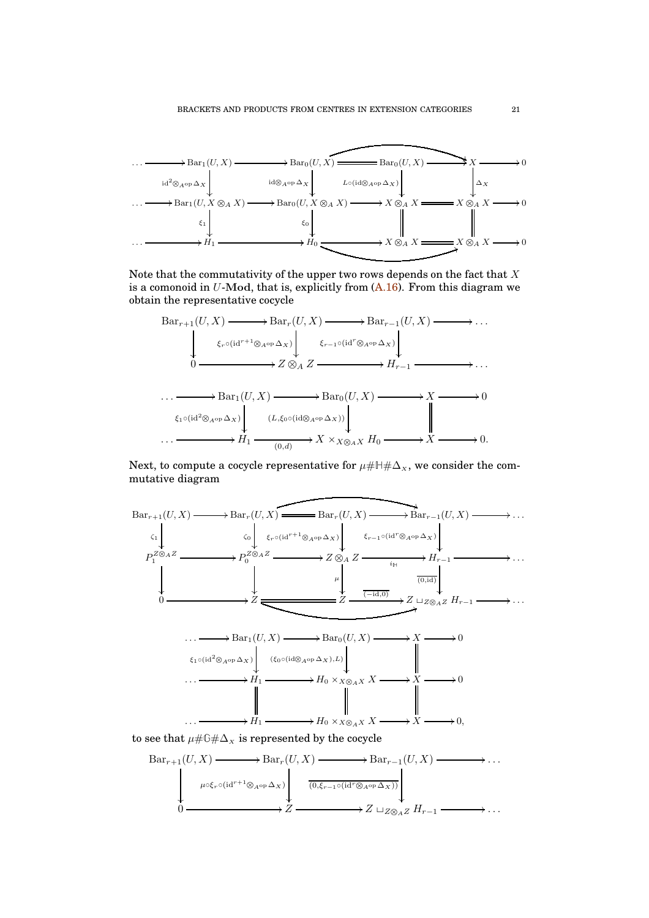

Note that the commutativity of the upper two rows depends on the fact that  $X$ is a comonoid in  $U$ -Mod, that is, explicitly from  $(A.16)$ . From this diagram we obtain the representative cocycle



Next, to compute a cocycle representative for  $\mu\#\mathbb{H}\#\Delta_{X}$ , we consider the commutative diagram



to see that  $\mu \# \mathbb{G} \# \Delta_x$  is represented by the cocycle

$$
\text{Bar}_{r+1}(U, X) \longrightarrow \text{Bar}_{r}(U, X) \longrightarrow \text{Bar}_{r-1}(U, X) \longrightarrow \dots
$$
\n
$$
\downarrow \qquad \qquad \downarrow \qquad \qquad \downarrow \qquad \qquad \downarrow \qquad \qquad \downarrow \qquad \qquad \downarrow \qquad \qquad \downarrow \qquad \qquad \downarrow \qquad \qquad \downarrow \qquad \downarrow \qquad \downarrow \qquad \downarrow \qquad \downarrow \qquad \downarrow \qquad \downarrow \qquad \downarrow \qquad \downarrow \qquad \downarrow \qquad \downarrow \qquad \downarrow \qquad \downarrow \qquad \downarrow \qquad \downarrow \qquad \downarrow \qquad \downarrow \qquad \downarrow \qquad \downarrow \qquad \downarrow \qquad \downarrow \qquad \downarrow \qquad \downarrow \qquad \downarrow \qquad \downarrow \qquad \downarrow \qquad \downarrow \qquad \downarrow \qquad \downarrow \qquad \downarrow \qquad \downarrow \qquad \downarrow \qquad \downarrow \qquad \downarrow \qquad \downarrow \qquad \downarrow \qquad \downarrow \qquad \downarrow \qquad \downarrow \qquad \downarrow \qquad \downarrow \qquad \downarrow \qquad \downarrow \qquad \downarrow \qquad \downarrow \qquad \downarrow \qquad \downarrow \qquad \downarrow \qquad \downarrow \qquad \downarrow \qquad \downarrow \qquad \downarrow \qquad \downarrow \qquad \downarrow \qquad \downarrow \qquad \downarrow \qquad \downarrow \qquad \downarrow \qquad \downarrow \qquad \downarrow \qquad \downarrow \qquad \downarrow \qquad \downarrow \qquad \downarrow \qquad \downarrow \qquad \downarrow \qquad \downarrow \qquad \downarrow \qquad \downarrow \qquad \downarrow \qquad \downarrow \qquad \downarrow \qquad \downarrow \qquad \downarrow \qquad \downarrow \qquad \downarrow \qquad \downarrow \qquad \downarrow \qquad \downarrow \qquad \downarrow \qquad \downarrow \qquad \downarrow \qquad \downarrow \qquad \downarrow \qquad \downarrow \qquad \downarrow \qquad \downarrow \qquad \downarrow \qquad \downarrow \qquad \downarrow \qquad \downarrow \qquad \downarrow \qquad \downarrow \qquad \downarrow \qquad \downarrow \qquad \downarrow \qquad \downarrow \qquad \downarrow \qquad \downarrow \qquad \downarrow \qquad \downarrow \qquad \downarrow \qquad \downarrow \qquad \downarrow \qquad \downarrow \qquad \downarrow \
$$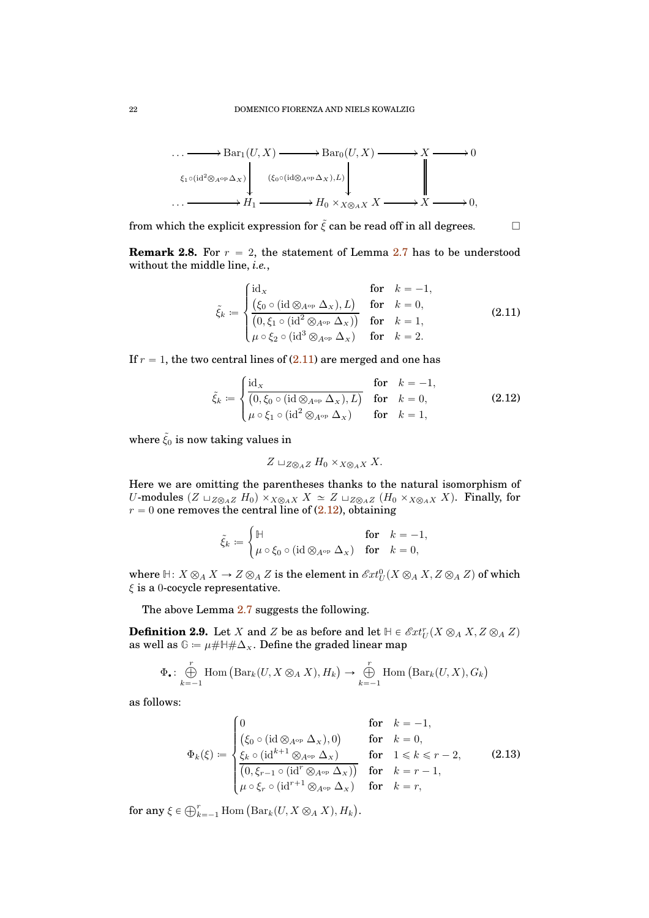

from which the explicit expression for  $\tilde{\xi}$  can be read off in all degrees.

<span id="page-21-2"></span>**Remark 2.8.** For  $r = 2$ , the statement of Lemma [2.7](#page-19-0) has to be understood without the middle line, *i.e.*,

<span id="page-21-0"></span>
$$
\tilde{\xi}_k \coloneqq \begin{cases}\n\operatorname{id}_X & \text{for} \quad k = -1, \\
\left(\xi_0 \circ (\operatorname{id} \otimes_{A^{\mathrm{op}}} \Delta_x), L\right) & \text{for} \quad k = 0, \\
\left(0, \xi_1 \circ (\operatorname{id}^2 \otimes_{A^{\mathrm{op}}} \Delta_x)\right) & \text{for} \quad k = 1, \\
\mu \circ \xi_2 \circ (\operatorname{id}^3 \otimes_{A^{\mathrm{op}}} \Delta_x) & \text{for} \quad k = 2.\n\end{cases}\n\tag{2.11}
$$

If  $r = 1$ , the two central lines of  $(2.11)$  are merged and one has

<span id="page-21-1"></span>
$$
\tilde{\xi}_k \coloneqq \begin{cases}\n\frac{\mathrm{id}_X}{(0, \xi_0 \circ (\mathrm{id} \otimes_{A^{\mathrm{op}}} \Delta_X), L)} & \text{for} \quad k = -1, \\
\mu \circ \xi_1 \circ (\mathrm{id}^2 \otimes_{A^{\mathrm{op}}} \Delta_X) & \text{for} \quad k = 1,\n\end{cases}
$$
\n(2.12)

where  $\tilde{\xi}_0$  is now taking values in

$$
Z \sqcup_{Z \otimes_A Z} H_0 \times_{X \otimes_A X} X.
$$

Here we are omitting the parentheses thanks to the natural isomorphism of U-modules  $(Z \sqcup_{Z \otimes_A Z} H_0) \times_{X \otimes_A X} X \simeq Z \sqcup_{Z \otimes_A Z} (H_0 \times_{X \otimes_A X} X)$ . Finally, for  $r = 0$  one removes the central line of  $(2.12)$ , obtaining

$$
\tilde{\xi}_k \coloneqq \begin{cases} \mathbb{H} & \quad \text{for} \quad k = -1, \\ \mu \circ \xi_0 \circ (\mathrm{id} \otimes_{A^\mathrm{op}} \Delta_X) & \quad \text{for} \quad k = 0, \end{cases}
$$

where  $H: X \otimes_A X \to Z \otimes_A Z$  is the element in  $\mathscr{E}xt^0_U(X \otimes_A X, Z \otimes_A Z)$  of which  $\xi$  is a 0-cocycle representative.

The above Lemma [2.7](#page-19-0) suggests the following.

<span id="page-21-3"></span>**Definition 2.9.** Let X and Z be as before and let  $H \in \mathcal{E}xt_U^r(X \otimes_A X, Z \otimes_A Z)$ as well as  $\mathbb{G} = \mu \# \mathbb{H} \# \Delta_x$ . Define the graded linear map

$$
\Phi_{\bullet}: \bigoplus_{k=-1}^{r} \text{Hom}(\text{Bar}_{k}(U, X \otimes_{A} X), H_{k}) \to \bigoplus_{k=-1}^{r} \text{Hom}(\text{Bar}_{k}(U, X), G_{k})
$$

as follows:

<span id="page-21-4"></span>
$$
\Phi_k(\xi) := \begin{cases}\n0 & \text{for} \quad k = -1, \\
(\xi_0 \circ (\mathrm{id} \otimes_{A^{\mathrm{op}}} \Delta_x), 0) & \text{for} \quad k = 0, \\
\frac{\xi_k \circ (\mathrm{id}^{k+1} \otimes_{A^{\mathrm{op}}} \Delta_x)}{(0, \xi_{r-1} \circ (\mathrm{id}^r \otimes_{A^{\mathrm{op}}} \Delta_x))} & \text{for} \quad 1 \leq k \leq r-2, \\
\frac{\mu \circ \xi_r \circ (\mathrm{id}^{r+1} \otimes_{A^{\mathrm{op}}} \Delta_x)}{\mu \circ \xi_r \circ (\mathrm{id}^{r+1} \otimes_{A^{\mathrm{op}}} \Delta_x)} & \text{for} \quad k = r,\n\end{cases}
$$
\n(2.13)

for any  $\xi \in \bigoplus_{k=-1}^r$  Hom  $\left( \text{Bar}_k(U, X \otimes_A X), H_k \right)$ .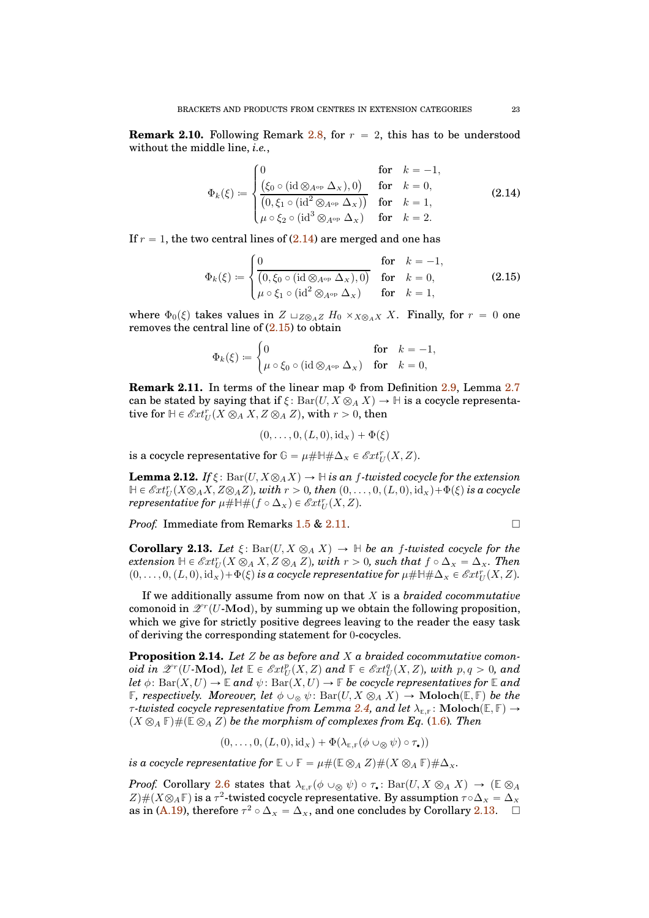<span id="page-22-5"></span>**Remark 2.10.** Following Remark [2.8,](#page-21-2) for  $r = 2$ , this has to be understood without the middle line, *i.e.*,

<span id="page-22-0"></span>
$$
\Phi_k(\xi) := \begin{cases}\n0 & \text{for} \quad k = -1, \\
\frac{\left(\xi_0 \circ (\mathrm{id} \otimes_{A^{\mathrm{op}}} \Delta_x), 0\right)}{\left(0, \xi_1 \circ (\mathrm{id}^2 \otimes_{A^{\mathrm{op}}} \Delta_x)\right)} & \text{for} \quad k = 0, \\
\mu \circ \xi_2 \circ (\mathrm{id}^3 \otimes_{A^{\mathrm{op}}} \Delta_x) & \text{for} \quad k = 1,\n\end{cases}
$$
\n(2.14)

If  $r = 1$ , the two central lines of  $(2.14)$  are merged and one has

<span id="page-22-1"></span>
$$
\Phi_k(\xi) := \begin{cases}\n0 & \text{for} \quad k = -1, \\
(0, \xi_0 \circ (\mathrm{id} \otimes_{A^{\mathrm{op}}} \Delta_x), 0) & \text{for} \quad k = 0, \\
\mu \circ \xi_1 \circ (\mathrm{id}^2 \otimes_{A^{\mathrm{op}}} \Delta_x) & \text{for} \quad k = 1,\n\end{cases}
$$
\n(2.15)

where  $\Phi_0(\xi)$  takes values in  $Z \sqcup_{Z \otimes_A Z} H_0 \times_{X \otimes_A X} X$ . Finally, for  $r = 0$  one removes the central line of [\(2.15\)](#page-22-1) to obtain

$$
\Phi_k(\xi) \coloneqq \begin{cases} 0 & \text{for} \quad k = -1,\\ \mu \circ \xi_0 \circ (\mathrm{id} \otimes_{A^\mathrm{op}} \Delta_x) & \text{for} \quad k = 0,\end{cases}
$$

<span id="page-22-2"></span>**Remark 2.11.** In terms of the linear map Φ from Definition [2.9,](#page-21-3) Lemma [2.7](#page-19-0) can be stated by saying that if  $\xi$ : Bar $(U, X \otimes_A X) \to \mathbb{H}$  is a cocycle representative for  $\mathbb{H} \in \mathscr{E}xt_U^r(X \otimes_A X, Z \otimes_A Z)$ , with  $r > 0$ , then

$$
(0,\ldots,0,(L,0),id_x)+\Phi(\xi)
$$

is a cocycle representative for  $\mathbb{G} = \mu \# \mathbb{H} \# \Delta_{X} \in \mathscr{E}xt_{U}^{r}(X, Z)$ .

**Lemma 2.12.** *If*  $\xi$ : Bar(*U, X* $\otimes$ *AX*)  $\rightarrow$  H *is an f-twisted cocycle for the extension*  $\mathbb{H} \in \mathscr{E}xt^r_U(X\otimes_A X,Z\otimes_A Z)$ , with  $r > 0$ , then  $(0,\ldots,0,(L,0),\mathrm{id}_X) + \Phi(\xi)$  is a cocycle  $\mathit{representative}\ \mathit{for}\ \mu\#\mathbb{H}\#\left(f\circ \Delta_X\right)\in \mathscr{E}xt_U^\mathit{T}(X,Z).$ 

*Proof.* Immediate from Remarks [1.5](#page-12-1) & [2.11.](#page-22-2) □

<span id="page-22-3"></span>**Corollary 2.13.** *Let*  $\xi$ : Bar $(U, X \otimes_A X) \to \mathbb{H}$  *be an f-twisted cocycle for the*  $\mathit{extension} \ \mathbb{H} \in \mathscr{E}xt_U^r(X \otimes_A X, Z \otimes_A Z), \ \mathit{with} \ r > 0, \ \mathit{such} \ that \ f \circ \Delta_x = \Delta_x. \ \mathit{Then}$  $(0, \ldots, 0, (L, 0), id_x) + \Phi(\xi)$  is a cocycle representative for  $\mu \# \mathbb{H} \# \Delta_x \in \mathscr{E}xt_U^r(X, Z)$ .

If we additionally assume from now on that X is a *braided cocommutative* comonoid in  $\mathscr{Z}^r(U\text{-}\mathrm{Mod})$ , by summing up we obtain the following proposition, which we give for strictly positive degrees leaving to the reader the easy task of deriving the corresponding statement for 0-cocycles.

<span id="page-22-4"></span>**Proposition 2.14.** *Let* Z *be as before and* X *a braided cocommutative comon* $oid \,\, \overline{\textit{in}} \,\, \mathscr{Z}^r(U\text{-}\mathrm{\textbf{Mod}}), \,\textit{let} \,\, \mathbb{E}\in \mathscr{E}xt_U^p(X,Z) \,\, \textit{and} \,\, \mathbb{F}\in \mathscr{E}xt_U^q(X,Z), \,\textit{with}\,\, p,q>0, \,\textit{and}$ *let*  $\phi$ : Bar $(X, U) \to \mathbb{E}$  *and*  $\psi$ : Bar $(X, U) \to \mathbb{F}$  *be cocycle representatives for*  $\mathbb{E}$  *and* **F***, respectively. Moreover, let*  $\phi \cup_{\infty} \psi$ :  $Bar(U, X \otimes_A X) \rightarrow \text{Moloch}(\mathbb{E}, \mathbb{F})$  *be the τ*-twisted cocycle representative from Lemma [2.4,](#page-18-1) and let  $\lambda_{E,F}$ : Moloch $(E, F) \rightarrow$  $(X \otimes_A \mathbb{F}) \# (\mathbb{E} \otimes_A Z)$  be the morphism of complexes from Eq. [\(1.6\)](#page-7-0). Then

$$
(0,\ldots,0,(L,0),\mathrm{id}_X)+\Phi(\lambda_{\varepsilon,\mathbb{F}}(\phi\cup_{\otimes}\psi)\circ\tau_{\bullet}))
$$

*is a cocycle representative for*  $\mathbb{E} \cup \mathbb{F} = \mu \# (\mathbb{E} \otimes_A Z) \# (X \otimes_A \mathbb{F}) \# \Delta_X$ .

*Proof.* Corollary [2.6](#page-19-1) states that  $\lambda_{\mathbb{E},\mathbb{F}}(\phi \cup_{\mathcal{R}} \psi) \circ \tau_{\bullet} : \text{Bar}(U, X \otimes_A X) \to (\mathbb{E} \otimes_A Y)$  $Z\#(X\otimes_A\mathbb{F})$  is a  $\tau^2$ -twisted cocycle representative. By assumption  $\tau \circ \Delta_x = \Delta_x$ as in [\(A.19\)](#page-40-1), therefore  $\tau^2 \circ \Delta_x = \Delta_x$ , and one concludes by Corollary [2.13.](#page-22-3)  $\Box$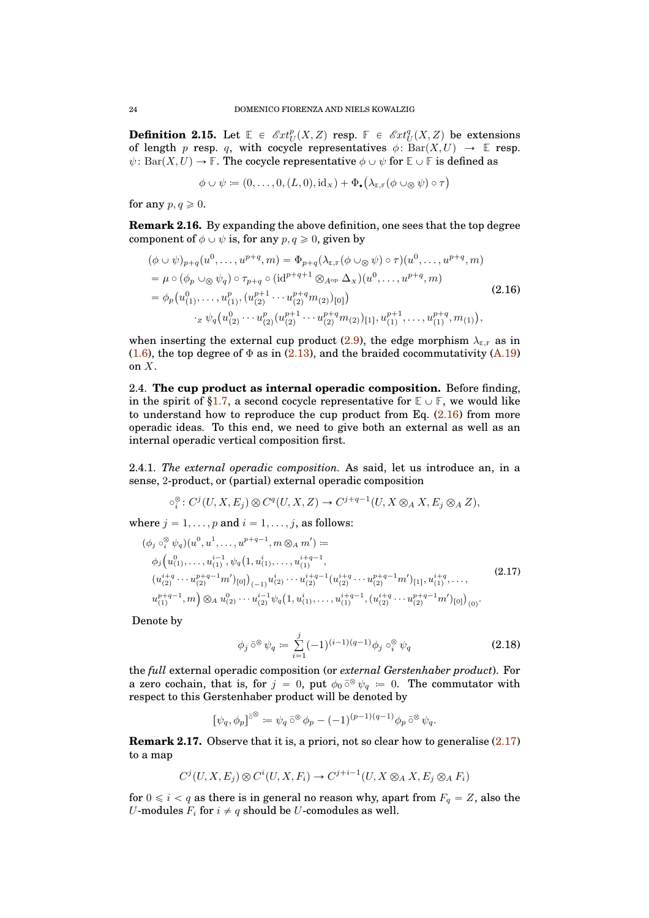<span id="page-23-5"></span>**Definition 2.15.** Let  $\mathbb{E} \in \mathcal{E}xt_U^p(X, Z)$  resp.  $\mathbb{F} \in \mathcal{E}xt_U^q(X, Z)$  be extensions of length p resp. q, with cocycle representatives  $\phi: \text{Bar}(X, U) \to \mathbb{E}$  resp.  $\psi$ : Bar $(X, U) \to \mathbb{F}$ . The cocycle representative  $\phi \cup \psi$  for  $\mathbb{E} \cup \mathbb{F}$  is defined as

$$
\phi \cup \psi \coloneqq (0, \dots, 0, (L, 0), \mathrm{id}_X) + \Phi_{\bullet}(\lambda_{\mathbb{E}, \mathbb{F}}(\phi \cup_{\otimes} \psi) \circ \tau)
$$

for any  $p, q \geq 0$ .

**Remark 2.16.** By expanding the above definition, one sees that the top degree component of  $\phi \cup \psi$  is, for any  $p, q \geq 0$ , given by

<span id="page-23-1"></span>
$$
(\phi \cup \psi)_{p+q}(u^0, \dots, u^{p+q}, m) = \Phi_{p+q}(\lambda_{\mathbb{E},\mathbb{F}}(\phi \cup \otimes \psi) \circ \tau)(u^0, \dots, u^{p+q}, m)
$$
  
\n
$$
= \mu \circ (\phi_p \cup \otimes \psi_q) \circ \tau_{p+q} \circ (\mathrm{id}^{p+q+1} \otimes_{A^{op}} \Delta_x)(u^0, \dots, u^{p+q}, m)
$$
  
\n
$$
= \phi_p(u^0_{(1)}, \dots, u^p_{(1)}, (u^{p+1}_{(2)} \cdots u^{p+q}_{(2)})_{[0]})
$$
  
\n
$$
\cdot z \psi_q(u^0_{(2)} \cdots u^p_{(2)}(u^{p+1}_{(2)} \cdots u^{p+q}_{(2)})_{[1]}, u^{p+1}_{(1)}, \dots, u^{p+q}_{(1)}, m_{(1)}),
$$
\n(2.16)

when inserting the external cup product [\(2.9\)](#page-16-1), the edge morphism  $\lambda_{E,F}$  as in [\(1.6\)](#page-7-0), the top degree of  $\Phi$  as in [\(2.13\)](#page-21-4), and the braided cocommutativity [\(A.19\)](#page-40-1) on X.

<span id="page-23-0"></span>2.4. **The cup product as internal operadic composition.** Before finding, in the spirit of [§1.7,](#page-12-0) a second cocycle representative for  $\mathbb{E} \cup \mathbb{F}$ , we would like to understand how to reproduce the cup product from Eq.  $(2.16)$  from more operadic ideas. To this end, we need to give both an external as well as an internal operadic vertical composition first.

<span id="page-23-6"></span>2.4.1. *The external operadic composition.* As said, let us introduce an, in a sense, 2-product, or (partial) external operadic composition

$$
\circ_i^{\otimes} \colon C^j(U, X, E_j) \otimes C^q(U, X, Z) \to C^{j+q-1}(U, X \otimes_A X, E_j \otimes_A Z),
$$

where  $j = 1, \ldots, p$  and  $i = 1, \ldots, j$ , as follows:

<span id="page-23-2"></span>
$$
(\phi_j \circ_i^{\otimes} \psi_q)(u^0, u^1, \dots, u^{p+q-1}, m \otimes_A m') :=
$$
  
\n
$$
\phi_j\left(u_{(1)}^{0}, \dots, u_{(1)}^{i-1}, \psi_q(1, u_{(1)}^i, \dots, u_{(1)}^{i+q-1}, u_{(1)}^{i+q-1}, u_{(2)}^{i+q-1}, u_{(2)}^{i+q-1}u_{(2)}^{i+q-1}(u_{(2)}^{i+q} \dots u_{(2)}^{p+q-1}m')_{[1]}, u_{(1)}^{i+q}, \dots, u_{(1)}^{i+q-1}, m \right) \otimes_A u_{(2)}^{0} \dots u_{(2)}^{i-1} \psi_q(1, u_{(1)}^{i}, \dots, u_{(1)}^{i+q-1}, (u_{(2)}^{i+q-1} \dots u_{(2)}^{p+q-1}m')_{[0]})_{(0)}.
$$
\n
$$
(2.17)
$$

Denote by

<span id="page-23-3"></span>
$$
\phi_j \,\bar{\circ}^{\otimes} \,\psi_q := \sum_{i=1}^j (-1)^{(i-1)(q-1)} \phi_j \circ_i^{\otimes} \psi_q \tag{2.18}
$$

the *full* external operadic composition (or *external Gerstenhaber product*). For a zero cochain, that is, for  $j = 0$ , put  $\phi_0 \,\bar{\circ}^{\otimes} \psi_q = 0$ . The commutator with respect to this Gerstenhaber product will be denoted by

$$
[\psi_q,\phi_p]^{\bar{\circ}^{\otimes}}:=\psi_q\,\bar{\circ}^{\otimes}\,\phi_p-(-1)^{(p-1)(q-1)}\phi_p\,\bar{\circ}^{\otimes}\,\psi_q.
$$

<span id="page-23-4"></span>**Remark 2.17.** Observe that it is, a priori, not so clear how to generalise  $(2.17)$ to a map

$$
C^j(U, X, E_j) \otimes C^i(U, X, F_i) \to C^{j+i-1}(U, X \otimes_A X, E_j \otimes_A F_i)
$$

for  $0 \le i < q$  as there is in general no reason why, apart from  $F_q = Z$ , also the U-modules  $F_i$  for  $i \neq q$  should be U-comodules as well.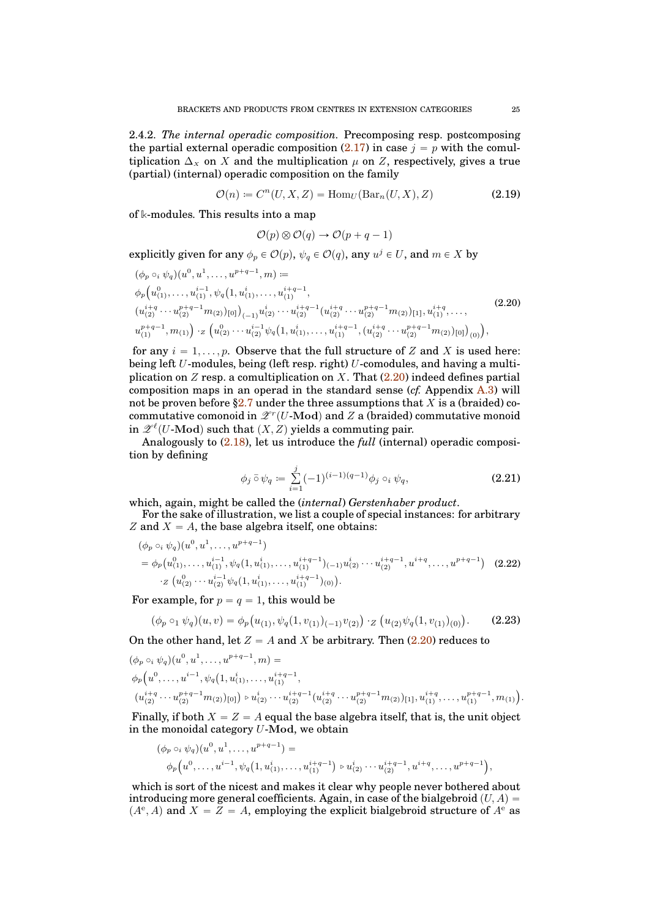<span id="page-24-2"></span>2.4.2. *The internal operadic composition.* Precomposing resp. postcomposing the partial external operadic composition  $(2.17)$  in case  $j = p$  with the comultiplication  $\Delta_X$  on X and the multiplication  $\mu$  on Z, respectively, gives a true (partial) (internal) operadic composition on the family

<span id="page-24-3"></span>
$$
\mathcal{O}(n) \coloneqq C^n(U, X, Z) = \text{Hom}_U(\text{Bar}_n(U, X), Z) \tag{2.19}
$$

of **k**-modules. This results into a map

$$
\mathcal{O}(p) \otimes \mathcal{O}(q) \to \mathcal{O}(p+q-1)
$$

explicitly given for any  $\phi_p \in \mathcal{O}(p)$ ,  $\psi_q \in \mathcal{O}(q)$ , any  $u^j \in U$ , and  $m \in X$  by

<span id="page-24-0"></span>
$$
\begin{split}\n&\left(\phi_{p} \circ_{i} \psi_{q}\right)(u^{0}, u^{1}, \dots, u^{p+q-1}, m) := \\
&\phi_{p}\left(u_{(1)}^{0}, \dots, u_{(1)}^{i-1}, \psi_{q}\left(1, u_{(1)}^{i}, \dots, u_{(1)}^{i+q-1}, \right) \right. \\
&\left. \left(u_{(2)}^{i+q} \cdots u_{(2)}^{p+q-1} m_{(2)}\right)_{[0]}\right)_{(-1)} u_{(2)}^{i} \cdots u_{(2)}^{i+q-1} (u_{(2)}^{i+q} \cdots u_{(2)}^{p+q-1} m_{(2)})_{[1]}, u_{(1)}^{i+q}, \dots, \\
&\left. u_{(1)}^{p+q-1}, m_{(1)}\right) \cdot z \left(u_{(2)}^{0} \cdots u_{(2)}^{i-1} \psi_{q}\left(1, u_{(1)}^{i}, \dots, u_{(1)}^{i+q-1}, \left(u_{(2)}^{i+q} \cdots u_{(2)}^{p+q-1} m_{(2)}\right)_{[0]}\right)_{(0)}\right),\n\end{split}
$$
\n
$$
(2.20)
$$

for any  $i = 1, \ldots, p$ . Observe that the full structure of Z and X is used here: being left U-modules, being (left resp. right) U-comodules, and having a multiplication on  $Z$  resp. a comultiplication on  $X$ . That  $(2.20)$  indeed defines partial composition maps in an operad in the standard sense (*cf.* Appendix [A.3\)](#page-40-2) will not be proven before [§2.7](#page-34-0) under the three assumptions that X is a (braided) cocommutative comonoid in  $\mathscr{Z}^r(U\text{-}\mathrm{Mod})$  and  $Z$  a (braided) commutative monoid in  $\mathscr{Z}^{\ell}(U\text{-}\mathbf{Mod})$  such that  $(X, Z)$  yields a commuting pair.

Analogously to [\(2.18\)](#page-23-3), let us introduce the *full* (internal) operadic composition by defining

<span id="page-24-1"></span>
$$
\phi_j \,\bar{\circ}\, \psi_q := \sum_{i=1}^j (-1)^{(i-1)(q-1)} \phi_j \circ_i \psi_q,\tag{2.21}
$$

which, again, might be called the (*internal*) *Gerstenhaber product*.

For the sake of illustration, we list a couple of special instances: for arbitrary Z and  $X = A$ , the base algebra itself, one obtains:

$$
(\phi_p \circ_i \psi_q)(u^0, u^1, \dots, u^{p+q-1})
$$
  
=  $\phi_p(u_{(1)}^0, \dots, u_{(1)}^{i-1}, \psi_q(1, u_{(1)}^i, \dots, u_{(1)}^{i+q-1})_{(-1)} u_{(2)}^i \dots u_{(2)}^{i+q-1}, u^{i+q}, \dots, u^{p+q-1})$  (2.22)  

$$
\cdot z(u_{(2)}^0 \cdots u_{(2)}^{i-1} \psi_q(1, u_{(1)}^i, \dots, u_{(1)}^{i+q-1})_{(0)}).
$$

For example, for  $p = q = 1$ , this would be

p`q´1

$$
(\phi_p \circ_1 \psi_q)(u, v) = \phi_p(u_{(1)}, \psi_q(1, v_{(1)})_{(-1)}v_{(2)}) \cdot_Z (u_{(2)}\psi_q(1, v_{(1)})_{(0)}).
$$
 (2.23)

On the other hand, let  $Z = A$  and X be arbitrary. Then  $(2.20)$  reduces to

$$
(\phi_p \circ_i \psi_q)(u^0, u^1, \dots, u^{p+q-1}, m) =
$$
  
\n
$$
\phi_p(u^0, \dots, u^{i-1}, \psi_q(1, u_{(1)}^i, \dots, u_{(1)}^{i+q-1}, u_{(1)}^i, \dots, u_{(2)}^{i+q-1}, u_{(2)}^{i+q-1}, \dots, u_{(2)}^{p+q-1}m_{(2)})_{[1]}, u_{(1)}^{i+q}, \dots, u_{(1)}^{p+q-1}, m_{(1)}).
$$
  
\n
$$
(u_{(2)}^{i+q} \cdots u_{(2)}^{p+q-1}m_{(2)})_{[0]}) \circ u_{(2)}^{i} \cdots u_{(2)}^{i+q-1}(u_{(2)}^{i+q} \cdots u_{(2)}^{p+q-1}m_{(2)})_{[1]}, u_{(1)}^{i+q}, \dots, u_{(1)}^{p+q-1}, m_{(1)}).
$$

Finally, if both  $X = Z = A$  equal the base algebra itself, that is, the unit object in the monoidal category  $U$ -Mod, we obtain

$$
(\phi_p \circ_i \psi_q)(u^0, u^1, \dots, u^{p+q-1}) =
$$
  
\n
$$
\phi_p(u^0, \dots, u^{i-1}, \psi_q(1, u_{(1)}^{i}, \dots, u_{(1)}^{i+q-1}) \circ u_{(2)}^{i} \dots u_{(2)}^{i+q-1}, u^{i+q}, \dots, u^{p+q-1}),
$$

which is sort of the nicest and makes it clear why people never bothered about introducing more general coefficients. Again, in case of the bialgebroid  $(U, A)$  $(A^e, A)$  and  $X = \overline{Z} = A$ , employing the explicit bialgebroid structure of  $A^e$  as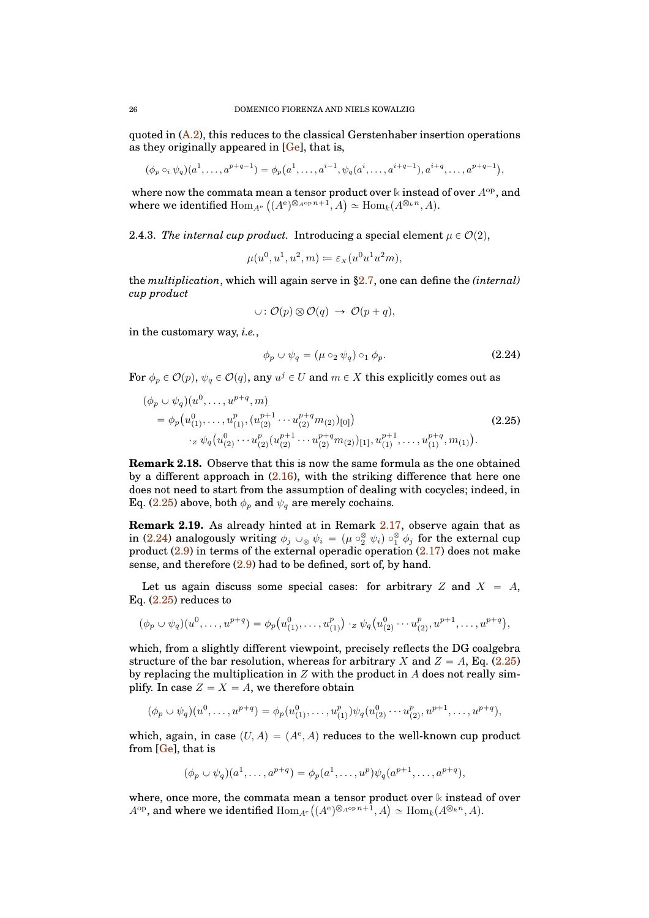quoted in  $(A.2)$ , this reduces to the classical Gerstenhaber insertion operations as they originally appeared in  $[Ge]$ , that is,

$$
(\phi_p \circ_i \psi_q)(a^1, \dots, a^{p+q-1}) = \phi_p(a^1, \dots, a^{i-1}, \psi_q(a^i, \dots, a^{i+q-1}), a^{i+q}, \dots, a^{p+q-1}),
$$

where now the commata mean a tensor product over  $\Bbbk$  instead of over  $A^{\rm op}$ , and where we identified  $\text{Hom}_{A^e}\left((A^e)^{\otimes_{A^{\text{op}}} n+1}, A\right) \simeq \text{Hom}_k(A^{\otimes_k n}, A).$ 

2.4.3. *The internal cup product.* Introducing a special element  $\mu \in \mathcal{O}(2)$ ,

$$
\mu(u^0, u^1, u^2, m) \coloneqq \varepsilon_x(u^0 u^1 u^2 m),
$$

the *multiplication*, which will again serve in [§2.7,](#page-34-0) one can define the *(internal) cup product*

$$
\cup: \mathcal{O}(p) \otimes \mathcal{O}(q) \rightarrow \mathcal{O}(p+q),
$$

in the customary way, *i.e.*,

<span id="page-25-1"></span>
$$
\phi_p \cup \psi_q = (\mu \circ_2 \psi_q) \circ_1 \phi_p. \tag{2.24}
$$

For  $\phi_p \in \mathcal{O}(p)$ ,  $\psi_q \in \mathcal{O}(q)$ , any  $u^j \in U$  and  $m \in X$  this explicitly comes out as

<span id="page-25-0"></span>
$$
(\phi_p \cup \psi_q)(u^0, \dots, u^{p+q}, m)
$$
  
=  $\phi_p(u^0_{(1)}, \dots, u^p_{(1)}, (u^{p+1}_{(2)} \cdots u^{p+q}_{(2)} m_{(2)})_{[0]})$   

$$
\cdot z \psi_q(u^0_{(2)} \cdots u^p_{(2)} (u^{p+1}_{(2)} \cdots u^{p+q}_{(2)} m_{(2)})_{[1]}, u^{p+1}_{(1)}, \dots, u^{p+q}_{(1)}, m_{(1)}).
$$
 (2.25)

<span id="page-25-2"></span>**Remark 2.18.** Observe that this is now the same formula as the one obtained by a different approach in  $(2.16)$ , with the striking difference that here one does not need to start from the assumption of dealing with cocycles; indeed, in Eq. [\(2.25\)](#page-25-0) above, both  $\phi_p$  and  $\psi_q$  are merely cochains.

**Remark 2.19.** As already hinted at in Remark [2.17,](#page-23-4) observe again that as in [\(2.24\)](#page-25-1) analogously writing  $\phi_j\cup_\otimes\psi_i\ =\ (\mu\circ^\otimes_2\psi_i)\circ^\otimes_1\phi_j$  for the external cup product  $(2.9)$  in terms of the external operadic operation  $(2.17)$  does not make sense, and therefore  $(2.9)$  had to be defined, sort of, by hand.

Let us again discuss some special cases: for arbitrary Z and  $X = A$ , Eq.  $(2.25)$  reduces to

$$
(\phi_p \cup \psi_q)(u^0, \dots, u^{p+q}) = \phi_p(u^0_{(1)}, \dots, u^p_{(1)}) \cdot_z \psi_q(u^0_{(2)} \cdots u^p_{(2)}, u^{p+1}, \dots, u^{p+q}),
$$

which, from a slightly different viewpoint, precisely reflects the DG coalgebra structure of the bar resolution, whereas for arbitrary X and  $Z = A$ , Eq. [\(2.25\)](#page-25-0) by replacing the multiplication in  $Z$  with the product in  $A$  does not really simplify. In case  $Z = X = A$ , we therefore obtain

$$
(\phi_p \cup \psi_q)(u^0, \dots, u^{p+q}) = \phi_p(u^0_{(1)}, \dots, u^p_{(1)})\psi_q(u^0_{(2)} \cdots u^p_{(2)}, u^{p+1}, \dots, u^{p+q}),
$$

which, again, in case  $(U, A) = (A^e, A)$  reduces to the well-known cup product from [\[Ge\]](#page-41-5), that is

$$
(\phi_p \cup \psi_q)(a^1, \dots, a^{p+q}) = \phi_p(a^1, \dots, a^p)\psi_q(a^{p+1}, \dots, a^{p+q}),
$$

where, once more, the commata mean a tensor product over **k** instead of over  $A^{\mathrm{op}}, \text{ and where we identified } \mathrm{Hom}_{A^{\mathrm{e}}}\big((A^{\mathrm{e}})^{\otimes_{A^{\mathrm{op}}} n+1}, A\big) \simeq \mathrm{Hom}_k(A^{\otimes_k n},A).$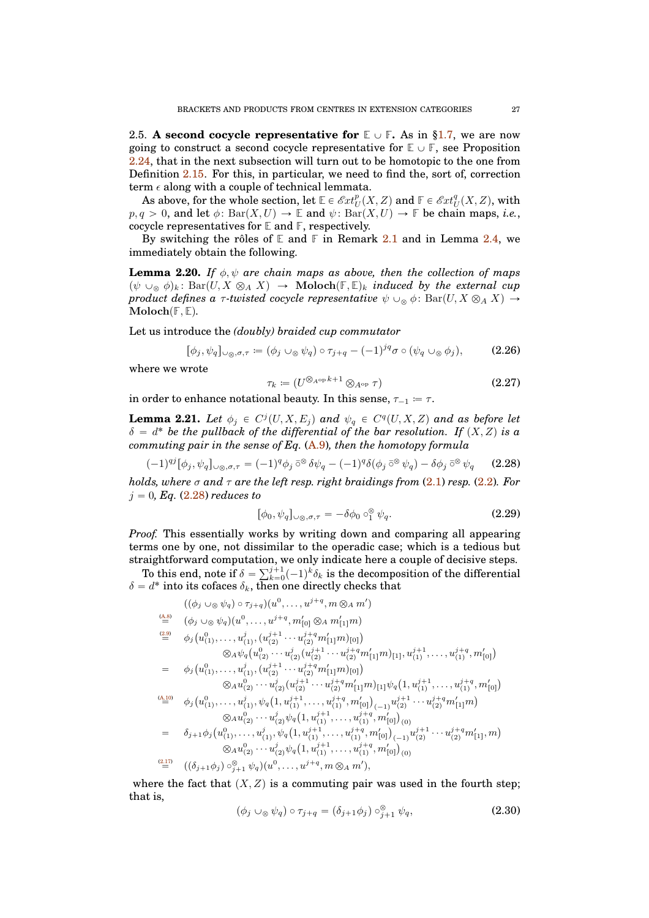<span id="page-26-0"></span>2.5. **A second cocycle representative for**  $\mathbb{E} \cup \mathbb{F}$ **.** As in [§1.7,](#page-12-0) we are now going to construct a second cocycle representative for  $\mathbb{E} \cup \mathbb{F}$ , see Proposition [2.24,](#page-29-1) that in the next subsection will turn out to be homotopic to the one from Definition [2.15.](#page-23-5) For this, in particular, we need to find the, sort of, correction term  $\epsilon$  along with a couple of technical lemmata.

As above, for the whole section, let  $\mathbb{E} \in \mathscr{E}xt_U^p(X,Z)$  and  $\mathbb{F} \in \mathscr{E}xt_U^q(X,Z)$ , with  $p, q > 0$ , and let  $\phi$ : Bar $(X, U) \to \mathbb{E}$  and  $\psi$ : Bar $(X, U) \to \mathbb{F}$  be chain maps, *i.e.*, cocycle representatives for **E** and **F**, respectively.

By switching the rôles of  $E$  and  $F$  in Remark [2.1](#page-16-3) and in Lemma [2.4,](#page-18-1) we immediately obtain the following.

<span id="page-26-6"></span>**Lemma 2.20.** *If*  $\phi, \psi$  *are chain maps as above, then the collection of maps*  $(\psi \cup_{\otimes} \phi)_k$ : Bar $(U, X \otimes_A X) \rightarrow \text{Moloch}(\mathbb{F}, \mathbb{E})_k$  *induced by the external cup product defines a*  $\tau$ *-twisted cocycle representative*  $\psi \cup_{\infty} \phi$ : Bar $(U, X \otimes_A X) \rightarrow$  $\textbf{Moloch}(\mathbb{F}, \mathbb{E})$ .

Let us introduce the *(doubly) braided cup commutator*

<span id="page-26-4"></span>
$$
[\phi_j, \psi_q]_{\cup \otimes, \sigma, \tau} := (\phi_j \cup_{\otimes} \psi_q) \circ \tau_{j+q} - (-1)^{jq} \sigma \circ (\psi_q \cup_{\otimes} \phi_j), \tag{2.26}
$$

where we wrote

<span id="page-26-5"></span>
$$
\tau_k \coloneqq (U^{\otimes_{A^{\mathrm{op}}} k+1} \otimes_{A^{\mathrm{op}}} \tau) \tag{2.27}
$$

in order to enhance notational beauty. In this sense,  $\tau_{-1} = \tau$ .

**Lemma 2.21.** Let  $\phi_j \in C^j(U, X, E_j)$  and  $\psi_q \in C^q(U, X, Z)$  and as before let  $\delta = d^*$  be the pullback of the differential of the bar resolution. If  $(X, Z)$  is a *commuting pair in the sense of Eq.* [\(A.9\)](#page-39-0)*, then the homotopy formula*

<span id="page-26-1"></span>
$$
(-1)^{qj} [\phi_j, \psi_q]_{\cup \otimes, \sigma, \tau} = (-1)^q \phi_j \circ \partial \psi_q - (-1)^q \delta(\phi_j \circ \partial \psi_q) - \delta \phi_j \circ \partial \psi_q \qquad (2.28)
$$

*holds, where* σ *and* τ *are the left resp. right braidings from* [\(2.1\)](#page-15-4) *resp.* [\(2.2\)](#page-15-3)*. For*  $j = 0, Eq. (2.28)$  $j = 0, Eq. (2.28)$  *reduces to* 

<span id="page-26-2"></span>
$$
[\phi_0, \psi_q]_{\cup \otimes, \sigma, \tau} = -\delta \phi_0 \circ_1^{\otimes} \psi_q.
$$
 (2.29)

*Proof.* This essentially works by writing down and comparing all appearing terms one by one, not dissimilar to the operadic case; which is a tedious but straightforward computation, we only indicate here a couple of decisive steps.

To this end, note if  $\delta = \sum_{k=0}^{j+1} (-1)^k \delta_k$  is the decomposition of the differential  $\delta = d^*$  into its cofaces  $\delta_k$ , then one directly checks that

$$
((\phi_j \cup_{\otimes} \psi_q) \circ \tau_{j+q})(u^0, \ldots, u^{j+q}, m \otimes_A m')
$$
\n
$$
\stackrel{\text{(A.8)}}{=} (\phi_j \cup_{\otimes} \psi_q)(u^0, \ldots, u^{j+q}, m'_{[0]} \otimes_A m'_{[1]}m)
$$
\n
$$
\stackrel{\text{(2.9)}}{=} \phi_j(u^0_{(1)}, \ldots, u^j_{(1)}, (u^{j+1}_{(2)} \cdots u^{j+q}_{(2)} m'_{[1]}m)_{[0]})
$$
\n
$$
\otimes_A \psi_q(u^0_{(2)} \cdots u^j_{(2)} (u^{j+1}_{(2)} \cdots u^{j+q}_{(2)} m'_{[1]}m)_{[1]}, u^{j+1}_{(1)} \cdots, u^{j+q}_{(1)}, m'_{[0]})
$$
\n
$$
= \phi_j(u^0_{(1)}, \ldots, u^j_{(1)}, (u^{j+1}_{(2)} \cdots u^{j+q}_{(2)} m'_{[1]}m)_{[0]})
$$
\n
$$
\otimes_A u^0_{(2)} \cdots u^j_{(2)} (u^{j+1}_{(2)} \cdots u^{j+q}_{(2)} m'_{[1]}m)_{[1]}\psi_q(1, u^{j+1}_{(1)}, \ldots, u^{j+q}_{(1)}, m'_{[0]})
$$
\n
$$
\stackrel{\text{(A.10)}}{=} \phi_j(u^0_{(1)}, \ldots, u^j_{(1)}, \psi_q(1, u^{j+1}_{(1)}, \ldots, u^{j+q}_{(1)}, m'_{[0]})_{(-1)} u^{j+1}_{(2)} \cdots u^{j+q}_{(2)} m'_{[1]}m)
$$
\n
$$
\otimes_A u^0_{(2)} \cdots u^j_{(2)} \psi_q(1, u^{j+1}_{(1)}, \ldots, u^{j+q}_{(1)}, m'_{[0]})_{(-1)} u^{j+1}_{(2)} \cdots u^{j+q}_{(2)} m'_{[1]}, m)
$$
\n
$$
\otimes_A u^0_{(2)} \cdots u^j_{(2)} \psi_q(1, u^{j+1}_{(1)}, \ldots, u^{j+q}_{(1)}, m'_{[0]})_{(-1)} u^{j+1}_{(2)} \cdots u^{j+q}_{(2)} m'_{[1]}, m)
$$
\n

where the fact that  $(X, Z)$  is a commuting pair was used in the fourth step; that is,

<span id="page-26-3"></span>
$$
(\phi_j \cup_{\otimes} \psi_q) \circ \tau_{j+q} = (\delta_{j+1} \phi_j) \circ_{j+1}^{\otimes} \psi_q,
$$
\n(2.30)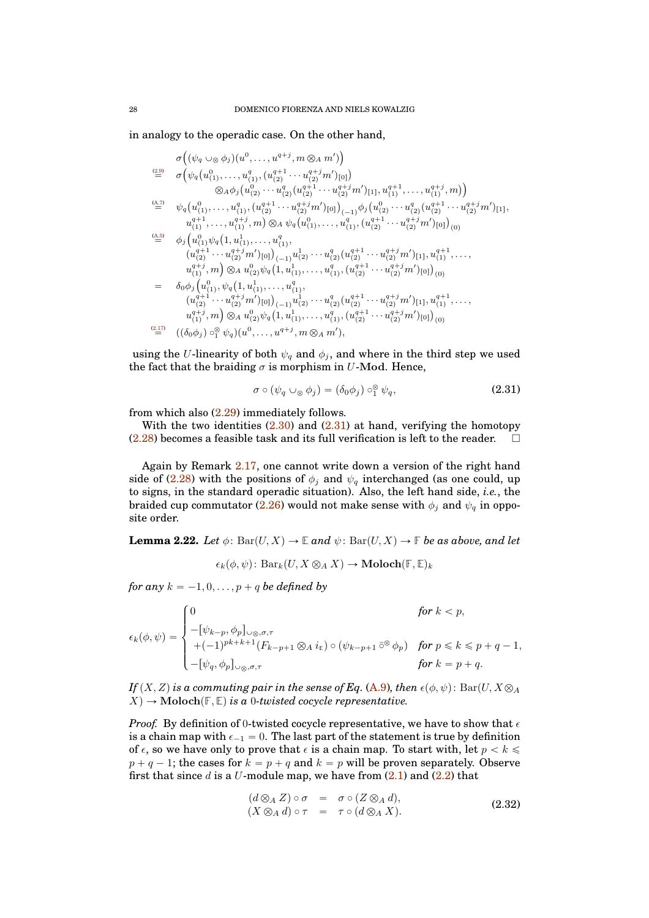in analogy to the operadic case. On the other hand,

$$
\sigma\left((\psi_q \cup_{\otimes} \phi_j)(u^0, \ldots, u^{q+j}, m \otimes_A m')\right) \n\stackrel{(2.9)}{=} \sigma\left(\psi_q(u^0_{(1)}, \ldots, u^q_{(1)}, (u^{q+1}_{(2)} \cdots u^{q+j}_{(2)} m')_{[0]}\right) \n\otimes_A \phi_j(u^0_{(2)} \cdots u^q_{(2)}(u^{q+1}_{2}) \cdots u^{q+j}_{(2)} m')_{[1]}, u^{q+1}_{(1)}, \ldots, u^{q+j}_{(1)}, m)\right) \n\stackrel{(4.7)}{=} \psi_q(u^0_{(1)}, \ldots, u^q_{(1)}, (u^{q+1}_{(2)} \cdots u^{q+j}_{(2)} m')_{[0]})_{(-1)} \phi_j(u^0_{(2)} \cdots u^q_{(2)}(u^{q+1}_{(2)} \cdots u^{q+j}_{(2)} m')_{[1]},
$$
\n
$$
u^{q+1}_{(1)}, \ldots, u^{q+j}_{(1)}, m) \otimes_A \psi_q(u^0_{(1)}, \ldots, u^q_{(1)}, (u^{q+1}_{(2)} \cdots u^{q+j}_{(2)} m')_{[0]})_{(0)}
$$
\n
$$
\stackrel{(4.5)}{=} \phi_j(u^0_{(1)} \psi_q(1, u^1_{(1)}, \ldots, u^q_{(1)},
$$
\n
$$
(u^{q+1}_{(2)} \cdots u^{q+j}_{(2)} m')_{[0]})_{(-1)} u^1_{(2)} \cdots u^q_{(2)}(u^{q+1}_{(2)} \cdots u^{q+j}_{(2)} m')_{[1]}, u^{q+1}_{(1)}, \ldots, u^{q+j}_{(1)}, u^{q+j}_{(1)}, m) \otimes_A u^0_{(2)} \psi_q(1, u^1_{(1)}, \ldots, u^q_{(1)}, (u^{q+1}_{(2)} \cdots u^{q+j}_{(2)} m')_{[1]}, u^{q+1}_{(1)}, \ldots, u^{q+j}_{(1)}, (u^{q+1}_{(2)} \cdots u^{q+j}_{(2)} m')_{[0]})_{(-1)} u^1_{(2)} \cdots u^q_{(2)}(u^{q+1}_{(2)} \cdots u^{q+j}_{(2)} m')_{[1]}, u^{q+1}_{(1)}, \ldots, u^{q+j}_{(1)}, m) \otimes_A u^0_{(2)} \psi_q(1
$$

using the U-linearity of both  $\psi_q$  and  $\phi_j$ , and where in the third step we used the fact that the braiding  $\sigma$  is morphism in U-Mod. Hence,

<span id="page-27-0"></span>
$$
\sigma \circ (\psi_q \cup_{\otimes} \phi_j) = (\delta_0 \phi_j) \circ_1^{\otimes} \psi_q, \tag{2.31}
$$

from which also [\(2.29\)](#page-26-2) immediately follows.

With the two identities  $(2.30)$  and  $(2.31)$  at hand, verifying the homotopy  $(2.28)$  becomes a feasible task and its full verification is left to the reader.  $\Box$ 

Again by Remark [2.17,](#page-23-4) one cannot write down a version of the right hand side of [\(2.28\)](#page-26-1) with the positions of  $\phi_j$  and  $\psi_q$  interchanged (as one could, up to signs, in the standard operadic situation). Also, the left hand side, *i.e.*, the braided cup commutator [\(2.26\)](#page-26-4) would not make sense with  $\phi_j$  and  $\psi_q$  in opposite order.

<span id="page-27-2"></span>**Lemma 2.22.** *Let*  $\phi$ : Bar $(U, X) \to \mathbb{E}$  *and*  $\psi$ : Bar $(U, X) \to \mathbb{F}$  *be as above, and let* 

$$
\epsilon_k(\phi, \psi) \colon \text{Bar}_k(U, X \otimes_A X) \to \text{Moloch}(\mathbb{F}, \mathbb{E})_k
$$

*for any*  $k = -1, 0, \ldots, p + q$  *be defined by* 

$$
\epsilon_k(\phi,\psi) = \begin{cases} 0 & \text{for } k < p, \\ -[\psi_{k-p},\phi_p]_{\cup\otimes,\sigma,\tau} & \\ +(-1)^{pk+k+1}(F_{k-p+1}\otimes_A i_{\mathbb{E}}) \circ (\psi_{k-p+1}\,\bar{\circ}^{\otimes}\,\phi_p) & \text{for } p \leq k \leq p+q-1, \\ -[\psi_q,\phi_p]_{\cup\otimes,\sigma,\tau} & \text{for } k = p+q. \end{cases}
$$

*If*  $(X, Z)$  *is a commuting pair in the sense of Eq.* [\(A.9\)](#page-39-0)*, then*  $\epsilon(\phi, \psi)$ : Bar $(U, X \otimes_A)$  $X \rightarrow \text{Moloch}(\mathbb{F}, \mathbb{E})$  *is a* 0*-twisted cocycle representative.* 

*Proof.* By definition of 0-twisted cocycle representative, we have to show that  $\epsilon$ is a chain map with  $\epsilon_{-1} = 0$ . The last part of the statement is true by definition of  $\epsilon$ , so we have only to prove that  $\epsilon$  is a chain map. To start with, let  $p < k \leq$  $p + q - 1$ ; the cases for  $k = p + q$  and  $k = p$  will be proven separately. Observe first that since d is a U-module map, we have from  $(2.1)$  and  $(2.2)$  that

<span id="page-27-1"></span>
$$
(d \otimes_A Z) \circ \sigma = \sigma \circ (Z \otimes_A d), (X \otimes_A d) \circ \tau = \tau \circ (d \otimes_A X).
$$
 (2.32)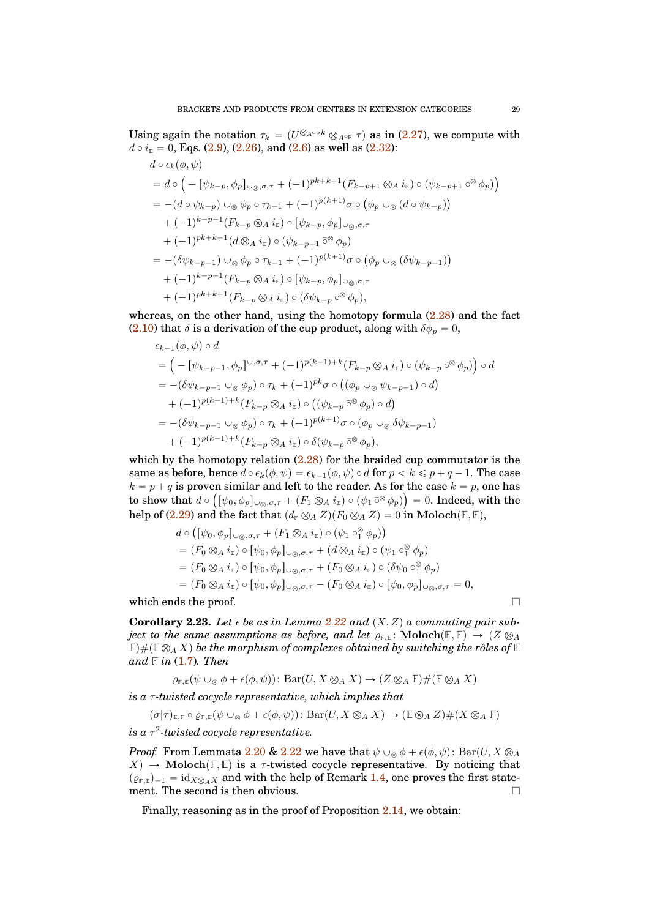Using again the notation  $\tau_k = (U^{\otimes_{A^{op}} k} \otimes_{A^{op}} \tau)$  as in [\(2.27\)](#page-26-5), we compute with  $d \circ i_{\mathbb{E}} = 0$ , Eqs. [\(2.9\)](#page-16-1), [\(2.26\)](#page-26-4), and [\(2.6\)](#page-16-5) as well as [\(2.32\)](#page-27-1):

$$
d \circ \epsilon_k(\phi, \psi)
$$
  
=  $d \circ \left( -[\psi_{k-p}, \phi_p]_{\cup \otimes, \sigma, \tau} + (-1)^{pk+k+1} (F_{k-p+1} \otimes A i_{\mathbb{E}}) \circ (\psi_{k-p+1} \bar{\circ}^{\otimes} \phi_p) \right)$   
=  $-(d \circ \psi_{k-p}) \cup_{\otimes} \phi_p \circ \tau_{k-1} + (-1)^{p(k+1)} \sigma \circ (\phi_p \cup_{\otimes} (d \circ \psi_{k-p}))$   
+  $(-1)^{k-p-1} (F_{k-p} \otimes A i_{\mathbb{E}}) \circ [\psi_{k-p}, \phi_p]_{\cup \otimes, \sigma, \tau}$   
+  $(-1)^{pk+k+1} (d \otimes A i_{\mathbb{E}}) \circ (\psi_{k-p+1} \bar{\circ}^{\otimes} \phi_p)$   
=  $-(\delta \psi_{k-p-1}) \cup_{\otimes} \phi_p \circ \tau_{k-1} + (-1)^{p(k+1)} \sigma \circ (\phi_p \cup_{\otimes} (\delta \psi_{k-p-1}))$   
+  $(-1)^{k-p-1} (F_{k-p} \otimes A i_{\mathbb{E}}) \circ [\psi_{k-p}, \phi_p]_{\cup \otimes, \sigma, \tau}$   
+  $(-1)^{pk+k+1} (F_{k-p} \otimes A i_{\mathbb{E}}) \circ (\delta \psi_{k-p} \bar{\circ}^{\otimes} \phi_p),$ 

whereas, on the other hand, using the homotopy formula  $(2.28)$  and the fact [\(2.10\)](#page-16-2) that  $\delta$  is a derivation of the cup product, along with  $\delta \phi_p = 0$ ,

$$
\epsilon_{k-1}(\phi,\psi) \circ d
$$
\n
$$
= \left( -\left[ \psi_{k-p-1}, \phi_p \right] \circ \sigma, \tau + (-1)^{p(k-1)+k} \left( F_{k-p} \otimes_A i_{\mathbb{E}} \right) \circ \left( \psi_{k-p} \right) \circ \phi_p \right) \circ d
$$
\n
$$
= -(\delta \psi_{k-p-1} \cup_{\otimes} \phi_p) \circ \tau_k + (-1)^{pk} \sigma \circ \left( (\phi_p \cup_{\otimes} \psi_{k-p-1}) \circ d \right)
$$
\n
$$
+ (-1)^{p(k-1)+k} \left( F_{k-p} \otimes_A i_{\mathbb{E}} \right) \circ \left( (\psi_{k-p} \right) \circ \phi_p \right) \circ d
$$
\n
$$
= -(\delta \psi_{k-p-1} \cup_{\otimes} \phi_p) \circ \tau_k + (-1)^{p(k+1)} \sigma \circ (\phi_p \cup_{\otimes} \delta \psi_{k-p-1})
$$
\n
$$
+ (-1)^{p(k-1)+k} \left( F_{k-p} \otimes_A i_{\mathbb{E}} \right) \circ \delta(\psi_{k-p} \circ \delta \phi_p),
$$

which by the homotopy relation  $(2.28)$  for the braided cup commutator is the same as before, hence  $d \circ \epsilon_k(\phi, \psi) = \epsilon_{k-1}(\phi, \psi) \circ d$  for  $p < k \leq p + q - 1$ . The case  $k = p + q$  is proven similar and left to the reader. As for the case  $k = p$ , one has to show that  $d \circ ([\psi_0, \phi_p]_{\cup \otimes, \sigma,\tau} + (F_1 \otimes_A i_{\epsilon}) \circ (\psi_1 \circ \otimes \phi_p)) = 0$ . Indeed, with the help of [\(2.29\)](#page-26-2) and the fact that  $(d_F \otimes_A Z)(F_0 \otimes_A Z) = 0$  in Moloch $(F, \mathbb{E}),$ 

$$
d \circ \left( [\psi_0, \phi_p]_{\cup_{\otimes}, \sigma, \tau} + (F_1 \otimes_A i_{\epsilon}) \circ (\psi_1 \circ^{\otimes}_1 \phi_p) \right)
$$
  
=  $(F_0 \otimes_A i_{\epsilon}) \circ [\psi_0, \phi_p]_{\cup_{\otimes}, \sigma, \tau} + (d \otimes_A i_{\epsilon}) \circ (\psi_1 \circ^{\otimes}_1 \phi_p)$   
=  $(F_0 \otimes_A i_{\epsilon}) \circ [\psi_0, \phi_p]_{\cup_{\otimes}, \sigma, \tau} + (F_0 \otimes_A i_{\epsilon}) \circ (\delta \psi_0 \circ^{\otimes}_1 \phi_p)$   
=  $(F_0 \otimes_A i_{\epsilon}) \circ [\psi_0, \phi_p]_{\cup_{\otimes}, \sigma, \tau} - (F_0 \otimes_A i_{\epsilon}) \circ [\psi_0, \phi_p]_{\cup_{\otimes}, \sigma, \tau} = 0,$ 

which ends the proof.  $\Box$ 

**Corollary 2.23.** Let  $\epsilon$  be as in Lemma [2.22](#page-27-2) and  $(X, Z)$  a commuting pair sub*ject to the same assumptions as before, and let*  $\varrho_{F,E}$ : Moloch $(F, E) \to (Z \otimes_A)$  $\mathbb{E}$ )  $\#(\mathbb{F} \otimes_A X)$  be the morphism of complexes obtained by switching the rôles of  $\mathbb{E}$ *and* **F** *in* [\(1.7\)](#page-7-1)*. Then*

$$
\varrho_{F,E}(\psi \cup_{\otimes} \phi + \epsilon(\phi,\psi)) : \text{Bar}(U, X \otimes_A X) \to (Z \otimes_A \mathbb{E}) \# (\mathbb{F} \otimes_A X)
$$

*is a* τ*-twisted cocycle representative, which implies that*

$$
(\sigma|\tau)_{\mathbb{E},\mathbb{F}}\circ \varrho_{\mathbb{F},\mathbb{E}}(\psi\cup_{\otimes}\phi+\epsilon(\phi,\psi))\colon \mathrm{Bar}(U,X\otimes_A X)\to (\mathbb{E}\otimes_A Z)\# (X\otimes_A \mathbb{F})
$$

 $i$ s a  $\tau^2$ -twisted cocycle representative.

*Proof.* From Lemmata [2.20](#page-26-6) & [2.22](#page-27-2) we have that  $\psi \cup_{\infty} \phi + \epsilon(\phi, \psi)$ : Bar $(U, X \otimes_A)$  $X \rightarrow$  Moloch $(F, E)$  is a  $\tau$ -twisted cocycle representative. By noticing that  $(\varrho_{F,E})_{-1} = \mathrm{id}_{X\otimes_A X}$  and with the help of Remark [1.4,](#page-10-4) one proves the first statement. The second is then obvious.

Finally, reasoning as in the proof of Proposition [2.14,](#page-22-4) we obtain: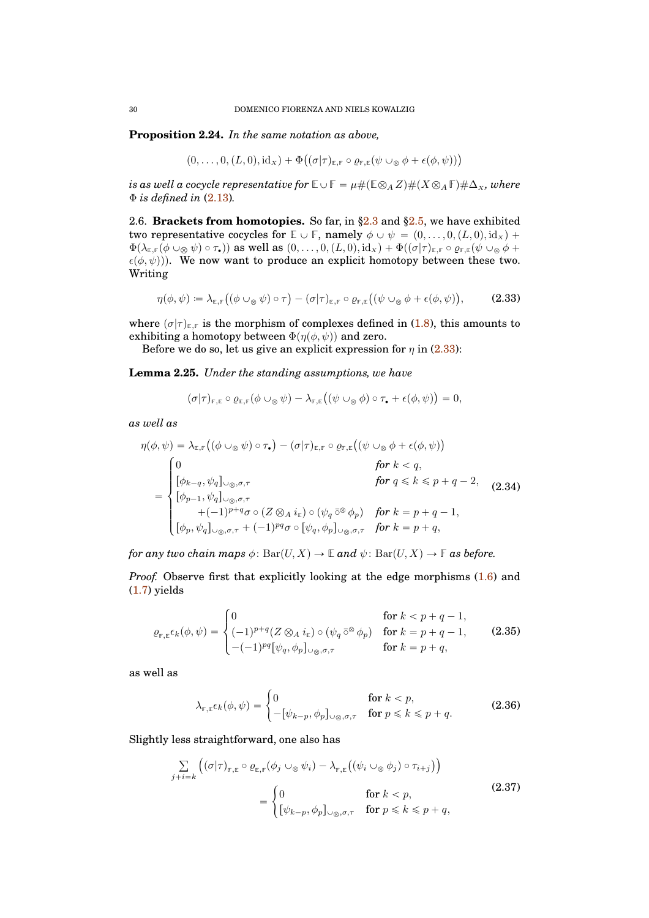<span id="page-29-1"></span>**Proposition 2.24.** *In the same notation as above,*

$$
(0,\ldots,0,(L,0),id_{x})+\Phi((\sigma|\tau)_{\mathbb{E},\mathbb{F}}\circ \varrho_{\mathbb{F},\mathbb{E}}(\psi\cup_{\otimes}\phi+\epsilon(\phi,\psi)))
$$

*is as well a cocycle representative for*  $\mathbb{E} \cup \mathbb{F} = \mu \# (\mathbb{E} \otimes_A Z) \# (X \otimes_A \mathbb{F}) \# \Delta_X$ *, where* Φ *is defined in* [\(2.13\)](#page-21-4)*.*

<span id="page-29-0"></span>2.6. **Brackets from homotopies.** So far, in [§2.3](#page-18-0) and [§2.5,](#page-26-0) we have exhibited two representative cocycles for  $\mathbb{E} \cup \mathbb{F}$ , namely  $\phi \cup \psi = (0, \ldots, 0, (L, 0), id_x)$  +  $\Phi(\lambda_{\mathbb{E},\mathbb{F}}(\phi \cup_{\otimes} \psi) \circ \tau_{\bullet})$  as well as  $(0,\ldots,0,(L,0), id_{x}) + \Phi((\sigma|\tau)_{\mathbb{E},\mathbb{F}} \circ \varrho_{\mathbb{F},\mathbb{E}}(\psi \cup_{\otimes} \phi +$  $\epsilon(\phi, \psi)$ ). We now want to produce an explicit homotopy between these two. Writing

<span id="page-29-2"></span>
$$
\eta(\phi,\psi) \coloneqq \lambda_{\mathbb{E},\mathbb{F}}\big((\phi \cup_{\otimes} \psi) \circ \tau\big) - (\sigma|\tau)_{\mathbb{E},\mathbb{F}} \circ \varrho_{\mathbb{F},\mathbb{E}}\big((\psi \cup_{\otimes} \phi + \epsilon(\phi,\psi)),\tag{2.33}
$$

where  $(\sigma|\tau)_{E,F}$  is the morphism of complexes defined in [\(1.8\)](#page-8-1), this amounts to exhibiting a homotopy between  $\Phi(\eta(\phi, \psi))$  and zero.

Before we do so, let us give an explicit expression for  $\eta$  in [\(2.33\)](#page-29-2):

**Lemma 2.25.** *Under the standing assumptions, we have*

$$
(\sigma|\tau)_{\mathbb{F},\mathbb{E}}\circ \varrho_{\mathbb{E},\mathbb{F}}(\phi\cup_{\otimes}\psi)-\lambda_{\mathbb{F},\mathbb{E}}\big((\psi\cup_{\otimes}\phi)\circ\tau_{\bullet}+\epsilon(\phi,\psi)\big)=0,
$$

*as well as*

<span id="page-29-4"></span>
$$
\eta(\phi, \psi) = \lambda_{\mathbb{E},\mathbb{F}}((\phi \cup_{\otimes} \psi) \circ \tau_{\bullet}) - (\sigma | \tau)_{\mathbb{E},\mathbb{F}} \circ \varrho_{\mathbb{F},\mathbb{E}}((\psi \cup_{\otimes} \phi + \epsilon(\phi, \psi)))
$$
\n
$$
= \begin{cases}\n0 & \text{for } k < q, \\
[\phi_{k-q}, \psi_q]_{\cup_{\otimes}, \sigma, \tau} & \text{for } q \leq k \leq p + q - 2, \\
[\phi_{p-1}, \psi_q]_{\cup_{\otimes}, \sigma, \tau} & \text{for } q = p + q - 1, \\
[1.5mm] + (-1)^{p+q} \sigma \circ (Z \otimes_A i_{\mathbb{E}}) \circ (\psi_q \circ \phi_p) & \text{for } k = p + q - 1, \\
[\phi_p, \psi_q]_{\cup_{\otimes}, \sigma, \tau} + (-1)^{pq} \sigma \circ [\psi_q, \phi_p]_{\cup_{\otimes}, \sigma, \tau} & \text{for } k = p + q,\n\end{cases} (2.34)
$$

*for any two chain maps*  $\phi$ :  $Bar(U, X) \to \mathbb{E}$  *and*  $\psi$ :  $Bar(U, X) \to \mathbb{F}$  *as before.* 

*Proof.* Observe first that explicitly looking at the edge morphisms  $(1.6)$  and [\(1.7\)](#page-7-1) yields

<span id="page-29-3"></span>
$$
\varrho_{\mathbb{F},\mathbb{E}}\epsilon_k(\phi,\psi) = \begin{cases}\n0 & \text{for } k < p+q-1, \\
(-1)^{p+q}(Z \otimes_A i_\mathbb{E}) \circ (\psi_q \circ^\otimes \phi_p) & \text{for } k = p+q-1, \\
-(-1)^{pq}[\psi_q,\phi_p]_{\cup_\otimes,\sigma,\tau} & \text{for } k = p+q,\n\end{cases}
$$
\n(2.35)

as well as

$$
\lambda_{\mathbb{F}, \mathbb{E}} \epsilon_k(\phi, \psi) = \begin{cases} 0 & \text{for } k < p, \\ -\left[\psi_{k-p}, \phi_p\right]_{\cup \otimes, \sigma, \tau} & \text{for } p \leqslant k \leqslant p + q. \end{cases} \tag{2.36}
$$

Slightly less straightforward, one also has

$$
\sum_{j+i=k} \left( (\sigma|\tau)_{\mathbb{F},\mathbb{E}} \circ \varrho_{\mathbb{E},\mathbb{F}}(\phi_j \cup_{\otimes} \psi_i) - \lambda_{\mathbb{F},\mathbb{E}} \left( (\psi_i \cup_{\otimes} \phi_j) \circ \tau_{i+j} \right) \right)
$$
\n
$$
= \begin{cases}\n0 & \text{for } k < p, \\
[\psi_{k-p}, \phi_p]_{\cup_{\otimes}, \sigma,\tau} & \text{for } p \leq k \leq p+q,\n\end{cases}
$$
\n(2.37)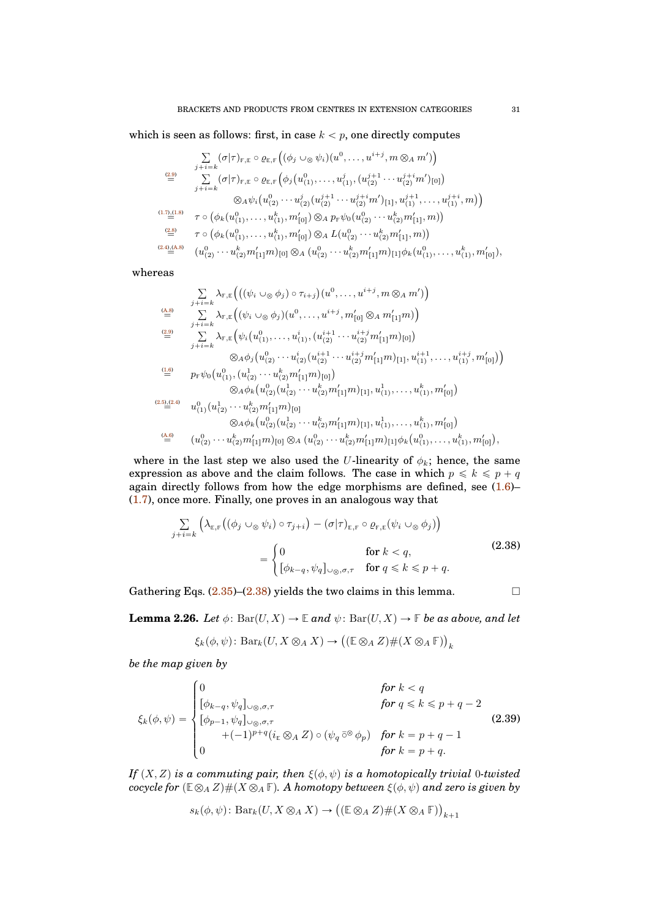which is seen as follows: first, in case  $k < p$ , one directly computes

$$
\sum_{j+i=k} (\sigma | \tau)_{\mathbb{F}, \mathbb{E}} \circ \varrho_{\mathbb{E}, \mathbb{F}} \left( (\phi_j \cup_{\otimes} \psi_i) (u^0, \dots, u^{i+j}, m \otimes_A m') \right)
$$
\n
$$
\stackrel{\text{(2.9)}}{=} \sum_{j+i=k} (\sigma | \tau)_{\mathbb{F}, \mathbb{E}} \circ \varrho_{\mathbb{E}, \mathbb{F}} \left( \phi_j (u^0_{(1)}, \dots, u^j_{(1)}, (u^{j+1}_{(2)} \cdots u^{j+i}_{(2)} m')_{[0]} \right)
$$
\n
$$
\otimes_A \psi_i (u^0_{(2)} \cdots u^j_{(2)} (u^{j+1}_{(2)} \cdots u^{j+i}_{(2)} m')_{[1], u^{j+1}_{(1)}, \dots, u^{j+i}_{(1)}, m) \right)
$$
\n
$$
\stackrel{\text{(1.7),(1.8)}}{=} \tau \circ \left( \phi_k (u^0_{(1)}, \dots, u^k_{(1)}, m'_{[0]}) \otimes_A p_{\mathbb{F}} \psi_0 (u^0_{(2)} \cdots u^k_{(2)} m'_{[1]}, m) \right)
$$
\n
$$
\stackrel{\text{(2.8)}}{=} \tau \circ \left( \phi_k (u^0_{(1)}, \dots, u^k_{(1)}, m'_{[0]}) \otimes_A L(u^0_{(2)} \cdots u^k_{(2)} m'_{[1]}, m) \right)
$$
\n
$$
\stackrel{\text{(2.4),(A,8)}}{=} \left( u^0_{(2)} \cdots u^k_{(2)} m'_{[1]} m \right)_{[0]} \otimes_A (u^0_{(2)} \cdots u^k_{(2)} m'_{[1]} m)_{[1]} \phi_k (u^0_{(1)}, \dots, u^k_{(1)}, m'_{[0]}),
$$

whereas

$$
\sum_{j+i=k} \lambda_{\mathsf{F},\mathbb{E}} \left( \left( (\psi_i \cup_{\otimes} \phi_j) \circ \tau_{i+j} \right) (u^0, \ldots, u^{i+j}, m \otimes_A m') \right)
$$
\n
$$
\stackrel{\text{(A.8)}}{=} \sum_{j+i=k} \lambda_{\mathsf{F},\mathbb{E}} \left( (\psi_i \cup_{\otimes} \phi_j) (u^0, \ldots, u^{i+j}, m'_{[0]} \otimes_A m'_{[1]} m) \right)
$$
\n
$$
\stackrel{\text{(2.9)}}{=} \sum_{j+i=k} \lambda_{\mathsf{F},\mathbb{E}} \left( \psi_i \left( u^0_{(1)}, \ldots, u^i_{(1)}, (u^{i+1}_{(2)} \cdots u^{i+j}_{(2)} m'_{[1]} m)_{[0]} \right) \right)
$$
\n
$$
\otimes_A \phi_j \left( u^0_{(2)} \cdots u^i_{(2)} (u^{i+1}_{(2)} \cdots u^{i+j}_{(2)} m'_{[1]} m)_{[1]}, u^{i+1}_{(1)}, \ldots, u^{i+j}_{(1)}, m'_{[0]} \right) \right)
$$
\n
$$
\stackrel{\text{(1.6)}}{=} p_{\mathsf{F}} \psi_0 \left( u^0_{(1)}, (u^1_{(2)} \cdots u^k_{(2)} m'_{[1]} m)_{[0]} \right)
$$
\n
$$
\otimes_A \phi_k \left( u^0_{(2)} (u^1_{(2)} \cdots u^k_{(2)} m'_{[1]} m)_{[1]}, u^1_{(1)}, \ldots, u^k_{(1)}, m'_{[0]} \right)
$$
\n
$$
\stackrel{\text{(2.5),(2.4)}}{=} u^0_{(1)} (u^1_{(2)} \cdots u^k_{(2)} m'_{[1]} m)_{[0]}
$$
\n
$$
\otimes_A \phi_k \left( u^0_{(2)} (u^1_{(2)} \cdots u^k_{(2)} m'_{[1]} m)_{[1]}, u^1_{(1)}, \ldots, u^k_{(1)}, m'_{[0]} \right)
$$
\n
$$
\stackrel{\text{(A.6)}}{=} u^0_{(2)} \cdots u^k_{(2)} m'_{[1]} m)_{[0]} \otimes_A \left( u^0_{(2)} \cdots u^k_{(2)} m'_{[1]} m
$$

where in the last step we also used the U-linearity of  $\phi_k$ ; hence, the same expression as above and the claim follows. The case in which  $p \le k \le p + q$ again directly follows from how the edge morphisms are defined, see [\(1.6\)](#page-7-0)– [\(1.7\)](#page-7-1), once more. Finally, one proves in an analogous way that

$$
\sum_{j+i=k} \left( \lambda_{\mathbb{E},\mathbb{F}} \left( (\phi_j \cup_{\otimes} \psi_i) \circ \tau_{j+i} \right) - (\sigma | \tau)_{\mathbb{E},\mathbb{F}} \circ \varrho_{\mathbb{F},\mathbb{E}} (\psi_i \cup_{\otimes} \phi_j) \right)
$$
\n
$$
= \begin{cases}\n0 & \text{for } k < q, \\
[\phi_{k-q}, \psi_q]_{\cup_{\otimes}, \sigma,\tau} & \text{for } q \leq k \leq p+q.\n\end{cases}
$$
\n(2.38)

<span id="page-30-0"></span>Gathering Eqs.  $(2.35)$ – $(2.38)$  yields the two claims in this lemma.

<span id="page-30-2"></span>**Lemma 2.26.** *Let*  $\phi$ :  $\text{Bar}(U, X) \to \mathbb{E}$  *and*  $\psi$ :  $\text{Bar}(U, X) \to \mathbb{F}$  *be as above, and let* 

$$
\xi_k(\phi,\psi) \colon \mathrm{Bar}_k(U, X \otimes_A X) \to \big((\mathbb{E} \otimes_A Z) \# (X \otimes_A \mathbb{F})\big)_k
$$

*be the map given by*

<span id="page-30-1"></span>
$$
\xi_k(\phi,\psi) = \begin{cases}\n0 & \text{for } k < q \\
[\phi_{k-q}, \psi_q]_{\cup \otimes, \sigma, \tau} & \text{for } q \leq k \leq p + q - 2 \\
[\phi_{p-1}, \psi_q]_{\cup \otimes, \sigma, \tau} & \text{for } q = p + q - 1 \\
0 & \text{for } k = p + q.\n\end{cases}
$$
\n(2.39)

*If*  $(X, Z)$  *is a commuting pair, then*  $\xi(\phi, \psi)$  *is a homotopically trivial* 0*-twisted cocycle for*  $(E \otimes_A Z) \# (X \otimes_A F)$ *. A homotopy between*  $\xi(\phi, \psi)$  *and zero is given by* 

$$
s_k(\phi,\psi)\colon \mathrm{Bar}_k(U,X\otimes_A X)\to \big((\mathbb{E}\otimes_A Z)\#(X\otimes_A \mathbb{F})\big)_{k+1}
$$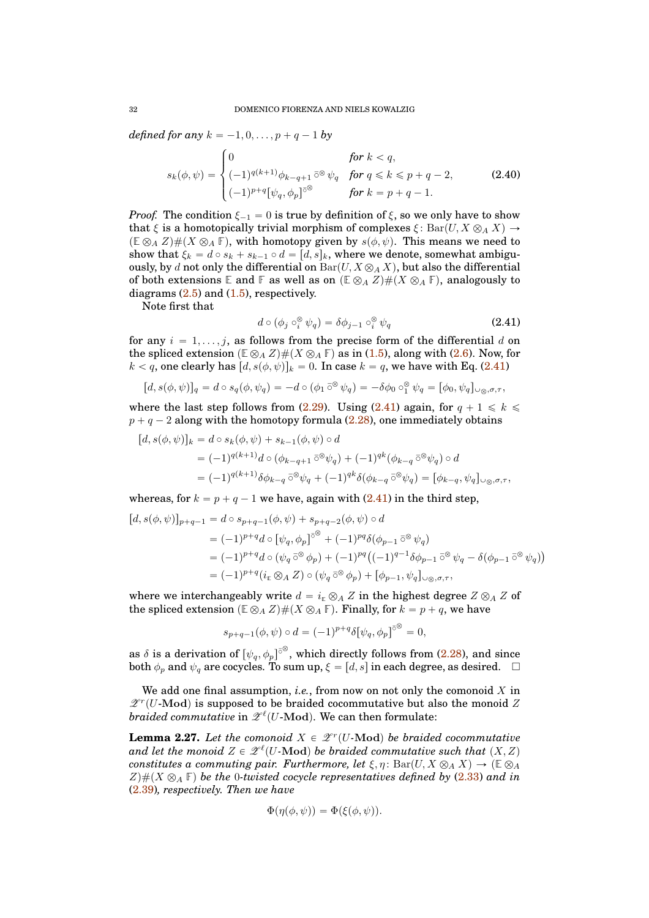*defined for any*  $k = -1, 0, \ldots, p + q - 1$  *by* 

<span id="page-31-2"></span>
$$
s_k(\phi, \psi) = \begin{cases} 0 & \text{for } k < q, \\ (-1)^{q(k+1)} \phi_{k-q+1} \bar{\circ}^{\otimes} \psi_q & \text{for } q \le k \le p+q-2, \\ (-1)^{p+q} [\psi_q, \phi_p] ^{\bar{\circ}^{\otimes}} & \text{for } k = p+q-1. \end{cases}
$$
(2.40)

*Proof.* The condition  $\xi_{-1} = 0$  is true by definition of  $\xi$ , so we only have to show that  $\xi$  is a homotopically trivial morphism of complexes  $\xi \colon \text{Bar}(U, X \otimes_A X) \to$  $(E \otimes_A Z) \# (X \otimes_A F)$ , with homotopy given by  $s(\phi, \psi)$ . This means we need to show that  $\xi_k = d \circ s_k + s_{k-1} \circ d = [d, s]_k$ , where we denote, somewhat ambiguously, by d not only the differential on  $Bar(U, X \otimes_A X)$ , but also the differential of both extensions **E** and **F** as well as on  $(E \otimes_A Z) \# (X \otimes_A F)$ , analogously to diagrams  $(2.5)$  and  $(1.5)$ , respectively.

Note first that

<span id="page-31-0"></span>
$$
d \circ (\phi_j \circ_i^{\otimes} \psi_q) = \delta \phi_{j-1} \circ_i^{\otimes} \psi_q \tag{2.41}
$$

for any  $i = 1, \ldots, j$ , as follows from the precise form of the differential d on the spliced extension  $(\mathbb{E} \otimes_A Z) \# (X \otimes_A \mathbb{F})$  as in [\(1.5\)](#page-7-2), along with [\(2.6\)](#page-16-5). Now, for  $k < q$ , one clearly has  $[d, s(\phi, \psi)]_k = 0$ . In case  $k = q$ , we have with Eq. [\(2.41\)](#page-31-0)

$$
[d, s(\phi, \psi)]_q = d \circ s_q(\phi, \psi_q) = -d \circ (\phi_1 \circ \phi \psi_q) = -\delta \phi_0 \circ \phi_1^{\otimes} \psi_q = [\phi_0, \psi_q]_{\cup \otimes, \sigma, \tau},
$$

where the last step follows from [\(2.29\)](#page-26-2). Using [\(2.41\)](#page-31-0) again, for  $q + 1 \leq k \leq$  $p + q - 2$  along with the homotopy formula [\(2.28\)](#page-26-1), one immediately obtains

$$
[d, s(\phi, \psi)]_k = d \circ s_k(\phi, \psi) + s_{k-1}(\phi, \psi) \circ d
$$
  
=  $(-1)^{q(k+1)} d \circ (\phi_{k-q+1} \bar{\circ}^{\otimes} \psi_q) + (-1)^{q(k)} (\phi_{k-q} \bar{\circ}^{\otimes} \psi_q) \circ d$   
=  $(-1)^{q(k+1)} \delta \phi_{k-q} \bar{\circ}^{\otimes} \psi_q + (-1)^{q(k)} \delta (\phi_{k-q} \bar{\circ}^{\otimes} \psi_q) = [\phi_{k-q}, \psi_q]_{\cup \otimes, \sigma, \tau},$ 

whereas, for  $k = p + q - 1$  we have, again with  $(2.41)$  in the third step,

$$
[d, s(\phi, \psi)]_{p+q-1} = d \circ s_{p+q-1}(\phi, \psi) + s_{p+q-2}(\phi, \psi) \circ d
$$
  
\n
$$
= (-1)^{p+q} d \circ [\psi_q, \phi_p]^{\delta \otimes} + (-1)^{pq} \delta(\phi_{p-1} \bar{\delta}^{\otimes} \psi_q)
$$
  
\n
$$
= (-1)^{p+q} d \circ (\psi_q \bar{\delta}^{\otimes} \phi_p) + (-1)^{pq} ((-1)^{q-1} \delta \phi_{p-1} \bar{\delta}^{\otimes} \psi_q - \delta(\phi_{p-1} \bar{\delta}^{\otimes} \psi_q))
$$
  
\n
$$
= (-1)^{p+q} (i_{\mathbb{E}} \otimes_A Z) \circ (\psi_q \bar{\delta}^{\otimes} \phi_p) + [\phi_{p-1}, \psi_q]_{\cup \otimes, \sigma, \tau},
$$

where we interchangeably write  $d = i_E \otimes_A Z$  in the highest degree  $Z \otimes_A Z$  of the spliced extension  $(\mathbb{E} \otimes_A Z)\#(X \otimes_A \mathbb{F})$ . Finally, for  $k = p + q$ , we have

$$
s_{p+q-1}(\phi,\psi) \circ d = (-1)^{p+q} \delta[\psi_q,\phi_p]^{\delta} = 0,
$$

as  $\delta$  is a derivation of  $[\psi_q,\phi_p]^{ \bar\circ\,^\otimes},$  which directly follows from [\(2.28\)](#page-26-1), and since both  $\phi_p$  and  $\psi_q$  are cocycles. To sum up,  $\xi = [d, s]$  in each degree, as desired.  $\Box$ 

We add one final assumption, *i.e.*, from now on not only the comonoid  $X$  in  $\mathscr{Z}^r(U\text{-}\mathrm{Mod})$  is supposed to be braided cocommutative but also the monoid Z *braided commutative* in  $\mathscr{Z}^{\ell}(U\text{-}\mathrm{Mod})$ . We can then formulate:

<span id="page-31-1"></span>**Lemma 2.27.** Let the comonoid  $X \in \mathcal{Z}^r(U$ -Mod) be braided cocommutative and let the monoid  $Z \in \mathscr{L}^{\ell}(U\text{-}\mathrm{Mod})$  be braided commutative such that  $(X, Z)$ *constitutes a commuting pair. Furthermore, let*  $\xi, \eta$ : Bar $(U, X \otimes_A X) \to (\mathbb{E} \otimes_A Y)$  $Z\#(X \otimes_A \mathbb{F})$  be the 0*-twisted cocycle representatives defined by* [\(2.33\)](#page-29-2) *and in* [\(2.39\)](#page-30-1)*, respectively. Then we have*

$$
\Phi(\eta(\phi,\psi)) = \Phi(\xi(\phi,\psi)).
$$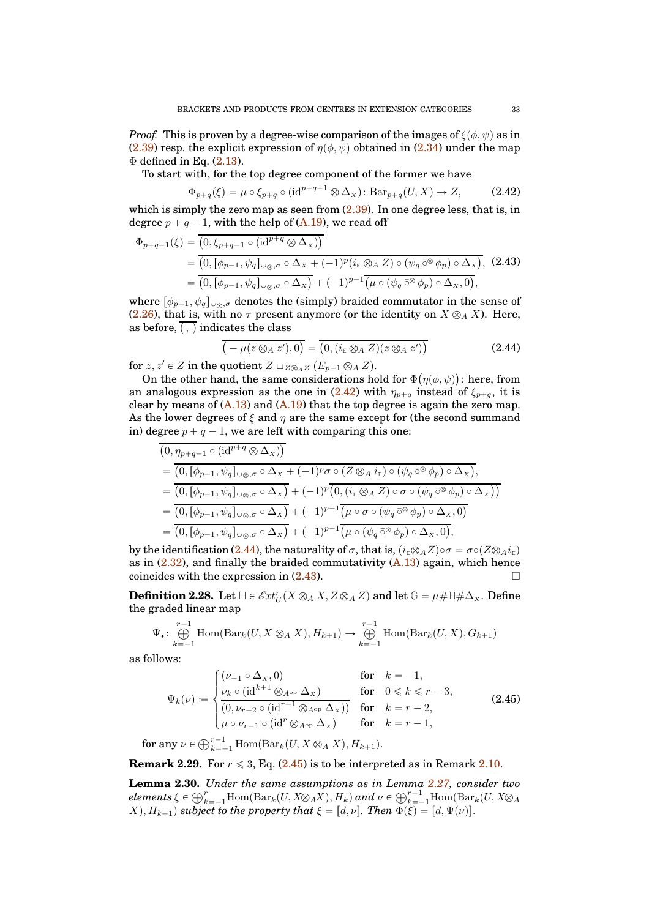*Proof.* This is proven by a degree-wise comparison of the images of  $\xi(\phi, \psi)$  as in [\(2.39\)](#page-30-1) resp. the explicit expression of  $\eta(\phi, \psi)$  obtained in [\(2.34\)](#page-29-4) under the map  $\Phi$  defined in Eq. [\(2.13\)](#page-21-4).

To start with, for the top degree component of the former we have

<span id="page-32-0"></span>
$$
\Phi_{p+q}(\xi) = \mu \circ \xi_{p+q} \circ (\mathrm{id}^{p+q+1} \otimes \Delta_x) \colon \mathrm{Bar}_{p+q}(U, X) \to Z,
$$
 (2.42)

which is simply the zero map as seen from  $(2.39)$ . In one degree less, that is, in degree  $p + q - 1$ , with the help of [\(A.19\)](#page-40-1), we read off

<span id="page-32-2"></span>
$$
\Phi_{p+q-1}(\xi) = \overline{(0, \xi_{p+q-1} \circ (\mathrm{id}^{p+q} \otimes \Delta_{X}))}
$$
\n
$$
= \overline{(0, [\phi_{p-1}, \psi_q]_{\cup \otimes, \sigma} \circ \Delta_{X} + (-1)^p (i_{\mathbb{E}} \otimes_A Z) \circ (\psi_q \circ \otimes \phi_p) \circ \Delta_{X})}, \quad (2.43)
$$
\n
$$
= \overline{(0, [\phi_{p-1}, \psi_q]_{\cup \otimes, \sigma} \circ \Delta_{X})} + (-1)^{p-1} \overline{(\mu \circ (\psi_q \circ \otimes \phi_p) \circ \Delta_{X}, 0)},
$$

where  $[\phi_{p-1}, \psi_q]_{\cup \otimes \sigma}$  denotes the (simply) braided commutator in the sense of [\(2.26\)](#page-26-4), that is, with no  $\tau$  present anymore (or the identity on  $X \otimes_A X$ ). Here, as before,  $($ ,  $)$  indicates the class

<span id="page-32-1"></span>
$$
\overline{(-\mu(z \otimes_A z'),0)} = \overline{(0,(i_{\mathbb{E}} \otimes_A Z)(z \otimes_A z'))}
$$
(2.44)

for  $z, z' \in Z$  in the quotient  $Z \sqcup_{Z \otimes_A Z} (E_{p-1} \otimes_A Z)$ .

On the other hand, the same considerations hold for  $\Phi(\eta(\phi, \psi))$ : here, from an analogous expression as the one in [\(2.42\)](#page-32-0) with  $\eta_{p+q}$  instead of  $\xi_{p+q}$ , it is clear by means of  $(A.13)$  and  $(A.19)$  that the top degree is again the zero map. As the lower degrees of  $\xi$  and  $\eta$  are the same except for (the second summand in) degree  $p + q - 1$ , we are left with comparing this one:

$$
\overline{(0,\eta_{p+q-1}\circ(\mathrm{id}^{p+q}\otimes\Delta_{X}))}
$$
\n
$$
=\overline{(0,[\phi_{p-1},\psi_{q}]_{\cup\otimes,\sigma}\circ\Delta_{X}+(-1)^{p}\sigma\circ(Z\otimes_A i_{\mathrm{E}})\circ(\psi_{q}\circ\otimes\phi_{p})\circ\Delta_{X})},
$$
\n
$$
=\overline{(0,[\phi_{p-1},\psi_{q}]_{\cup\otimes,\sigma}\circ\Delta_{X})+(-1)^{p}\overline{(0, (i_{\mathrm{E}}\otimes_A Z)\circ\sigma\circ(\psi_{q}\circ\otimes\phi_{p})\circ\Delta_{X})})}
$$
\n
$$
=\overline{(0,[\phi_{p-1},\psi_{q}]_{\cup\otimes,\sigma}\circ\Delta_{X})+(-1)^{p-1}\overline{(\mu\circ\sigma\circ(\psi_{q}\circ\otimes\phi_{p})\circ\Delta_{X},0)}
$$
\n
$$
=\overline{(0,[\phi_{p-1},\psi_{q}]_{\cup\otimes,\sigma}\circ\Delta_{X})+(-1)^{p-1}\overline{(\mu\circ(\psi_{q}\circ\otimes\phi_{p})\circ\Delta_{X},0)},
$$

by the identification [\(2.44\)](#page-32-1), the naturality of  $\sigma$ , that is,  $(i_{\mathbb{F}} \otimes_A Z) \circ \sigma = \sigma \circ (Z \otimes_A i_{\mathbb{F}})$ as in  $(2.32)$ , and finally the braided commutativity  $(A.13)$  again, which hence coincides with the expression in [\(2.43\)](#page-32-2).

**Definition 2.28.** Let  $H \in \mathscr{E}\mathscr{H}\mathscr{H}_U^r(X \otimes_A X, Z \otimes_A Z)$  and let  $\mathbb{G} = \mu \# \mathbb{H} \# \Delta_X$ . Define the graded linear map

$$
\Psi_{\bullet}: \bigoplus_{k=-1}^{r-1} \text{Hom}(\text{Bar}_{k}(U, X \otimes_{A} X), H_{k+1}) \to \bigoplus_{k=-1}^{r-1} \text{Hom}(\text{Bar}_{k}(U, X), G_{k+1})
$$

as follows:

<span id="page-32-3"></span>
$$
\Psi_k(\nu) := \begin{cases}\n(\nu_{-1} \circ \Delta_x, 0) & \text{for } k = -1, \\
\frac{\nu_k \circ (\mathrm{id}^{k+1} \otimes_{A^{\mathrm{op}}} \Delta_x)}{(0, \nu_{r-2} \circ (\mathrm{id}^{r-1} \otimes_{A^{\mathrm{op}}} \Delta_x))} & \text{for } 0 \le k \le r - 3, \\
\frac{\nu_k \circ (\mathrm{id}^{r-1} \otimes_{A^{\mathrm{op}}} \Delta_x)}{\mu \circ \nu_{r-1} \circ (\mathrm{id}^r \otimes_{A^{\mathrm{op}}} \Delta_x)} & \text{for } k = r - 2,\n\end{cases}
$$
\n(2.45)

for any  $\nu \in \bigoplus_{k=-1}^{r-1} \text{Hom}(\text{Bar}_k(U, X \otimes_A X), H_{k+1}).$ 

**Remark 2.29.** For  $r \leq 3$ , Eq.  $(2.45)$  is to be interpreted as in Remark [2.10.](#page-22-5)

<span id="page-32-4"></span>**Lemma 2.30.** *Under the same assumptions as in Lemma [2.27,](#page-31-1) consider two*  $elements \xi \in \bigoplus_{k=-1}^r \mathrm{Hom}(\mathrm{Bar}_k(U,X\otimes_A X),H_k)$  and  $\nu \in \bigoplus_{k=-1}^{r-1}\mathrm{Hom}(\mathrm{Bar}_k(U,X\otimes_A Y))$  $(X), H_{k+1}$  *subject to the property that*  $\xi = [d, \nu]$ *. Then*  $\Phi(\xi) = [d, \Psi(\nu)]$ *.*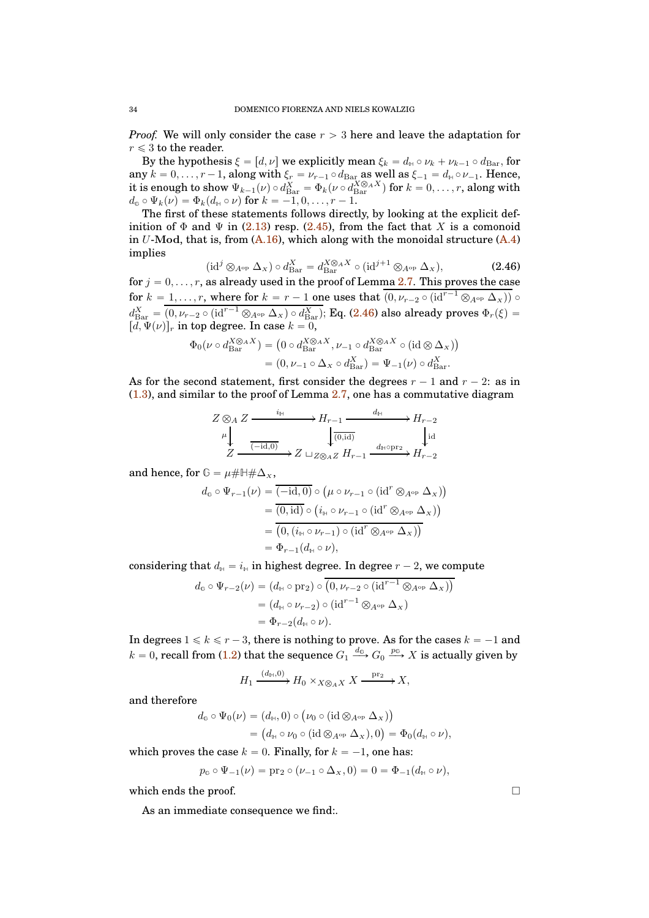*Proof.* We will only consider the case  $r > 3$  here and leave the adaptation for  $r \leqslant 3$  to the reader.

By the hypothesis  $\xi = [d, \nu]$  we explicitly mean  $\xi_k = d_{\mathbb{H}} \circ \nu_k + \nu_{k-1} \circ d_{\text{Bar}}$ , for any  $k = 0, \ldots, r - 1$ , along with  $\xi_r = \nu_{r-1} \circ d_{\text{Bar}}$  as well as  $\xi_{-1} = d_{\text{H}} \circ \nu_{-1}$ . Hence, it is enough to show  $\Psi_{k-1}(\nu) \circ d_{\text{Bar}}^X = \Phi_k(\nu \circ d_{\text{Bar}}^{X \otimes_A X})$  for  $k = 0, \ldots, r$ , along with  $d_{\mathfrak{G}} \circ \Psi_k(\nu) = \Phi_k(d_{\mathbb{H}} \circ \nu)$  for  $k = -1, 0, \ldots, r - 1$ .

The first of these statements follows directly, by looking at the explicit definition of  $\Phi$  and  $\Psi$  in [\(2.13\)](#page-21-4) resp. [\(2.45\)](#page-32-3), from the fact that X is a comonoid in U-Mod, that is, from  $(A.16)$ , which along with the monoidal structure  $(A.4)$ implies

<span id="page-33-0"></span>
$$
(\mathrm{id}^j \otimes_{A^{\mathrm{op}}} \Delta_x) \circ d_{\mathrm{Bar}}^X = d_{\mathrm{Bar}}^{X \otimes_A X} \circ (\mathrm{id}^{j+1} \otimes_{A^{\mathrm{op}}} \Delta_x),\tag{2.46}
$$

for  $j = 0, \ldots, r$ , as already used in the proof of Lemma [2.7.](#page-19-0) This proves the case for  $k = 1, \ldots, r$ , where for  $k = r - 1$  one uses that  $\overline{(0, \nu_{r-2} \circ (\mathrm{id}^{r-1} \otimes_{A^{op}} \Delta_X))}$  $d_{\text{Bar}}^X=(0,\nu_{r-2}\circ (\text{id}^{r-1}\otimes_{A^\text{op}}\Delta_X)\circ d_{\text{Bar}}^X);$  Eq. [\(2.46\)](#page-33-0) also already proves  $\Phi_r(\xi)=$  $[d, \Psi(\nu)]_r$  in top degree. In case  $k = 0$ ,

$$
\Phi_0(\nu \circ d_{\text{Bar}}^{X \otimes_A X}) = (0 \circ d_{\text{Bar}}^{X \otimes_A X}, \nu_{-1} \circ d_{\text{Bar}}^{X \otimes_A X} \circ (\text{id} \otimes \Delta_X))
$$

$$
= (0, \nu_{-1} \circ \Delta_X \circ d_{\text{Bar}}^X) = \Psi_{-1}(\nu) \circ d_{\text{Bar}}^X.
$$

As for the second statement, first consider the degrees  $r - 1$  and  $r - 2$ : as in  $(1.3)$ , and similar to the proof of Lemma  $2.7$ , one has a commutative diagram

$$
Z \otimes_A Z \xrightarrow{i_{\mathbb{H}}} H_{r-1} \xrightarrow{d_{\mathbb{H}}} H_{r-2}
$$
  
\n
$$
\downarrow \qquad \qquad \downarrow \qquad \qquad \downarrow \qquad \qquad \downarrow \qquad \downarrow \downarrow
$$
  
\n
$$
Z \xrightarrow{(-id,0)} Z \sqcup_{Z \otimes_A Z} H_{r-1} \xrightarrow{d_{\mathbb{H}} \circ \text{pr}_2} H_{r-2}
$$

and hence, for  $\mathbb{G} = \mu \# \mathbb{H} \# \Delta_{X}$ ,

$$
d_{\mathbb{G}} \circ \Psi_{r-1}(\nu) = \overline{(-id, 0)} \circ (\mu \circ \nu_{r-1} \circ (\mathrm{id}^r \otimes_{A^{\mathrm{op}}} \Delta_x))
$$
  
= 
$$
\overline{(0, id)} \circ (i_{\mathbb{H}} \circ \nu_{r-1} \circ (\mathrm{id}^r \otimes_{A^{\mathrm{op}}} \Delta_x))
$$
  
= 
$$
\overline{(0, (i_{\mathbb{H}} \circ \nu_{r-1}) \circ (\mathrm{id}^r \otimes_{A^{\mathrm{op}}} \Delta_x))}
$$
  
= 
$$
\Phi_{r-1}(d_{\mathbb{H}} \circ \nu),
$$

considering that  $d_{\mathbb{H}} = i_{\mathbb{H}}$  in highest degree. In degree  $r - 2$ , we compute

$$
d_{\mathbb{G}} \circ \Psi_{r-2}(\nu) = (d_{\mathbb{H}} \circ \text{pr}_2) \circ (0, \nu_{r-2} \circ (\text{id}^{r-1} \otimes_{A^{\text{op}}} \Delta_X))
$$
  
=  $(d_{\mathbb{H}} \circ \nu_{r-2}) \circ (\text{id}^{r-1} \otimes_{A^{\text{op}}} \Delta_X)$   
=  $\Phi_{r-2}(d_{\mathbb{H}} \circ \nu).$ 

In degrees  $1 \le k \le r - 3$ , there is nothing to prove. As for the cases  $k = -1$  and  $k = 0$ , recall from [\(1.2\)](#page-5-2) that the sequence  $G_1 \stackrel{d_{\mathbb{G}}}{\longrightarrow} G_0 \stackrel{p_{\mathbb{G}}}{\longrightarrow} X$  is actually given by

$$
H_1 \xrightarrow{(d_{\mathbb{H}},0)} H_0 \times_{X \otimes_A X} X \xrightarrow{\text{pr}_2} X,
$$

and therefore

$$
d_{\mathbb{G}} \circ \Psi_0(\nu) = (d_{\mathbb{H}}, 0) \circ (\nu_0 \circ (\mathrm{id} \otimes_{A^{\mathrm{op}}} \Delta_X))
$$
  
=  $(d_{\mathbb{H}} \circ \nu_0 \circ (\mathrm{id} \otimes_{A^{\mathrm{op}}} \Delta_X), 0) = \Phi_0(d_{\mathbb{H}} \circ \nu),$ 

which proves the case  $k = 0$ . Finally, for  $k = -1$ , one has:

$$
p_{\mathbb{G}} \circ \Psi_{-1}(\nu) = \text{pr}_2 \circ (\nu_{-1} \circ \Delta_x, 0) = 0 = \Phi_{-1}(d_{\mathbb{H}} \circ \nu),
$$

which ends the proof.

As an immediate consequence we find:.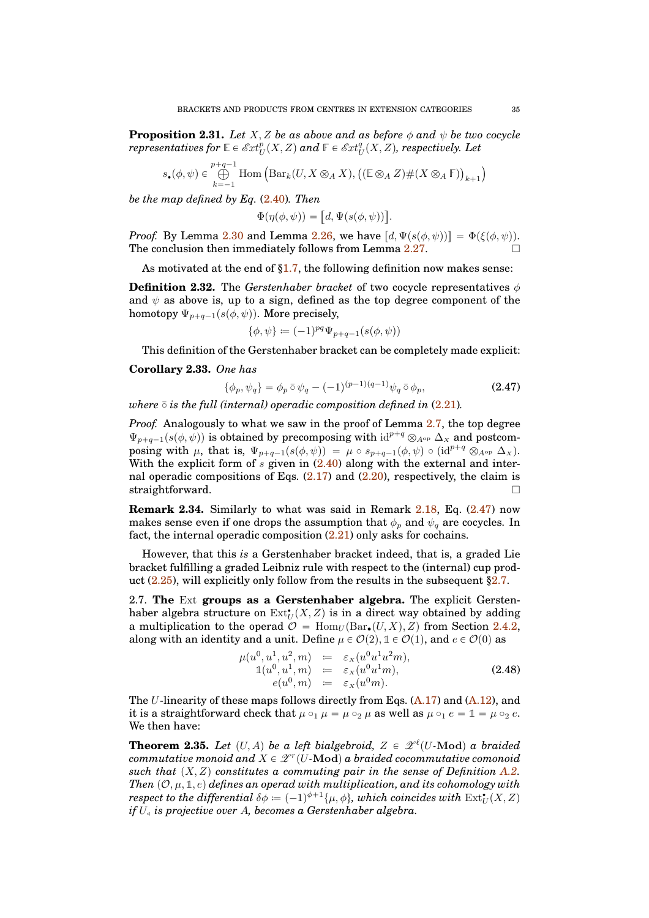**Proposition 2.31.** *Let*  $X, Z$  *be as above and as before*  $\phi$  *and*  $\psi$  *be two cocycle*  $\emph{representatives for $\mathbb{E}\in \mathscr{E}xt_U^p(X,Z)$ and $\mathbb{F}\in \mathscr{E}xt_U^q(X,Z)$, respectively. Let $Z\in L^p(\mathbb{E}\times \mathscr{E}(\mathbb{E})$, and $\mathbb{F}\in \mathscr{E}xt_U^q(X,Z)$, respectively.}$ 

$$
s_{\bullet}(\phi,\psi) \in \bigoplus_{k=-1}^{p+q-1} \text{Hom}\left(\text{Bar}_k(U, X \otimes_A X), ((\mathbb{E} \otimes_A Z) \# (X \otimes_A \mathbb{F}))_{k+1}\right)
$$

*be the map defined by Eq.* [\(2.40\)](#page-31-2)*. Then*

$$
\Phi(\eta(\phi,\psi)) = [d, \Psi(s(\phi,\psi))]
$$

*Proof.* By Lemma [2.30](#page-32-4) and Lemma [2.26,](#page-30-2) we have  $[d, \Psi(s(\phi, \psi))] = \Phi(\xi(\phi, \psi))$ . The conclusion then immediately follows from Lemma  $2.27$ .

As motivated at the end of  $\S1.7$ , the following definition now makes sense:

**Definition 2.32.** The *Gerstenhaber bracket* of two cocycle representatives  $\phi$ and  $\psi$  as above is, up to a sign, defined as the top degree component of the homotopy  $\Psi_{p+q-1}(s(\phi, \psi))$ . More precisely,

$$
\{\phi, \psi\} \coloneqq (-1)^{pq} \Psi_{p+q-1}(s(\phi, \psi))
$$

This definition of the Gerstenhaber bracket can be completely made explicit:

## **Corollary 2.33.** *One has*

<span id="page-34-2"></span>
$$
\{\phi_p, \psi_q\} = \phi_p \,\bar{\circ}\,\psi_q - (-1)^{(p-1)(q-1)}\psi_q \,\bar{\circ}\,\phi_p,\tag{2.47}
$$

.

*where*  $\bar{\circ}$  *is the full (internal) operadic composition defined in* [\(2.21\)](#page-24-1)*.* 

*Proof.* Analogously to what we saw in the proof of Lemma [2.7,](#page-19-0) the top degree  $\Psi_{p+q-1}(s(\phi, \psi))$  is obtained by precomposing with  $id^{p+q} \otimes_{A^{op}} \Delta_X$  and postcomposing with  $\mu$ , that is,  $\Psi_{p+q-1}(s(\phi, \psi)) = \mu \circ s_{p+q-1}(\phi, \psi) \circ (\mathrm{id}^{p+q} \otimes_{A^{op}} \Delta_x).$ With the explicit form of  $s$  given in  $(2.40)$  along with the external and internal operadic compositions of Eqs.  $(2.17)$  and  $(2.20)$ , respectively, the claim is straightforward.  $\square$ 

**Remark 2.34.** Similarly to what was said in Remark [2.18,](#page-25-2) Eq. [\(2.47\)](#page-34-2) now makes sense even if one drops the assumption that  $\phi_p$  and  $\psi_q$  are cocycles. In fact, the internal operadic composition [\(2.21\)](#page-24-1) only asks for cochains.

However, that this *is* a Gerstenhaber bracket indeed, that is, a graded Lie bracket fulfilling a graded Leibniz rule with respect to the (internal) cup product  $(2.25)$ , will explicitly only follow from the results in the subsequent [§2.7.](#page-34-0)

<span id="page-34-0"></span>2.7. **The** Ext **groups as a Gerstenhaber algebra.** The explicit Gerstenhaber algebra structure on  $\mathrm{Ext}^{\bullet}_U(X,Z)$  is in a direct way obtained by adding a multiplication to the operad  $\mathcal{O} = \text{Hom}_U(\text{Bar}_{\bullet}(U, X), Z)$  from Section [2.4.2,](#page-24-2) along with an identity and a unit. Define  $\mu \in \mathcal{O}(2)$ ,  $\mathbb{1} \in \mathcal{O}(1)$ , and  $e \in \mathcal{O}(0)$  as

$$
\mu(u^0, u^1, u^2, m) := \varepsilon_X(u^0 u^1 u^2 m), \n\mathbb{1}(u^0, u^1, m) := \varepsilon_X(u^0 u^1 m), \n\qquad (2.48) \n\qquad (u^0, m) := \varepsilon_X(u^0 m).
$$

The U-linearity of these maps follows directly from Eqs.  $(A.17)$  and  $(A.12)$ , and it is a straightforward check that  $\mu \circ_1 \mu = \mu \circ_2 \mu$  as well as  $\mu \circ_1 e = \mathbb{1} = \mu \circ_2 e$ . We then have:

<span id="page-34-1"></span>**Theorem 2.35.** Let  $(U, A)$  be a left bialgebroid,  $Z \in \mathcal{Z}^{\ell}(U\text{-}\mathrm{Mod})$  a braided  ${\it commutative~monoid~and}~X\in \mathscr{Z}^r(U\text{-}\mathrm{\bf Mod})~a~braided~cocommutative~comonoid$ such that  $(X, Z)$  constitutes a commuting pair in the sense of Definition [A.2.](#page-37-1) *Then*  $(0, \mu, \mathbb{1}, e)$  *defines an operad with multiplication, and its cohomology with*  $\emph{respect to the differential $\delta\phi=(-1)^{\phi+1}\{\mu,\phi\}$, which coincides with \ \mathrm{Ext}^{\bullet}_{U}(X, Z)$ *if* U<sup>Ž</sup> *is projective over* A*, becomes a Gerstenhaber algebra.*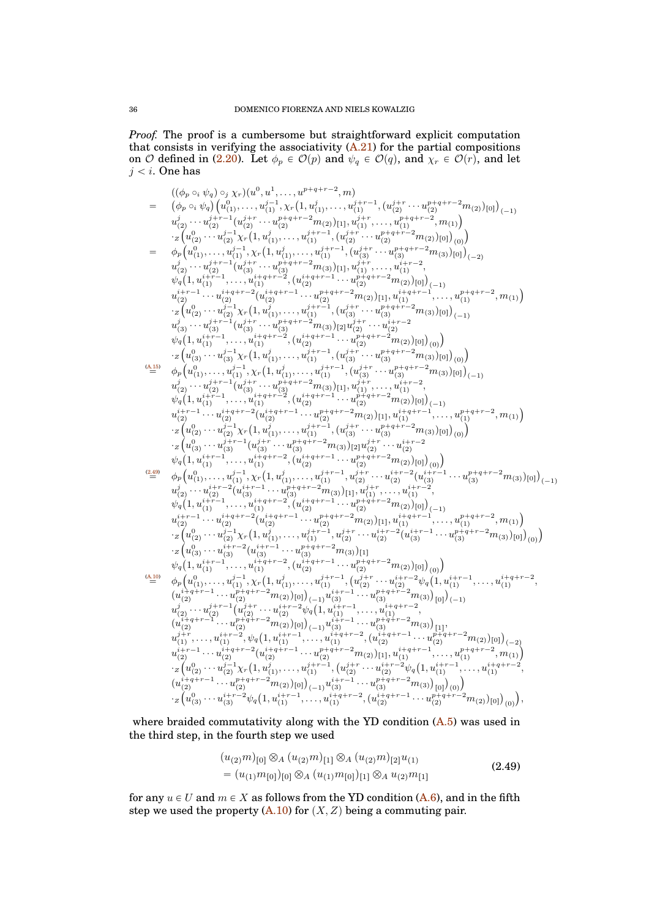*Proof.* The proof is a cumbersome but straightforward explicit computation that consists in verifying the associativity  $(A.21)$  for the partial compositions on O defined in [\(2.20\)](#page-24-0). Let  $\phi_p \in \mathcal{O}(p)$  and  $\psi_q \in \mathcal{O}(q)$ , and  $\chi_r \in \mathcal{O}(r)$ , and let  $j < i.$  One has

$$
( \langle \phi_p \circ_i \psi_q \rangle \circ_j \chi_r ) ( u^0, u^1, \ldots, u^{p+q+r-2}, m) \\ = ( \hat{\phi}_p \circ_i \psi_q ) ( u^0_{(1)}, \ldots, u^{j-1}_{(1)}, \chi_r (1, u^j_{(1)}, \ldots, u^{j+r-1}_{(1)}, ( u^{j+r-1}_{(2)}, \ldots, u^{p+q+r-2}_{(2)})[0] )_{(-1)}
$$
  
\n
$$
u^j_{(2)} \ldots u^{j-1}_{(2)} \chi_r (1, u^j_{(1)}, \ldots, u^{j-1}_{(1)}, \ldots, u^{j+1}_{(1)}, \ldots, u^{j+q+r-2}_{(1)}, m_{(1)}) ] ) ) ) ) )
$$
  
\n
$$
= \phi_p ( u^0_1, \ldots, u^{j-1}_{(1)}, \chi_r (1, u^j_1, \ldots, u^{j+r-1}_{(1)}, ( u^{j+1}_{(2)}, \ldots, u^{p+q+r-2}_{(2)})[0] ) ) )
$$
  
\n
$$
u^j_{(2)} \ldots u^{j-1}_{(2)} \ldots u^{j+1}_{(1)}, \chi_r (1, u^{j+1}_{(1)}, \ldots, u^{j+1}_{(2)}) , \ldots u^{j+1}_{(2)}, \ldots u^{j+q+r-2}_{(2)})[0] ) ) )
$$
  
\n
$$
u^{j-1}_{(2)} \ldots u^{j-1}_{(2)} \ldots u^{j+1}_{(2)} \ldots u^{j+1}_{(2)} \ldots u^{j+1}_{(2)} \ldots u^{j+1}_{(2)} \ldots u^{j+1}_{(2)} \ldots u^{j+1}_{(2)} \ldots u^{j+1}_{(2)} \ldots u^{j+1}_{(2)} \ldots u^{j+1}_{(2)} \ldots u^{j+1}_{(2)} \ldots u^{j+1}_{(2)} \ldots u^{j+1}_{(2)} \ldots u^{j+1}_{(2)} \ldots u^{j+1}_{(2)} \ldots u^{j+1}_{(2)} \ldots u^{j+1}_{(2)} \ldots u^{j+1}_{(2)} \ldots u^{j+1}_{(2)} \ldots u^{j+1}_{(2)} \ldots u^{j+1}_{(2)} \ldots u^{j+1}_{(2)} \ldots u^{j+1}_{(2)}, \ldots u^{j+1}_{(2)} \ldots u^{j+1}_{(2)},
$$

where braided commutativity along with the YD condition [\(A.5\)](#page-38-5) was used in the third step, in the fourth step we used

$$
(u_{(2)}m)_{[0]} \otimes_A (u_{(2)}m)_{[1]} \otimes_A (u_{(2)}m)_{[2]}u_{(1)}
$$
  
=  $(u_{(1)}m_{[0]})_{[0]} \otimes_A (u_{(1)}m_{[0]})_{[1]} \otimes_A u_{(2)}m_{[1]}$  (2.49)

<span id="page-35-0"></span>for any  $u \in U$  and  $m \in X$  as follows from the YD condition [\(A.6\)](#page-38-3), and in the fifth step we used the property  $(A.10)$  for  $(X, Z)$  being a commuting pair.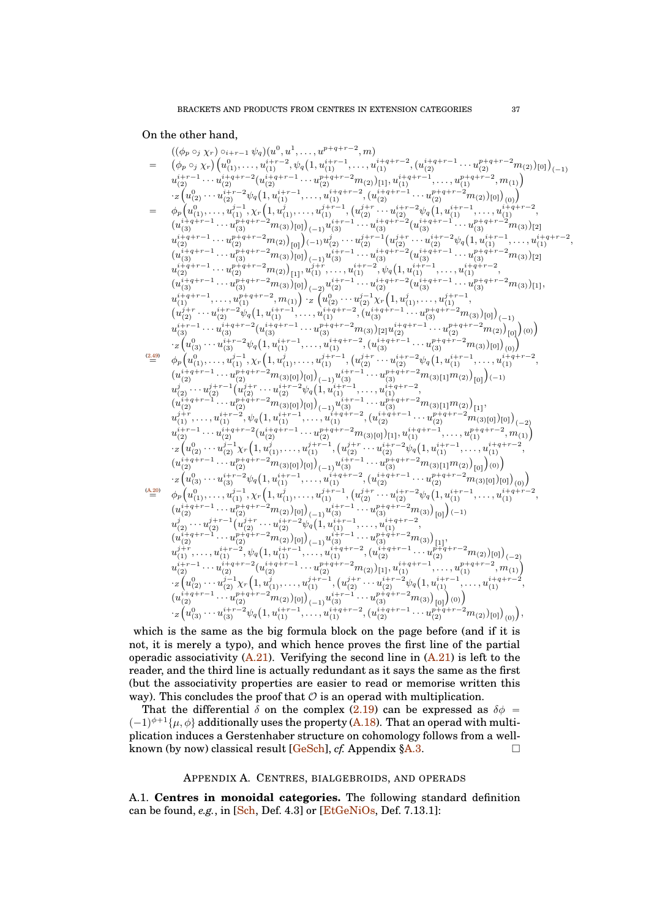## On the other hand,



which is the same as the big formula block on the page before (and if it is not, it is merely a typo), and which hence proves the first line of the partial operadic associativity  $(A.21)$ . Verifying the second line in  $(A.21)$  is left to the reader, and the third line is actually redundant as it says the same as the first (but the associativity properties are easier to read or memorise written this way). This concludes the proof that  $\mathcal O$  is an operad with multiplication.

That the differential  $\delta$  on the complex [\(2.19\)](#page-24-3) can be expressed as  $\delta \phi$  =  $(-1)^{\phi+1}\{\mu,\phi\}$  additionally uses the property [\(A.18\)](#page-40-8). That an operad with multiplication induces a Gerstenhaber structure on cohomology follows from a wellknown (by now) classical result  $[GeSch]$ , *cf.* Appendix  $\S A.3$ .

## APPENDIX A. CENTRES, BIALGEBROIDS, AND OPERADS

<span id="page-36-0"></span>A.1. **Centres in monoidal categories.** The following standard definition can be found, *e.g.*, in [\[Sch,](#page-41-8) Def. 4.3] or [\[EtGeNiOs,](#page-41-11) Def. 7.13.1]: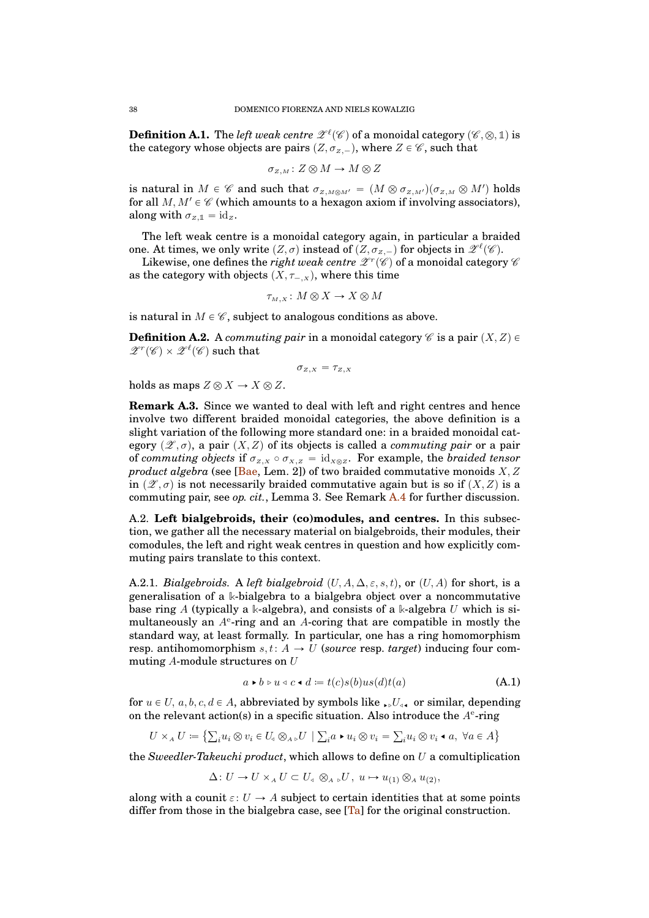<span id="page-37-0"></span> $\textbf{Definition A.1.}$  The *left weak centre*  $\mathscr{Z}^{\ell}(\mathscr{C})$  *of a monoidal category*  $(\mathscr{C}, \otimes, \mathbb{1})$  *is* the category whose objects are pairs  $(Z, \sigma_{Z,-})$ , where  $Z \in \mathscr{C}$ , such that

$$
\sigma_{z,M}\colon Z\otimes M\to M\otimes Z
$$

is natural in  $M \in \mathscr{C}$  and such that  $\sigma_{Z,M\otimes M'} = (M \otimes \sigma_{Z,M'}) (\sigma_{Z,M} \otimes M')$  holds for all  $M, M' \in \mathscr{C}$  (which amounts to a hexagon axiom if involving associators), along with  $\sigma_{Z,\mathbb{1}} = id_Z$ .

The left weak centre is a monoidal category again, in particular a braided one. At times, we only write  $(Z, \sigma)$  instead of  $(Z, \sigma_{Z,-})$  for objects in  $\mathscr{Z}^{\ell}(\mathscr{C})$ .

Likewise, one defines the *right weak centre*  $\mathscr{Z}^r(\mathscr{C})$  *of a monoidal category*  $\mathscr{C}$ as the category with objects  $(X, \tau_{-,x})$ , where this time

$$
\tau_{M,X} \colon M \otimes X \to X \otimes M
$$

is natural in  $M \in \mathscr{C}$ , subject to analogous conditions as above.

<span id="page-37-1"></span>**Definition A.2.** A *commuting pair* in a monoidal category  $\mathscr C$  is a pair  $(X, Z) \in$  $\mathscr{Z}^r(\mathscr{C})\times \mathscr{Z}^{\ell}(\mathscr{C})$  such that

$$
\sigma_{z,x} = \tau_{z,x}
$$

holds as maps  $Z \otimes X \to X \otimes Z$ .

**Remark A.3.** Since we wanted to deal with left and right centres and hence involve two different braided monoidal categories, the above definition is a slight variation of the following more standard one: in a braided monoidal category  $(\mathscr{Z}, \sigma)$ , a pair  $(X, Z)$  of its objects is called a *commuting pair* or a pair of *commuting objects* if  $\sigma_{Z,X} \circ \sigma_{X,Z} = id_{X \otimes Z}$ . For example, the *braided tensor product algebra* (see [\[Bae,](#page-41-12) Lem. 2]) of two braided commutative monoids  $X, Z$ in  $(\mathscr{Z}, \sigma)$  is not necessarily braided commutative again but is so if  $(X, Z)$  is a commuting pair, see *op. cit.*, Lemma 3. See Remark [A.4](#page-39-4) for further discussion.

<span id="page-37-2"></span>A.2. **Left bialgebroids, their (co)modules, and centres.** In this subsection, we gather all the necessary material on bialgebroids, their modules, their comodules, the left and right weak centres in question and how explicitly commuting pairs translate to this context.

A.2.1. *Bialgebroids.* A *left bialgebroid*  $(U, A, \Delta, \varepsilon, s, t)$ , or  $(U, A)$  for short, is a generalisation of a **k**-bialgebra to a bialgebra object over a noncommutative base ring A (typically a **k**-algebra), and consists of a **k**-algebra U which is simultaneously an  $A<sup>e</sup>$ -ring and an A-coring that are compatible in mostly the standard way, at least formally. In particular, one has a ring homomorphism resp. antihomomorphism  $s, t: A \rightarrow U$  (*source* resp. *target*) inducing four commuting A-module structures on U

<span id="page-37-3"></span>
$$
a \triangleright b \triangleright u \triangleleft c \blacktriangleleft d \coloneqq t(c)s(b)us(d)t(a) \tag{A.1}
$$

for  $u \in U$ ,  $a, b, c, d \in A$ , abbreviated by symbols like  $\mathcal{U}_{\leq \mathbf{I}}$  or similar, depending on the relevant action(s) in a specific situation. Also introduce the  $A<sup>e</sup>$ -ring

$$
U \times_A U \coloneqq \left\{ \sum_i u_i \otimes v_i \in U_a \otimes_{A} U \mid \sum_i a \bullet u_i \otimes v_i = \sum_i u_i \otimes v_i \bullet a, \ \forall a \in A \right\}
$$

the *Sweedler-Takeuchi product*, which allows to define on U a comultiplication

 $\Delta: U \to U \times_A U \subset U_{\leq} \otimes_{A} U$ ,  $u \mapsto u_{(1)} \otimes_A u_{(2)}$ ,

along with a counit  $\varepsilon: U \to A$  subject to certain identities that at some points differ from those in the bialgebra case, see  $[T_a]$  for the original construction.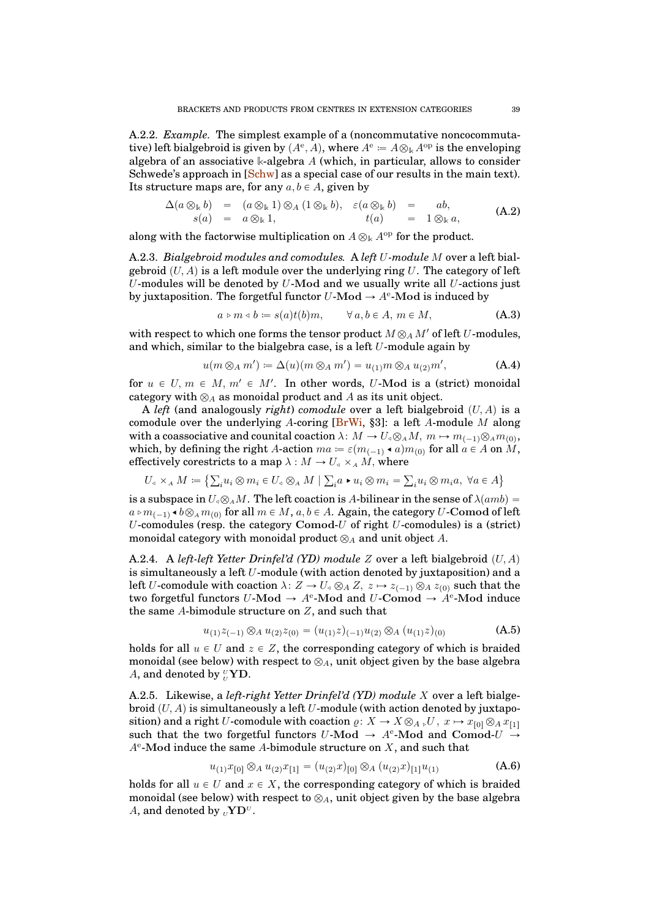A.2.2. *Example.* The simplest example of a (noncommutative noncocommutative) left bialgebroid is given by  $(A^e, A)$ , where  $A^e = A \otimes_k A^{op}$  is the enveloping algebra of an associative **k**-algebra A (which, in particular, allows to consider Schwede's approach in [\[Schw\]](#page-41-4) as a special case of our results in the main text). Its structure maps are, for any  $a, b \in A$ , given by

<span id="page-38-4"></span>
$$
\Delta(a \otimes_{\mathbb{k}} b) = (a \otimes_{\mathbb{k}} 1) \otimes_A (1 \otimes_{\mathbb{k}} b), \quad \varepsilon(a \otimes_{\mathbb{k}} b) = ab, \ns(a) = a \otimes_{\mathbb{k}} 1, \qquad t(a) = 1 \otimes_{\mathbb{k}} a,
$$
\n(A.2)

along with the factorwise multiplication on  $A \otimes_{\Bbbk} A^{\mathrm{op}}$  for the product.

A.2.3. *Bialgebroid modules and comodules.* A *left* U*-module* M over a left bialgebroid  $(U, A)$  is a left module over the underlying ring U. The category of left U-modules will be denoted by  $U$ -Mod and we usually write all  $U$ -actions just by juxtaposition. The forgetful functor  $U$ -Mod  $\rightarrow A^e$ -Mod is induced by

<span id="page-38-0"></span>
$$
a \triangleright m \triangleleft b := s(a)t(b)m, \qquad \forall a, b \in A, m \in M,
$$
 (A.3)

with respect to which one forms the tensor product  $M \otimes_A M'$  of left U-modules, and which, similar to the bialgebra case, is a left  $U$ -module again by

<span id="page-38-1"></span>
$$
u(m \otimes_A m') \coloneqq \Delta(u)(m \otimes_A m') = u_{(1)}m \otimes_A u_{(2)}m', \tag{A.4}
$$

for  $u \in U, m \in M, m' \in M'$ . In other words, U-Mod is a (strict) monoidal category with  $\otimes_A$  as monoidal product and A as its unit object.

A *left* (and analogously *right*) *comodule* over a left bialgebroid  $(U, A)$  is a comodule over the underlying A-coring [ $B<sub>r</sub>Wi$ , §3]: a left A-module M along with a coassociative and counital coaction  $\lambda: M \to U_{\alpha} \otimes_A M, m \mapsto m_{(-1)} \otimes_A m_{(0)},$ which, by defining the right A-action  $ma\coloneqq \varepsilon(m_{(-1)}\bullet a)m_{(0)}\text{ for all }a\in A\text{ on }M,$ effectively corestricts to a map  $\lambda : M \to U_{\alpha} \times_A M$ , where

$$
U_{\mathcal{A}} \times_A M \coloneqq \left\{ \sum_i u_i \otimes m_i \in U_{\mathcal{A}} \otimes_A M \mid \sum_i a \bullet u_i \otimes m_i = \sum_i u_i \otimes m_i a, \ \forall a \in A \right\}
$$

is a subspace in  $U_a \otimes_A M$ . The left coaction is A-bilinear in the sense of  $\lambda(amb)$  =  $a\triangleright m_{(-1)}\blacktriangleleft b\otimes_{A}m_{(0)}$  for all  $m\in M,$   $a,b\in A.$  Again, the category  $U\text{-}\mathbf{Comod}$  of left U-comodules (resp. the category Comod-U of right  $U$ -comodules) is a (strict) monoidal category with monoidal product  $\otimes_A$  and unit object A.

<span id="page-38-2"></span>A.2.4. A *left-left Yetter Drinfel'd (YD) module*  $Z$  over a left bialgebroid  $(U, A)$ is simultaneously a left U-module (with action denoted by juxtaposition) and a left U-comodule with coaction  $\lambda: Z \to U_a \otimes_A Z$ ,  $z \mapsto z_{(-1)} \otimes_A z_{(0)}$  such that the two forgetful functors  $U\text{-}\mathbf{Mod} \to A^e\text{-}\mathbf{Mod}$  and  $U\text{-}\mathbf{Comod} \to A^e\text{-}\mathbf{Mod}$  induce the same A-bimodule structure on Z, and such that

<span id="page-38-5"></span>
$$
u_{(1)}z_{(-1)} \otimes_A u_{(2)}z_{(0)} = (u_{(1)}z)_{(-1)}u_{(2)} \otimes_A (u_{(1)}z)_{(0)} \tag{A.5}
$$

holds for all  $u \in U$  and  $z \in Z$ , the corresponding category of which is braided monoidal (see below) with respect to  $\otimes_A$ , unit object given by the base algebra A, and denoted by  $^{\text{U}}_{\text{U}}\text{YD}$ .

<span id="page-38-6"></span>A.2.5. Likewise, a *left-right Yetter Drinfel'd (YD) module* X over a left bialgebroid  $(U, A)$  is simultaneously a left  $U$ -module (with action denoted by juxtaposition) and a right U-comodule with coaction  $\varrho: X \to X \otimes_{A} E$ ,  $U, x \mapsto x_{[0]} \otimes_A x_{[1]}$ such that the two forgetful functors  $U\text{-Mod} \to A^e\text{-Mod}$  and Comod- $U \to$  $A<sup>e</sup>$ -Mod induce the same A-bimodule structure on  $X$ , and such that

<span id="page-38-3"></span>
$$
u_{(1)}x_{[0]}\otimes_A u_{(2)}x_{[1]} = (u_{(2)}x)_{[0]}\otimes_A (u_{(2)}x)_{[1]}u_{(1)}\tag{A.6}
$$

holds for all  $u \in U$  and  $x \in X$ , the corresponding category of which is braided monoidal (see below) with respect to  $\otimes_A$ , unit object given by the base algebra A, and denoted by  $_{U}\mathbf{Y}\mathbf{D}^{U}$ .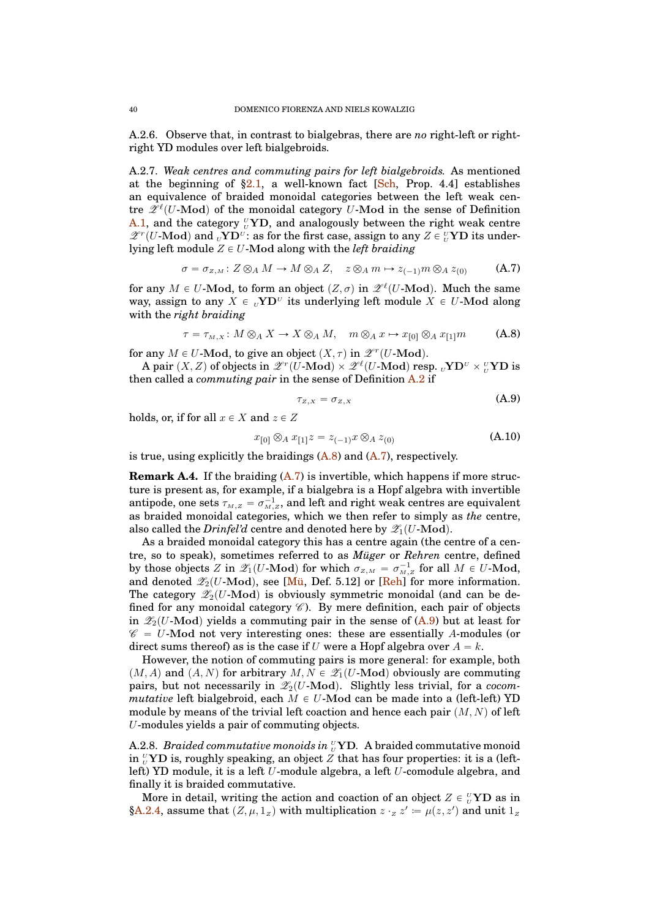A.2.6. Observe that, in contrast to bialgebras, there are *no* right-left or rightright YD modules over left bialgebroids.

A.2.7. *Weak centres and commuting pairs for left bialgebroids.* As mentioned at the beginning of  $\S2.1$ , a well-known fact [\[Sch,](#page-41-8) Prop. 4.4] establishes an equivalence of braided monoidal categories between the left weak centre  $\mathscr{L}^{\ell}(U\text{-}\mathrm{Mod})$  of the monoidal category  $U\text{-}\mathrm{Mod}$  in the sense of Definition [A.1,](#page-37-0) and the category  $U<sub>U</sub>$  YD, and analogously between the right weak centre  $\mathscr{Z}^r(U\text{-}\mathrm{Mod})$  and  $\mathrm{UVD}^{\mathrm{U}}$ : as for the first case, assign to any  $Z \in {}^{\mathrm{U}}_{\mathrm{U}}\mathrm{YD}$  its underlying left module  $Z \in U$ -Mod along with the *left braiding* 

<span id="page-39-3"></span>
$$
\sigma = \sigma_{z,M} : Z \otimes_A M \to M \otimes_A Z, \quad z \otimes_A m \mapsto z_{(-1)} m \otimes_A z_{(0)} \tag{A.7}
$$

for any  $M \in U$ -Mod, to form an object  $(Z, \sigma)$  in  $\mathscr{L}^{\ell}(U\text{-}\mathrm{Mod})$ . Much the same way, assign to any  $X \in {}_U \mathbf{Y} \mathbf{D}^U$  its underlying left module  $X \in U$ -Mod along with the *right braiding*

<span id="page-39-1"></span>
$$
\tau = \tau_{M,X} : M \otimes_A X \to X \otimes_A M, \quad m \otimes_A x \mapsto x_{[0]} \otimes_A x_{[1]}m \tag{A.8}
$$

for any  $M \in U$ -Mod, to give an object  $(X, \tau)$  in  $\mathscr{L}^r(U\text{-}\mathbf{Mod})$ .

A pair  $(X, Z)$  of objects in  $\mathscr{Z}^r(U\text{-}\mathrm{Mod}) \times \mathscr{Z}^{\ell}(U\text{-}\mathrm{Mod})$  resp.  ${}_U\mathbf{YD}^{\mathrm{U}} \times {}_U^{\mathrm{U}}\mathbf{YD}$  is then called a *commuting pair* in the sense of Definition [A.2](#page-37-1) if

<span id="page-39-0"></span>
$$
\tau_{Z,X} = \sigma_{Z,X} \tag{A.9}
$$

holds, or, if for all  $x \in X$  and  $z \in Z$ 

<span id="page-39-2"></span>
$$
x_{[0]} \otimes_A x_{[1]} z = z_{(-1)} x \otimes_A z_{(0)} \tag{A.10}
$$

is true, using explicitly the braidings  $(A.8)$  and  $(A.7)$ , respectively.

<span id="page-39-4"></span>**Remark A.4.** If the braiding  $(A.7)$  is invertible, which happens if more structure is present as, for example, if a bialgebra is a Hopf algebra with invertible antipode, one sets  $\tau_{\scriptscriptstyle M,Z} = \sigma_{\scriptscriptstyle M,Z}^{-1},$  and left and right weak centres are equivalent as braided monoidal categories, which we then refer to simply as *the* centre, also called the *Drinfel'd* centre and denoted here by  $\mathscr{Z}_1(U\text{-}\mathrm{Mod})$ .

As a braided monoidal category this has a centre again (the centre of a centre, so to speak), sometimes referred to as *Müger* or *Rehren* centre, defined by those objects Z in  $\mathscr{Z}_1(U\text{-Mod})$  for which  $\sigma_{Z,M} = \sigma_{M,Z}^{-1}$  for all  $M \in U\text{-Mod}$ , and denoted  $\mathscr{Z}_2(U\text{-Mod})$ , see [\[Mü,](#page-41-15) Def. 5.12] or [\[Reh\]](#page-41-16) for more information. The category  $\mathscr{Z}_2(U\text{-Mod})$  is obviously symmetric monoidal (and can be defined for any monoidal category  $\mathscr C$ ). By mere definition, each pair of objects in  $\mathscr{Z}_2(U\text{-Mod})$  yields a commuting pair in the sense of [\(A.9\)](#page-39-0) but at least for  $\mathscr{C} = U$ -Mod not very interesting ones: these are essentially A-modules (or direct sums thereof) as is the case if U were a Hopf algebra over  $A = k$ .

However, the notion of commuting pairs is more general: for example, both  $(M, A)$  and  $(A, N)$  for arbitrary  $M, N \in \mathscr{Z}_1(U\text{-Mod})$  obviously are commuting pairs, but not necessarily in  $\mathscr{Z}_2(U\text{-}\mathrm{Mod})$ . Slightly less trivial, for a *cocommutative* left bialgebroid, each  $M \in U$ -Mod can be made into a (left-left) YD module by means of the trivial left coaction and hence each pair  $(M, N)$  of left U-modules yields a pair of commuting objects.

<span id="page-39-5"></span>A.2.8. *Braided commutative monoids in*  $^{\mathrm{\scriptscriptstyle U}}_{\mathrm{\scriptscriptstyle U}}$ *YD.* A braided commutative monoid in  ${}_U^U{\bf Y}{\bf D}$  is, roughly speaking, an object  $Z$  that has four properties: it is a (leftleft) YD module, it is a left U-module algebra, a left U-comodule algebra, and finally it is braided commutative.

More in detail, writing the action and coaction of an object  $Z \in {}_U^{\nu} \mathbf{YD}$  as in [§A.2.4,](#page-38-2) assume that  $(Z, \mu, 1_Z)$  with multiplication  $z \cdot_z z' := \mu(z, z')$  and unit  $1_z$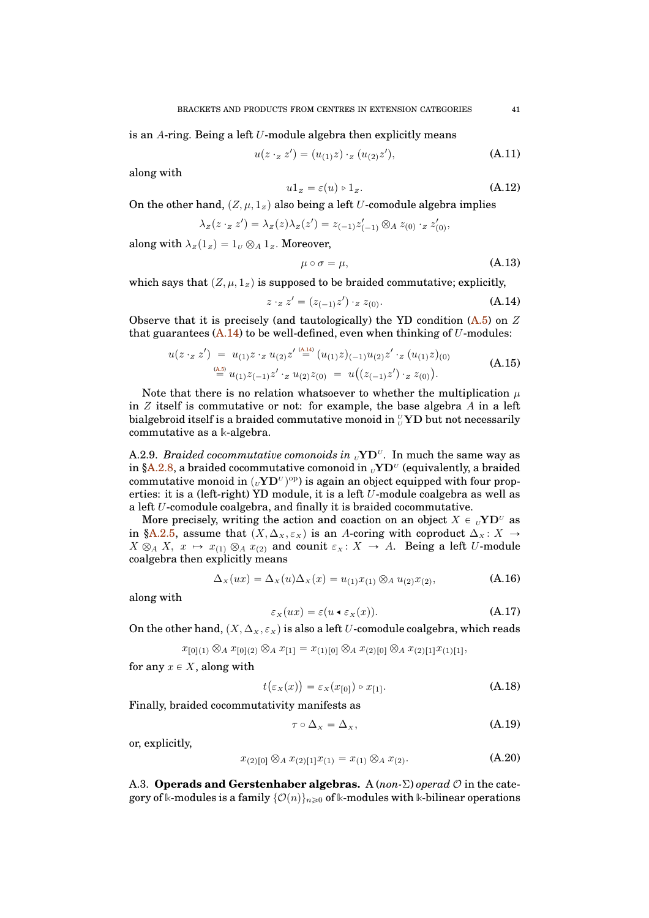is an  $A$ -ring. Being a left  $U$ -module algebra then explicitly means

$$
u(z \cdot_z z') = (u_{(1)}z) \cdot_z (u_{(2)}z'), \tag{A.11}
$$

along with

<span id="page-40-5"></span>
$$
u1_z = \varepsilon(u) \circ 1_z. \tag{A.12}
$$

On the other hand,  $(Z, \mu, 1_Z)$  also being a left U-comodule algebra implies

$$
\lambda_Z(z \cdot_z z') = \lambda_Z(z) \lambda_Z(z') = z_{(-1)} z'_{(-1)} \otimes_A z_{(0)} \cdot_z z'_{(0)},
$$

along with  $\lambda_Z(1_Z) = 1_U \otimes_A 1_Z$ . Moreover,

<span id="page-40-3"></span>
$$
\mu \circ \sigma = \mu,\tag{A.13}
$$

which says that  $(Z, \mu, 1_Z)$  is supposed to be braided commutative; explicitly,

<span id="page-40-9"></span>
$$
z \cdot_z z' = (z_{(-1)}z') \cdot_z z_{(0)}.
$$
 (A.14)

Observe that it is precisely (and tautologically) the YD condition  $(A.5)$  on Z that guarantees  $(A.14)$  to be well-defined, even when thinking of U-modules:

$$
u(z \cdot_z z') = u_{(1)} z \cdot_z u_{(2)} z' \stackrel{\text{(a.14)}}{=} (u_{(1)} z)_{(-1)} u_{(2)} z' \cdot_z (u_{(1)} z)_{(0)}
$$
\n
$$
\stackrel{\text{(a.5)}}{=} u_{(1)} z_{(-1)} z' \cdot_z u_{(2)} z_{(0)} = u((z_{(-1)} z') \cdot_z z_{(0)}).
$$
\n(A.15)

<span id="page-40-6"></span>Note that there is no relation whatsoever to whether the multiplication  $\mu$ in  $Z$  itself is commutative or not: for example, the base algebra  $A$  in a left bialgebroid itself is a braided commutative monoid in  $^{\overline{v}}_{\overline{v}}$ YD but not necessarily commutative as a **k**-algebra.

A.2.9. *Braided cocommutative comonoids in*  $\mathrm{UVD}^U$ . In much the same way as in [§A.2.8,](#page-39-5) a braided cocommutative comonoid in  $_{\textit{U}}\mathbf{Y}\mathbf{D}^{\textit{U}}$  (equivalently, a braided commutative monoid in  $({}_U{\bf Y}{\bf D}^U)^{op}$ ) is again an object equipped with four properties: it is a (left-right) YD module, it is a left U-module coalgebra as well as a left U-comodule coalgebra, and finally it is braided cocommutative.

More precisely, writing the action and coaction on an object  $X \in {}_U \mathbf{YD}^U$  as in [§A.2.5,](#page-38-6) assume that  $(X, \Delta_x, \varepsilon_X)$  is an A-coring with coproduct  $\Delta_x : X \to Y$  $X \otimes_A X$ ,  $x \mapsto x_{(1)} \otimes_A x_{(2)}$  and counit  $\varepsilon_X : X \to A$ . Being a left U-module coalgebra then explicitly means

<span id="page-40-0"></span>
$$
\Delta_X(ux) = \Delta_X(u)\Delta_X(x) = u_{(1)}x_{(1)} \otimes_A u_{(2)}x_{(2)},
$$
\n(A.16)

along with

<span id="page-40-4"></span>
$$
\varepsilon_X(ux) = \varepsilon(u \bullet \varepsilon_X(x)). \tag{A.17}
$$

On the other hand,  $(X, \Delta_X, \varepsilon_X)$  is also a left U-comodule coalgebra, which reads

$$
x_{[0](1)} \otimes_A x_{[0](2)} \otimes_A x_{[1]} = x_{(1)[0]} \otimes_A x_{(2)[0]} \otimes_A x_{(2)[1]} x_{(1)[1]},
$$

for any  $x \in X$ , along with

$$
\varepsilon_x(x) = \varepsilon_x(x_{[0]}) \triangleright x_{[1]}.
$$
\n(A.18)

Finally, braided cocommutativity manifests as

<span id="page-40-8"></span> $t$ (

<span id="page-40-1"></span>
$$
\tau \circ \Delta_x = \Delta_x, \tag{A.19}
$$

or, explicitly,

<span id="page-40-7"></span>
$$
x_{(2)[0]} \otimes_A x_{(2)[1]} x_{(1)} = x_{(1)} \otimes_A x_{(2)}.
$$
 (A.20)

<span id="page-40-2"></span>A.3. **Operads and Gerstenhaber algebras.** A (*non-*Σ) *operad* O in the category of k-modules is a family  $\{\mathcal{O}(n)\}_{n\geq0}$  of k-modules with k-bilinear operations